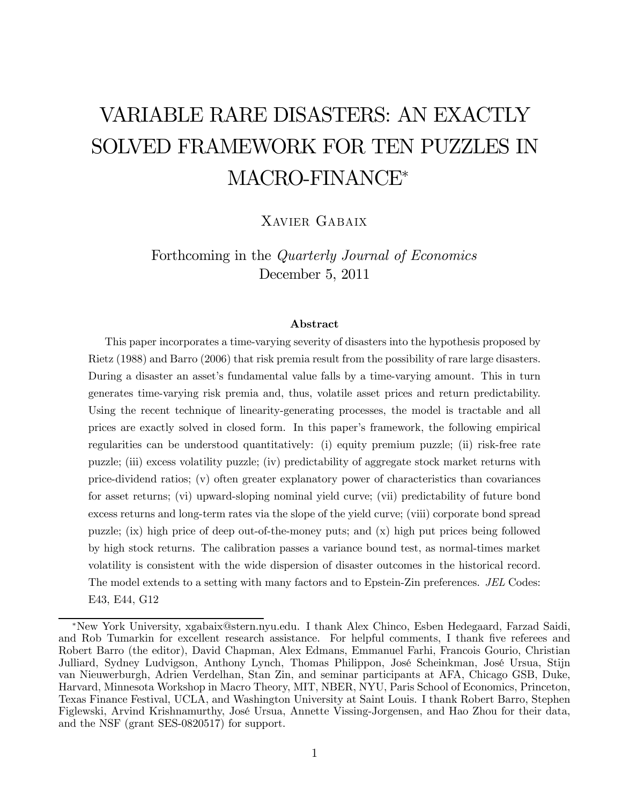# VARIABLE RARE DISASTERS: AN EXACTLY SOLVED FRAMEWORK FOR TEN PUZZLES IN MACRO-FINANCE<sup>∗</sup>

Xavier Gabaix

Forthcoming in the Quarterly Journal of Economics December 5, 2011

#### Abstract

This paper incorporates a time-varying severity of disasters into the hypothesis proposed by Rietz (1988) and Barro (2006) that risk premia result from the possibility of rare large disasters. During a disaster an asset's fundamental value falls by a time-varying amount. This in turn generates time-varying risk premia and, thus, volatile asset prices and return predictability. Using the recent technique of linearity-generating processes, the model is tractable and all prices are exactly solved in closed form. In this paper's framework, the following empirical regularities can be understood quantitatively: (i) equity premium puzzle; (ii) risk-free rate puzzle; (iii) excess volatility puzzle; (iv) predictability of aggregate stock market returns with price-dividend ratios; (v) often greater explanatory power of characteristics than covariances for asset returns; (vi) upward-sloping nominal yield curve; (vii) predictability of future bond excess returns and long-term rates via the slope of the yield curve; (viii) corporate bond spread puzzle; (ix) high price of deep out-of-the-money puts; and (x) high put prices being followed by high stock returns. The calibration passes a variance bound test, as normal-times market volatility is consistent with the wide dispersion of disaster outcomes in the historical record. The model extends to a setting with many factors and to Epstein-Zin preferences. JEL Codes: E43, E44, G12

<sup>∗</sup>New York University, xgabaix@stern.nyu.edu. I thank Alex Chinco, Esben Hedegaard, Farzad Saidi, and Rob Tumarkin for excellent research assistance. For helpful comments, I thank five referees and Robert Barro (the editor), David Chapman, Alex Edmans, Emmanuel Farhi, Francois Gourio, Christian Julliard, Sydney Ludvigson, Anthony Lynch, Thomas Philippon, José Scheinkman, José Ursua, Stijn van Nieuwerburgh, Adrien Verdelhan, Stan Zin, and seminar participants at AFA, Chicago GSB, Duke, Harvard, Minnesota Workshop in Macro Theory, MIT, NBER, NYU, Paris School of Economics, Princeton, Texas Finance Festival, UCLA, and Washington University at Saint Louis. I thank Robert Barro, Stephen Figlewski, Arvind Krishnamurthy, José Ursua, Annette Vissing-Jorgensen, and Hao Zhou for their data, and the NSF (grant SES-0820517) for support.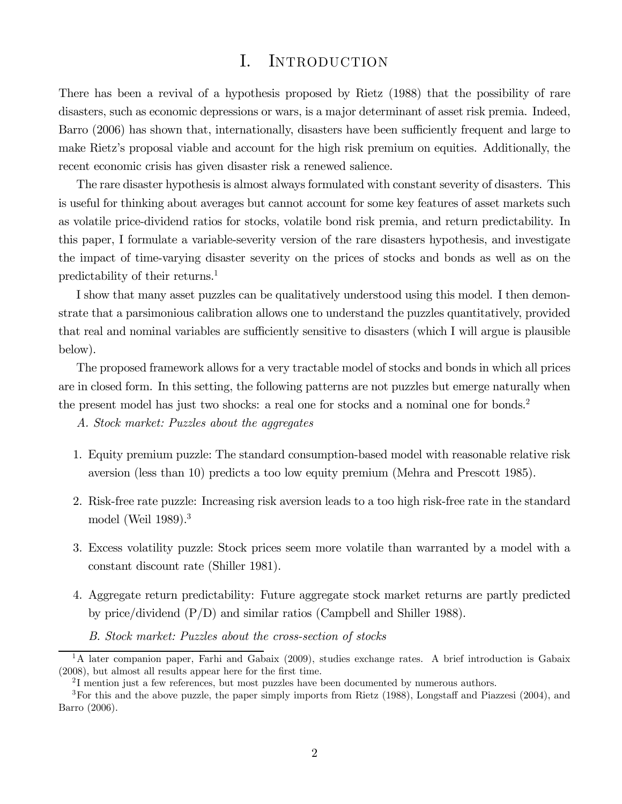# I. INTRODUCTION

There has been a revival of a hypothesis proposed by Rietz (1988) that the possibility of rare disasters, such as economic depressions or wars, is a major determinant of asset risk premia. Indeed, Barro (2006) has shown that, internationally, disasters have been sufficiently frequent and large to make Rietz's proposal viable and account for the high risk premium on equities. Additionally, the recent economic crisis has given disaster risk a renewed salience.

The rare disaster hypothesis is almost always formulated with constant severity of disasters. This is useful for thinking about averages but cannot account for some key features of asset markets such as volatile price-dividend ratios for stocks, volatile bond risk premia, and return predictability. In this paper, I formulate a variable-severity version of the rare disasters hypothesis, and investigate the impact of time-varying disaster severity on the prices of stocks and bonds as well as on the predictability of their returns.1

I show that many asset puzzles can be qualitatively understood using this model. I then demonstrate that a parsimonious calibration allows one to understand the puzzles quantitatively, provided that real and nominal variables are sufficiently sensitive to disasters (which I will argue is plausible below).

The proposed framework allows for a very tractable model of stocks and bonds in which all prices are in closed form. In this setting, the following patterns are not puzzles but emerge naturally when the present model has just two shocks: a real one for stocks and a nominal one for bonds.<sup>2</sup>

A. Stock market: Puzzles about the aggregates

- 1. Equity premium puzzle: The standard consumption-based model with reasonable relative risk aversion (less than 10) predicts a too low equity premium (Mehra and Prescott 1985).
- 2. Risk-free rate puzzle: Increasing risk aversion leads to a too high risk-free rate in the standard model (Weil 1989).3
- 3. Excess volatility puzzle: Stock prices seem more volatile than warranted by a model with a constant discount rate (Shiller 1981).
- 4. Aggregate return predictability: Future aggregate stock market returns are partly predicted by price/dividend (P/D) and similar ratios (Campbell and Shiller 1988).
	- B. Stock market: Puzzles about the cross-section of stocks

 $1<sup>1</sup>A$  later companion paper, Farhi and Gabaix (2009), studies exchange rates. A brief introduction is Gabaix (2008), but almost all results appear here for the first time.

<sup>&</sup>lt;sup>2</sup>I mention just a few references, but most puzzles have been documented by numerous authors.

<sup>3</sup>For this and the above puzzle, the paper simply imports from Rietz (1988), Longstaff and Piazzesi (2004), and Barro (2006).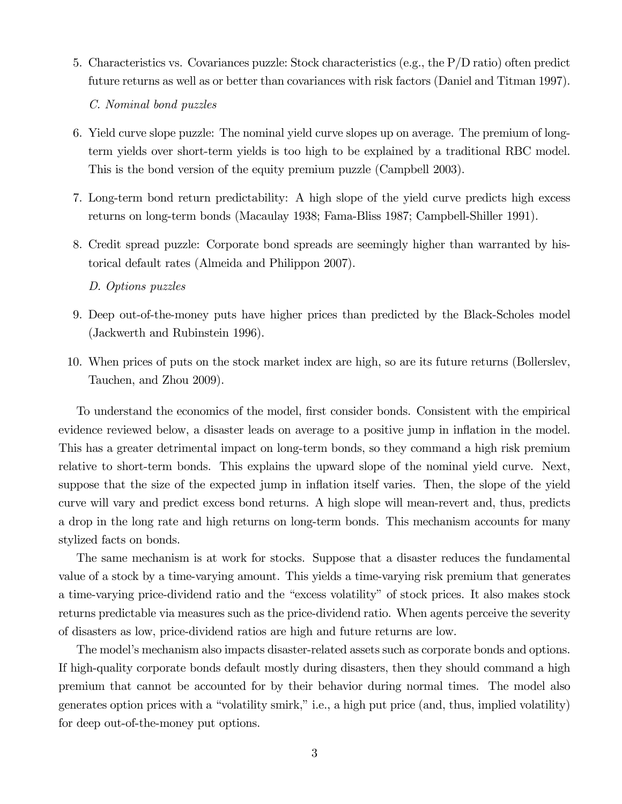5. Characteristics vs. Covariances puzzle: Stock characteristics (e.g., the P/D ratio) often predict future returns as well as or better than covariances with risk factors (Daniel and Titman 1997).

C. Nominal bond puzzles

- 6. Yield curve slope puzzle: The nominal yield curve slopes up on average. The premium of longterm yields over short-term yields is too high to be explained by a traditional RBC model. This is the bond version of the equity premium puzzle (Campbell 2003).
- 7. Long-term bond return predictability: A high slope of the yield curve predicts high excess returns on long-term bonds (Macaulay 1938; Fama-Bliss 1987; Campbell-Shiller 1991).
- 8. Credit spread puzzle: Corporate bond spreads are seemingly higher than warranted by historical default rates (Almeida and Philippon 2007).

D. Options puzzles

- 9. Deep out-of-the-money puts have higher prices than predicted by the Black-Scholes model (Jackwerth and Rubinstein 1996).
- 10. When prices of puts on the stock market index are high, so are its future returns (Bollerslev, Tauchen, and Zhou 2009).

To understand the economics of the model, first consider bonds. Consistent with the empirical evidence reviewed below, a disaster leads on average to a positive jump in inflation in the model. This has a greater detrimental impact on long-term bonds, so they command a high risk premium relative to short-term bonds. This explains the upward slope of the nominal yield curve. Next, suppose that the size of the expected jump in inflation itself varies. Then, the slope of the yield curve will vary and predict excess bond returns. A high slope will mean-revert and, thus, predicts a drop in the long rate and high returns on long-term bonds. This mechanism accounts for many stylized facts on bonds.

The same mechanism is at work for stocks. Suppose that a disaster reduces the fundamental value of a stock by a time-varying amount. This yields a time-varying risk premium that generates a time-varying price-dividend ratio and the "excess volatility" of stock prices. It also makes stock returns predictable via measures such as the price-dividend ratio. When agents perceive the severity of disasters as low, price-dividend ratios are high and future returns are low.

The model's mechanism also impacts disaster-related assets such as corporate bonds and options. If high-quality corporate bonds default mostly during disasters, then they should command a high premium that cannot be accounted for by their behavior during normal times. The model also generates option prices with a "volatility smirk," i.e., a high put price (and, thus, implied volatility) for deep out-of-the-money put options.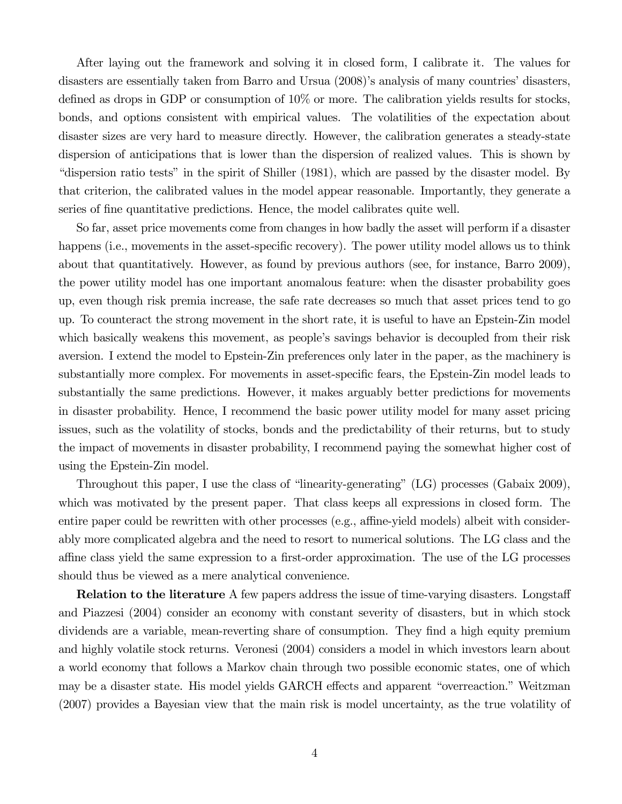After laying out the framework and solving it in closed form, I calibrate it. The values for disasters are essentially taken from Barro and Ursua (2008)'s analysis of many countries' disasters, defined as drops in GDP or consumption of 10% or more. The calibration yields results for stocks, bonds, and options consistent with empirical values. The volatilities of the expectation about disaster sizes are very hard to measure directly. However, the calibration generates a steady-state dispersion of anticipations that is lower than the dispersion of realized values. This is shown by "dispersion ratio tests" in the spirit of Shiller (1981), which are passed by the disaster model. By that criterion, the calibrated values in the model appear reasonable. Importantly, they generate a series of fine quantitative predictions. Hence, the model calibrates quite well.

So far, asset price movements come from changes in how badly the asset will perform if a disaster happens (i.e., movements in the asset-specific recovery). The power utility model allows us to think about that quantitatively. However, as found by previous authors (see, for instance, Barro 2009), the power utility model has one important anomalous feature: when the disaster probability goes up, even though risk premia increase, the safe rate decreases so much that asset prices tend to go up. To counteract the strong movement in the short rate, it is useful to have an Epstein-Zin model which basically weakens this movement, as people's savings behavior is decoupled from their risk aversion. I extend the model to Epstein-Zin preferences only later in the paper, as the machinery is substantially more complex. For movements in asset-specific fears, the Epstein-Zin model leads to substantially the same predictions. However, it makes arguably better predictions for movements in disaster probability. Hence, I recommend the basic power utility model for many asset pricing issues, such as the volatility of stocks, bonds and the predictability of their returns, but to study the impact of movements in disaster probability, I recommend paying the somewhat higher cost of using the Epstein-Zin model.

Throughout this paper, I use the class of "linearity-generating" (LG) processes (Gabaix 2009), which was motivated by the present paper. That class keeps all expressions in closed form. The entire paper could be rewritten with other processes (e.g., affine-yield models) albeit with considerably more complicated algebra and the need to resort to numerical solutions. The LG class and the affine class yield the same expression to a first-order approximation. The use of the LG processes should thus be viewed as a mere analytical convenience.

Relation to the literature A few papers address the issue of time-varying disasters. Longstaff and Piazzesi (2004) consider an economy with constant severity of disasters, but in which stock dividends are a variable, mean-reverting share of consumption. They find a high equity premium and highly volatile stock returns. Veronesi (2004) considers a model in which investors learn about a world economy that follows a Markov chain through two possible economic states, one of which may be a disaster state. His model yields GARCH effects and apparent "overreaction." Weitzman (2007) provides a Bayesian view that the main risk is model uncertainty, as the true volatility of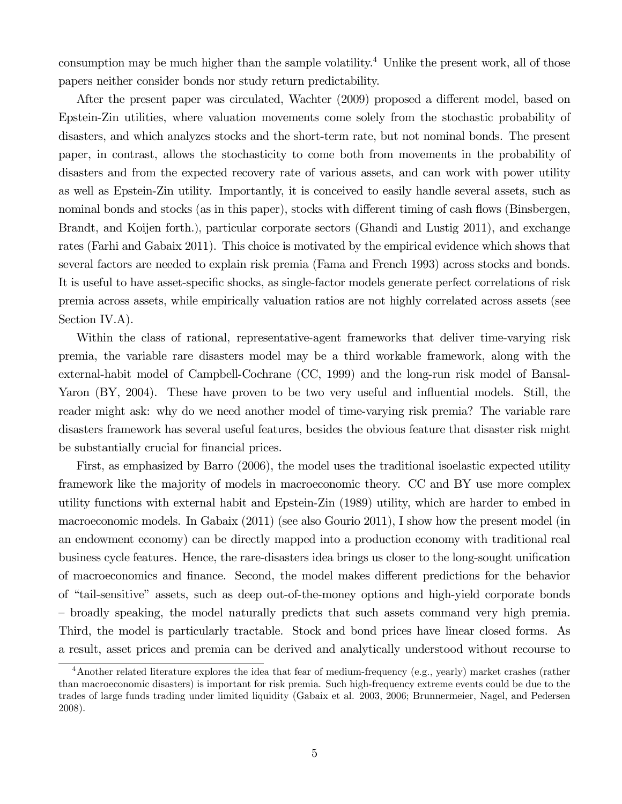consumption may be much higher than the sample volatility.<sup>4</sup> Unlike the present work, all of those papers neither consider bonds nor study return predictability.

After the present paper was circulated, Wachter (2009) proposed a different model, based on Epstein-Zin utilities, where valuation movements come solely from the stochastic probability of disasters, and which analyzes stocks and the short-term rate, but not nominal bonds. The present paper, in contrast, allows the stochasticity to come both from movements in the probability of disasters and from the expected recovery rate of various assets, and can work with power utility as well as Epstein-Zin utility. Importantly, it is conceived to easily handle several assets, such as nominal bonds and stocks (as in this paper), stocks with different timing of cash flows (Binsbergen, Brandt, and Koijen forth.), particular corporate sectors (Ghandi and Lustig 2011), and exchange rates (Farhi and Gabaix 2011). This choice is motivated by the empirical evidence which shows that several factors are needed to explain risk premia (Fama and French 1993) across stocks and bonds. It is useful to have asset-specific shocks, as single-factor models generate perfect correlations of risk premia across assets, while empirically valuation ratios are not highly correlated across assets (see Section IV.A).

Within the class of rational, representative-agent frameworks that deliver time-varying risk premia, the variable rare disasters model may be a third workable framework, along with the external-habit model of Campbell-Cochrane (CC, 1999) and the long-run risk model of Bansal-Yaron (BY, 2004). These have proven to be two very useful and influential models. Still, the reader might ask: why do we need another model of time-varying risk premia? The variable rare disasters framework has several useful features, besides the obvious feature that disaster risk might be substantially crucial for financial prices.

First, as emphasized by Barro (2006), the model uses the traditional isoelastic expected utility framework like the majority of models in macroeconomic theory. CC and BY use more complex utility functions with external habit and Epstein-Zin (1989) utility, which are harder to embed in macroeconomic models. In Gabaix (2011) (see also Gourio 2011), I show how the present model (in an endowment economy) can be directly mapped into a production economy with traditional real business cycle features. Hence, the rare-disasters idea brings us closer to the long-sought unification of macroeconomics and finance. Second, the model makes different predictions for the behavior of "tail-sensitive" assets, such as deep out-of-the-money options and high-yield corporate bonds — broadly speaking, the model naturally predicts that such assets command very high premia. Third, the model is particularly tractable. Stock and bond prices have linear closed forms. As a result, asset prices and premia can be derived and analytically understood without recourse to

<sup>&</sup>lt;sup>4</sup>Another related literature explores the idea that fear of medium-frequency (e.g., yearly) market crashes (rather than macroeconomic disasters) is important for risk premia. Such high-frequency extreme events could be due to the trades of large funds trading under limited liquidity (Gabaix et al. 2003, 2006; Brunnermeier, Nagel, and Pedersen 2008).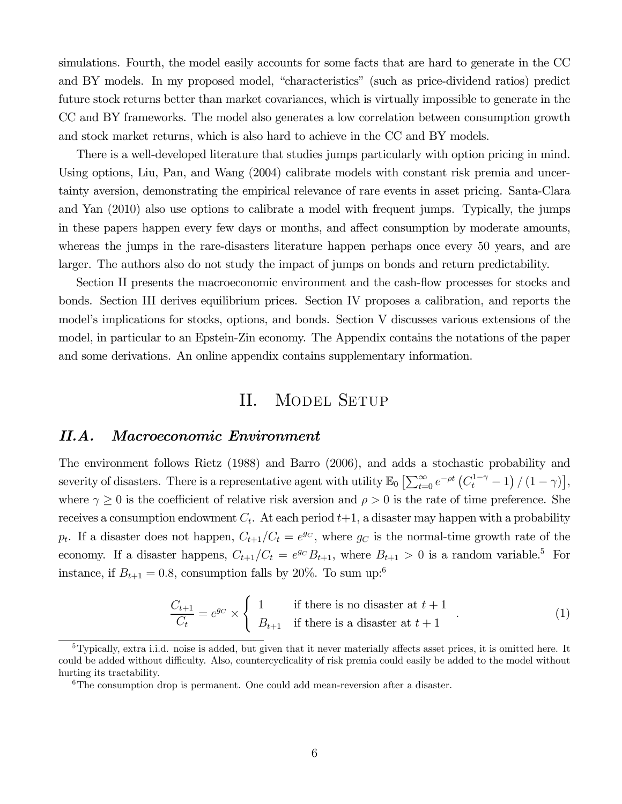simulations. Fourth, the model easily accounts for some facts that are hard to generate in the CC and BY models. In my proposed model, "characteristics" (such as price-dividend ratios) predict future stock returns better than market covariances, which is virtually impossible to generate in the CC and BY frameworks. The model also generates a low correlation between consumption growth and stock market returns, which is also hard to achieve in the CC and BY models.

There is a well-developed literature that studies jumps particularly with option pricing in mind. Using options, Liu, Pan, and Wang (2004) calibrate models with constant risk premia and uncertainty aversion, demonstrating the empirical relevance of rare events in asset pricing. Santa-Clara and Yan (2010) also use options to calibrate a model with frequent jumps. Typically, the jumps in these papers happen every few days or months, and affect consumption by moderate amounts, whereas the jumps in the rare-disasters literature happen perhaps once every 50 years, and are larger. The authors also do not study the impact of jumps on bonds and return predictability.

Section II presents the macroeconomic environment and the cash-flow processes for stocks and bonds. Section III derives equilibrium prices. Section IV proposes a calibration, and reports the model's implications for stocks, options, and bonds. Section V discusses various extensions of the model, in particular to an Epstein-Zin economy. The Appendix contains the notations of the paper and some derivations. An online appendix contains supplementary information.

# II. MODEL SETUP

## II.A. Macroeconomic Environment

The environment follows Rietz (1988) and Barro (2006), and adds a stochastic probability and severity of disasters. There is a representative agent with utility  $\mathbb{E}_0 \left[ \sum_{t=0}^{\infty} e^{-\rho t} \left( C_t^{1-\gamma} - 1 \right) / (1-\gamma) \right],$ where  $\gamma \geq 0$  is the coefficient of relative risk aversion and  $\rho > 0$  is the rate of time preference. She receives a consumption endowment  $C_t$ . At each period  $t+1$ , a disaster may happen with a probability  $p_t$ . If a disaster does not happen,  $C_{t+1}/C_t = e^{gc}$ , where  $g_C$  is the normal-time growth rate of the economy. If a disaster happens,  $C_{t+1}/C_t = e^{g_C}B_{t+1}$ , where  $B_{t+1} > 0$  is a random variable.<sup>5</sup> For instance, if  $B_{t+1} = 0.8$ , consumption falls by 20%. To sum up:<sup>6</sup>

$$
\frac{C_{t+1}}{C_t} = e^{g_C} \times \begin{cases} 1 & \text{if there is no disaster at } t+1 \\ B_{t+1} & \text{if there is a disaster at } t+1 \end{cases}
$$
 (1)

 $5$ Typically, extra i.i.d. noise is added, but given that it never materially affects asset prices, it is omitted here. It could be added without difficulty. Also, countercyclicality of risk premia could easily be added to the model without hurting its tractability.

 $6$ The consumption drop is permanent. One could add mean-reversion after a disaster.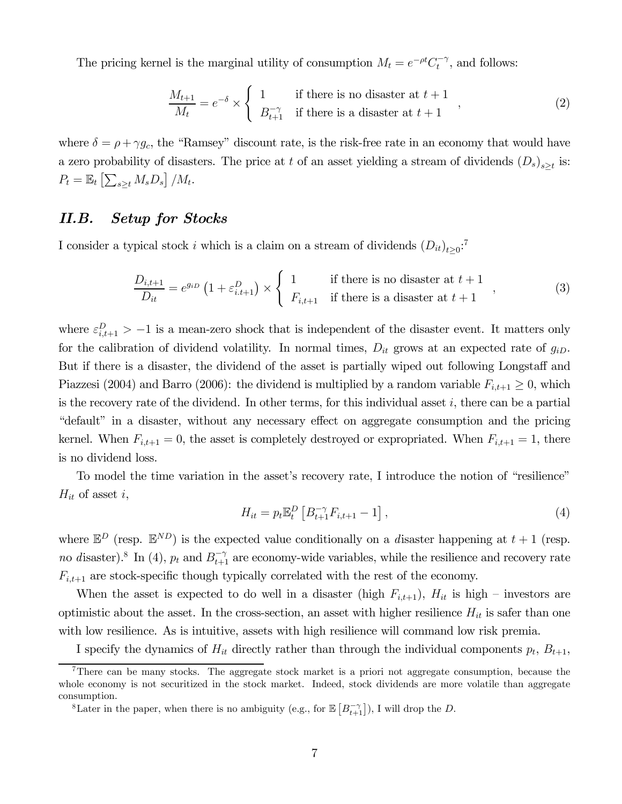The pricing kernel is the marginal utility of consumption  $M_t = e^{-\rho t} C_t^{-\gamma}$ , and follows:

$$
\frac{M_{t+1}}{M_t} = e^{-\delta} \times \begin{cases} 1 & \text{if there is no disaster at } t+1 \\ B_{t+1}^{-\gamma} & \text{if there is a disaster at } t+1 \end{cases}
$$
 (2)

where  $\delta = \rho + \gamma g_c$ , the "Ramsey" discount rate, is the risk-free rate in an economy that would have a zero probability of disasters. The price at t of an asset yielding a stream of dividends  $(D_s)_{s>t}$  is:  $P_t = \mathbb{E}_t \left[ \sum_{s \geq t} M_s D_s \right] / M_t.$ 

# II.B. Setup for Stocks

I consider a typical stock *i* which is a claim on a stream of dividends  $(D_{it})_{t\geq 0}$ <sup>7</sup>

$$
\frac{D_{i,t+1}}{D_{it}} = e^{g_{iD}} \left( 1 + \varepsilon_{i,t+1}^D \right) \times \begin{cases} 1 & \text{if there is no disaster at } t+1 \\ F_{i,t+1} & \text{if there is a disaster at } t+1 \end{cases}
$$
 (3)

where  $\varepsilon_{i,t+1}^D > -1$  is a mean-zero shock that is independent of the disaster event. It matters only for the calibration of dividend volatility. In normal times,  $D_{it}$  grows at an expected rate of  $g_{iD}$ . But if there is a disaster, the dividend of the asset is partially wiped out following Longstaff and Piazzesi (2004) and Barro (2006): the dividend is multiplied by a random variable  $F_{i,t+1} \geq 0$ , which is the recovery rate of the dividend. In other terms, for this individual asset  $i$ , there can be a partial "default" in a disaster, without any necessary effect on aggregate consumption and the pricing kernel. When  $F_{i,t+1} = 0$ , the asset is completely destroyed or expropriated. When  $F_{i,t+1} = 1$ , there is no dividend loss.

To model the time variation in the asset's recovery rate, I introduce the notion of "resilience"  $H_{it}$  of asset i,

$$
H_{it} = p_t \mathbb{E}_t^D \left[ B_{t+1}^{-\gamma} F_{i,t+1} - 1 \right], \tag{4}
$$

where  $\mathbb{E}^D$  (resp.  $\mathbb{E}^{ND}$ ) is the expected value conditionally on a disaster happening at  $t+1$  (resp. no disaster).<sup>8</sup> In (4),  $p_t$  and  $B_{t+1}^{-\gamma}$  are economy-wide variables, while the resilience and recovery rate  $F_{i,t+1}$  are stock-specific though typically correlated with the rest of the economy.

When the asset is expected to do well in a disaster (high  $F_{i,t+1}$ ),  $H_{it}$  is high – investors are optimistic about the asset. In the cross-section, an asset with higher resilience  $H_{it}$  is safer than one with low resilience. As is intuitive, assets with high resilience will command low risk premia.

I specify the dynamics of  $H_{it}$  directly rather than through the individual components  $p_t$ ,  $B_{t+1}$ ,

<sup>&</sup>lt;sup>7</sup>There can be many stocks. The aggregate stock market is a priori not aggregate consumption, because the whole economy is not securitized in the stock market. Indeed, stock dividends are more volatile than aggregate consumption.

<sup>&</sup>lt;sup>8</sup>Later in the paper, when there is no ambiguity (e.g., for  $\mathbb{E}\left[ B_{t+1}^{-\gamma} \right]$ ), I will drop the D.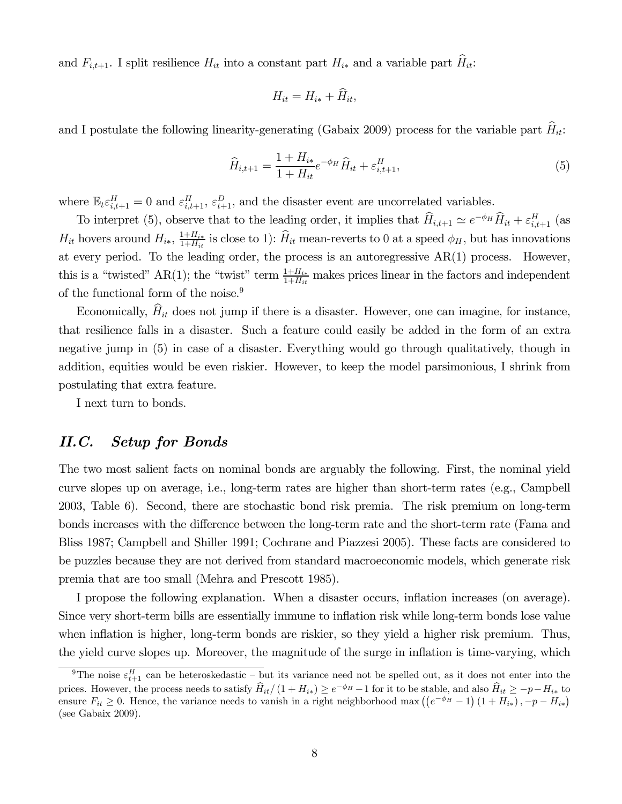and  $F_{i,t+1}$ . I split resilience  $H_{it}$  into a constant part  $H_{i*}$  and a variable part  $\widehat{H}_{it}$ :

$$
H_{it}=H_{i*}+\hat{H}_{it},
$$

and I postulate the following linearity-generating (Gabaix 2009) process for the variable part  $\hat{H}_{it}$ :

$$
\widehat{H}_{i,t+1} = \frac{1 + H_{i*}}{1 + H_{it}} e^{-\phi_H} \widehat{H}_{it} + \varepsilon_{i,t+1}^H,
$$
\n(5)

where  $\mathbb{E}_t \varepsilon_{i,t+1}^H = 0$  and  $\varepsilon_{i,t+1}^H$ ,  $\varepsilon_{t+1}^D$ , and the disaster event are uncorrelated variables.

To interpret (5), observe that to the leading order, it implies that  $\hat{H}_{i,t+1} \simeq e^{-\phi_H} \hat{H}_{it} + \varepsilon_{i,t+1}^H$  (as  $H_{it}$  hovers around  $H_{i*}$ ,  $\frac{1+H_{i*}}{1+H_{it}}$  is close to 1):  $\hat{H}_{it}$  mean-reverts to 0 at a speed  $\phi_H$ , but has innovations at every period. To the leading order, the process is an autoregressive  $AR(1)$  process. However, this is a "twisted" AR(1); the "twist" term  $\frac{1+H_{ik}}{1+H_{it}}$  makes prices linear in the factors and independent of the functional form of the noise.<sup>9</sup>

Economically,  $\widehat{H}_{it}$  does not jump if there is a disaster. However, one can imagine, for instance, that resilience falls in a disaster. Such a feature could easily be added in the form of an extra negative jump in (5) in case of a disaster. Everything would go through qualitatively, though in addition, equities would be even riskier. However, to keep the model parsimonious, I shrink from postulating that extra feature.

I next turn to bonds.

# II.C. Setup for Bonds

The two most salient facts on nominal bonds are arguably the following. First, the nominal yield curve slopes up on average, i.e., long-term rates are higher than short-term rates (e.g., Campbell 2003, Table 6). Second, there are stochastic bond risk premia. The risk premium on long-term bonds increases with the difference between the long-term rate and the short-term rate (Fama and Bliss 1987; Campbell and Shiller 1991; Cochrane and Piazzesi 2005). These facts are considered to be puzzles because they are not derived from standard macroeconomic models, which generate risk premia that are too small (Mehra and Prescott 1985).

I propose the following explanation. When a disaster occurs, inflation increases (on average). Since very short-term bills are essentially immune to inflation risk while long-term bonds lose value when inflation is higher, long-term bonds are riskier, so they yield a higher risk premium. Thus, the yield curve slopes up. Moreover, the magnitude of the surge in inflation is time-varying, which

<sup>&</sup>lt;sup>9</sup>The noise  $\varepsilon_{t+1}^H$  can be heteroskedastic – but its variance need not be spelled out, as it does not enter into the prices. However, the process needs to satisfy  $\hat{H}_{it} / (1 + H_{i*}) \ge e^{-\phi_H} - 1$  for it to be stable, and also  $\hat{H}_{it} \ge -p - H_{i*}$  to ensure  $F_{it} \geq 0$ . Hence, the variance needs to vanish in a right neighborhood max  $((e^{-\phi_H}-1)(1+H_{i*}), -p-H_{i*})$ (see Gabaix 2009).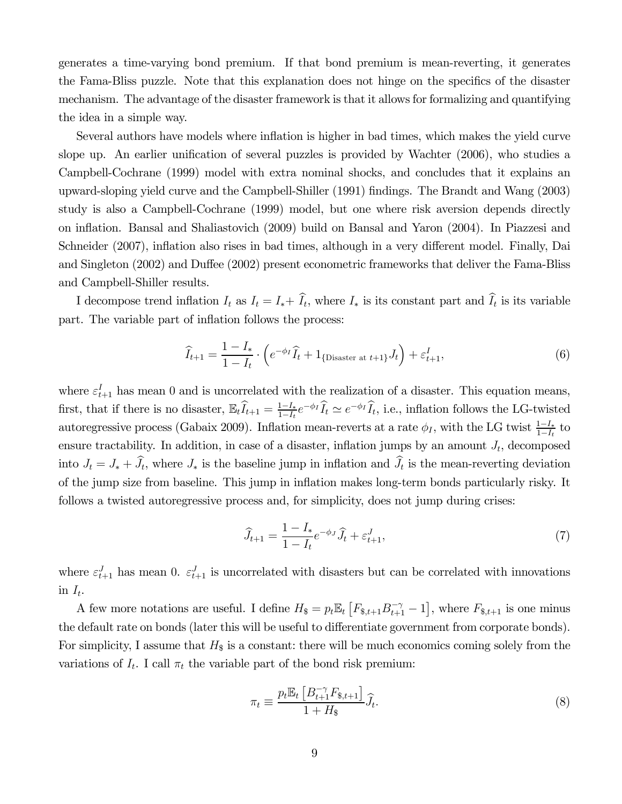generates a time-varying bond premium. If that bond premium is mean-reverting, it generates the Fama-Bliss puzzle. Note that this explanation does not hinge on the specifics of the disaster mechanism. The advantage of the disaster framework is that it allows for formalizing and quantifying the idea in a simple way.

Several authors have models where inflation is higher in bad times, which makes the yield curve slope up. An earlier unification of several puzzles is provided by Wachter (2006), who studies a Campbell-Cochrane (1999) model with extra nominal shocks, and concludes that it explains an upward-sloping yield curve and the Campbell-Shiller (1991) findings. The Brandt and Wang (2003) study is also a Campbell-Cochrane (1999) model, but one where risk aversion depends directly on inflation. Bansal and Shaliastovich (2009) build on Bansal and Yaron (2004). In Piazzesi and Schneider (2007), inflation also rises in bad times, although in a very different model. Finally, Dai and Singleton (2002) and Duffee (2002) present econometric frameworks that deliver the Fama-Bliss and Campbell-Shiller results.

I decompose trend inflation  $I_t$  as  $I_t = I_* + I_t$ , where  $I_*$  is its constant part and  $I_t$  is its variable part. The variable part of inflation follows the process:

$$
\widehat{I}_{t+1} = \frac{1 - I_*}{1 - I_t} \cdot \left( e^{-\phi_I} \widehat{I}_t + 1_{\{\text{Disaster at } t+1\}} J_t \right) + \varepsilon_{t+1}^I,
$$
\n(6)

where  $\varepsilon_{t+1}^I$  has mean 0 and is uncorrelated with the realization of a disaster. This equation means, first, that if there is no disaster,  $\mathbb{E}_t \hat{I}_{t+1} = \frac{1-I_*}{1-I_t} e^{-\phi_I} \hat{I}_t \simeq e^{-\phi_I} \hat{I}_t$ , i.e., inflation follows the LG-twisted autoregressive process (Gabaix 2009). Inflation mean-reverts at a rate  $\phi_I$ , with the LG twist  $\frac{1-I_*}{1-I_t}$  to ensure tractability. In addition, in case of a disaster, inflation jumps by an amount  $J_t$ , decomposed into  $J_t = J_* + J_t$ , where  $J_*$  is the baseline jump in inflation and  $J_t$  is the mean-reverting deviation of the jump size from baseline. This jump in inflation makes long-term bonds particularly risky. It follows a twisted autoregressive process and, for simplicity, does not jump during crises:

$$
\widehat{J}_{t+1} = \frac{1 - I_*}{1 - I_t} e^{-\phi_J} \widehat{J}_t + \varepsilon_{t+1}^J,
$$
\n(7)

where  $\varepsilon_{t+1}^J$  has mean 0.  $\varepsilon_{t+1}^J$  is uncorrelated with disasters but can be correlated with innovations in  $I_t$ .

A few more notations are useful. I define  $H_{\$} = p_t \mathbb{E}_t \left[ F_{\$, t+1} B_{t+1}^{-\gamma} - 1 \right]$ , where  $F_{\$, t+1}$  is one minus the default rate on bonds (later this will be useful to differentiate government from corporate bonds). For simplicity, I assume that  $H_{\$}$  is a constant: there will be much economics coming solely from the variations of  $I_t$ . I call  $\pi_t$  the variable part of the bond risk premium:

$$
\pi_t \equiv \frac{p_t \mathbb{E}_t \left[ B_{t+1}^{-\gamma} F_{\$,t+1} \right]}{1 + H_{\$}} \widehat{J}_t. \tag{8}
$$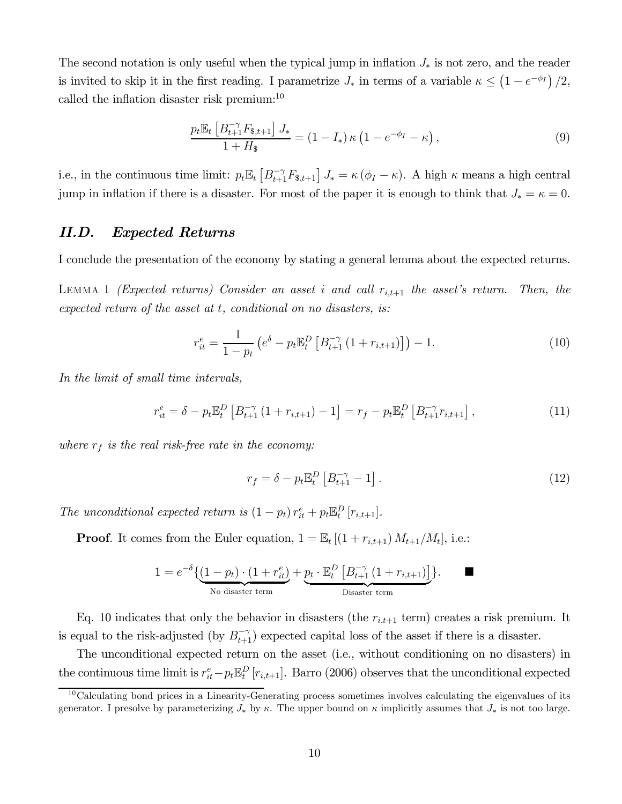The second notation is only useful when the typical jump in inflation  $J_*$  is not zero, and the reader is invited to skip it in the first reading. I parametrize  $J_*$  in terms of a variable  $\kappa \leq (1 - e^{-\phi_I})/2$ , called the inflation disaster risk premium:10

$$
\frac{p_t \mathbb{E}_t \left[ B_{t+1}^{-\gamma} F_{\$,t+1} \right] J_*}{1 + H_{\$}} = (1 - I_*) \kappa \left( 1 - e^{-\phi_I} - \kappa \right),\tag{9}
$$

i.e., in the continuous time limit:  $p_t \mathbb{E}_t [B_{t+1}^{-\gamma} F_{s,t+1}] J_* = \kappa (\phi_I - \kappa)$ . A high  $\kappa$  means a high central jump in inflation if there is a disaster. For most of the paper it is enough to think that  $J_* = \kappa = 0$ .

#### II.D. Expected Returns

I conclude the presentation of the economy by stating a general lemma about the expected returns.

LEMMA 1 (Expected returns) Consider an asset i and call  $r_{i,t+1}$  the asset's return. Then, the expected return of the asset at  $t$ , conditional on no disasters, is:

$$
r_{it}^{e} = \frac{1}{1 - p_{t}} \left( e^{\delta} - p_{t} \mathbb{E}_{t}^{D} \left[ B_{t+1}^{-\gamma} \left( 1 + r_{i,t+1} \right) \right] \right) - 1. \tag{10}
$$

In the limit of small time intervals,

$$
r_{it}^{e} = \delta - p_{t} \mathbb{E}_{t}^{D} \left[ B_{t+1}^{-\gamma} \left( 1 + r_{i,t+1} \right) - 1 \right] = r_{f} - p_{t} \mathbb{E}_{t}^{D} \left[ B_{t+1}^{-\gamma} r_{i,t+1} \right], \tag{11}
$$

where  $r_f$  is the real risk-free rate in the economy:

$$
r_f = \delta - p_t \mathbb{E}_t^D \left[ B_{t+1}^{-\gamma} - 1 \right]. \tag{12}
$$

The unconditional expected return is  $(1 - p_t) r_{it}^e + p_t \mathbb{E}_t^D [r_{i,t+1}].$ 

**Proof.** It comes from the Euler equation,  $1 = \mathbb{E}_t \left[ (1 + r_{i,t+1}) M_{t+1}/M_t \right]$ , i.e.:

$$
1 = e^{-\delta} \{ \underbrace{(1 - p_t) \cdot (1 + r_{it}^e)}_{\text{No disaster term}} + \underbrace{p_t \cdot \mathbb{E}_t^D \left[ B_{t+1}^{-\gamma} (1 + r_{i,t+1}) \right]}_{\text{Disaster term}} \}.
$$

Eq. 10 indicates that only the behavior in disasters (the  $r_{i,t+1}$  term) creates a risk premium. It is equal to the risk-adjusted (by  $B_{t+1}^{-\gamma}$ ) expected capital loss of the asset if there is a disaster.

The unconditional expected return on the asset (i.e., without conditioning on no disasters) in the continuous time limit is  $r_{it}^e - p_t \mathbb{E}_t^D [r_{i,t+1}]$ . Barro (2006) observes that the unconditional expected

 $10$ Calculating bond prices in a Linearity-Generating process sometimes involves calculating the eigenvalues of its generator. I presolve by parameterizing  $J_*$  by  $\kappa$ . The upper bound on  $\kappa$  implicitly assumes that  $J_*$  is not too large.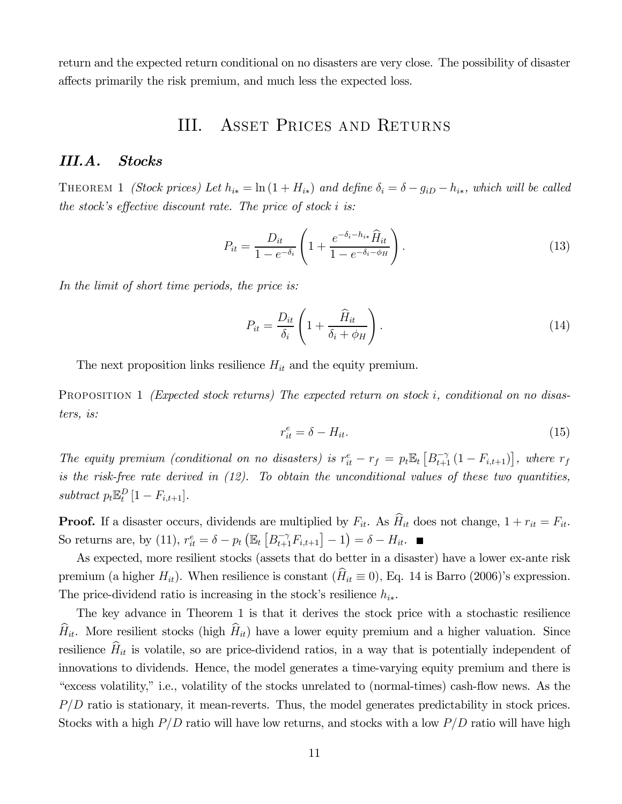return and the expected return conditional on no disasters are very close. The possibility of disaster affects primarily the risk premium, and much less the expected loss.

# III. Asset Prices and Returns

#### III.A. Stocks

THEOREM 1 *(Stock prices)* Let  $h_{i*} = \ln(1 + H_{i*})$  and define  $\delta_i = \delta - g_{iD} - h_{i*}$ , which will be called the stock's effective discount rate. The price of stock  $i$  is:

$$
P_{it} = \frac{D_{it}}{1 - e^{-\delta_i}} \left( 1 + \frac{e^{-\delta_i - h_{i*}} \hat{H}_{it}}{1 - e^{-\delta_i - \phi_H}} \right).
$$
 (13)

In the limit of short time periods, the price is:

$$
P_{it} = \frac{D_{it}}{\delta_i} \left( 1 + \frac{\widehat{H}_{it}}{\delta_i + \phi_H} \right). \tag{14}
$$

The next proposition links resilience  $H_{it}$  and the equity premium.

PROPOSITION 1 (Expected stock returns) The expected return on stock i, conditional on no disasters, is:

$$
r_{it}^e = \delta - H_{it}.\tag{15}
$$

The equity premium (conditional on no disasters) is  $r_{it}^e - r_f = p_t \mathbb{E}_t [B_{t+1}^{-\gamma} (1 - F_{i,t+1})]$ , where  $r_f$ is the risk-free rate derived in  $(12)$ . To obtain the unconditional values of these two quantities, subtract  $p_t \mathbb{E}_t^D [1 - F_{i,t+1}].$ 

**Proof.** If a disaster occurs, dividends are multiplied by  $F_{it}$ . As  $\widehat{H}_{it}$  does not change,  $1 + r_{it} = F_{it}$ . So returns are, by (11),  $r_{it}^e = \delta - p_t \left( \mathbb{E}_t \left[ B_{t+1}^{-\gamma} F_{i,t+1} \right] - 1 \right) = \delta - H_{it}$ .

As expected, more resilient stocks (assets that do better in a disaster) have a lower ex-ante risk premium (a higher  $H_{it}$ ). When resilience is constant ( $\hat{H}_{it} \equiv 0$ ), Eq. 14 is Barro (2006)'s expression. The price-dividend ratio is increasing in the stock's resilience  $h_{i*}$ .

The key advance in Theorem 1 is that it derives the stock price with a stochastic resilience  $\widehat{H}_{it}$ . More resilient stocks (high  $\widehat{H}_{it}$ ) have a lower equity premium and a higher valuation. Since resilience  $\hat{H}_{it}$  is volatile, so are price-dividend ratios, in a way that is potentially independent of innovations to dividends. Hence, the model generates a time-varying equity premium and there is "excess volatility," i.e., volatility of the stocks unrelated to (normal-times) cash-flow news. As the  $P/D$  ratio is stationary, it mean-reverts. Thus, the model generates predictability in stock prices. Stocks with a high  $P/D$  ratio will have low returns, and stocks with a low  $P/D$  ratio will have high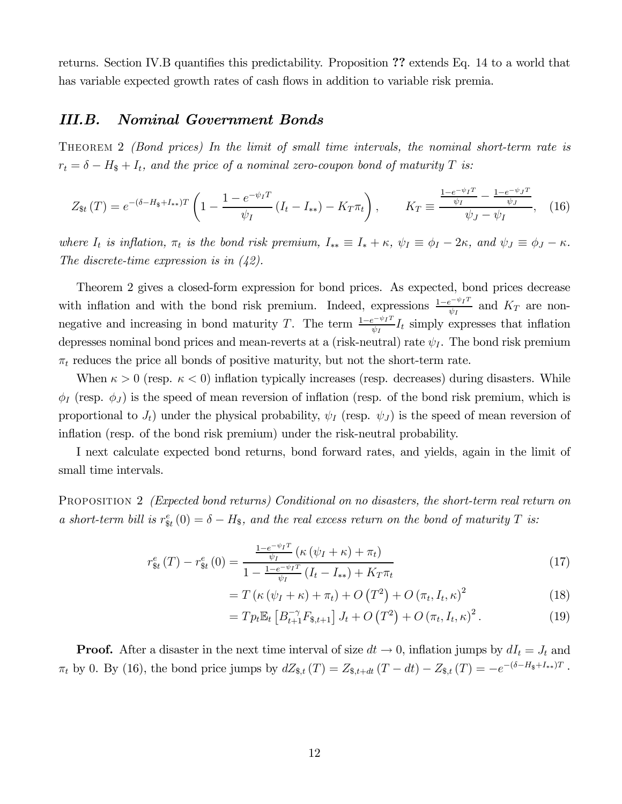returns. Section IV.B quantifies this predictability. Proposition ?? extends Eq. 14 to a world that has variable expected growth rates of cash flows in addition to variable risk premia.

# III.B. Nominal Government Bonds

THEOREM 2 *(Bond prices)* In the limit of small time intervals, the nominal short-term rate is  $r_t = \delta - H_s + I_t$ , and the price of a nominal zero-coupon bond of maturity T is:

$$
Z_{\$t}(T) = e^{-(\delta - H_{\$} + I_{**})T} \left( 1 - \frac{1 - e^{-\psi_I T}}{\psi_I} \left( I_t - I_{**} \right) - K_T \pi_t \right), \qquad K_T \equiv \frac{\frac{1 - e^{-\psi_I T}}{\psi_I} - \frac{1 - e^{-\psi_J T}}{\psi_J}}{\psi_J - \psi_I}, \quad (16)
$$

where  $I_t$  is inflation,  $\pi_t$  is the bond risk premium,  $I_{**} \equiv I_* + \kappa$ ,  $\psi_I \equiv \phi_I - 2\kappa$ , and  $\psi_J \equiv \phi_J - \kappa$ . The discrete-time expression is in (42).

Theorem 2 gives a closed-form expression for bond prices. As expected, bond prices decrease with inflation and with the bond risk premium. Indeed, expressions  $\frac{1-e^{-\psi_I T}}{\psi_I}$  and  $K_T$  are nonnegative and increasing in bond maturity T. The term  $\frac{1-e^{-\psi_I T}}{\psi_I} I_t$  simply expresses that inflation depresses nominal bond prices and mean-reverts at a (risk-neutral) rate  $\psi_I$ . The bond risk premium  $\pi_t$  reduces the price all bonds of positive maturity, but not the short-term rate.

When  $\kappa > 0$  (resp.  $\kappa < 0$ ) inflation typically increases (resp. decreases) during disasters. While  $\phi_I$  (resp.  $\phi_J$ ) is the speed of mean reversion of inflation (resp. of the bond risk premium, which is proportional to  $J_t$ ) under the physical probability,  $\psi_I$  (resp.  $\psi_J$ ) is the speed of mean reversion of inflation (resp. of the bond risk premium) under the risk-neutral probability.

I next calculate expected bond returns, bond forward rates, and yields, again in the limit of small time intervals.

PROPOSITION 2 *(Expected bond returns) Conditional on no disasters, the short-term real return on* a short-term bill is  $r_{\text{st}}^e(0) = \delta - H_{\text{s}}$ , and the real excess return on the bond of maturity T is:

$$
r_{\$t}^{e}(T) - r_{\$t}^{e}(0) = \frac{\frac{1 - e^{-\psi_{I}T}}{\psi_{I}} \left(\kappa \left(\psi_{I} + \kappa\right) + \pi_{t}\right)}{1 - \frac{1 - e^{-\psi_{I}T}}{\psi_{I}} \left(I_{t} - I_{\ast\ast}\right) + K_{T}\pi_{t}}
$$
\n
$$
\tag{17}
$$

$$
=T\left(\kappa\left(\psi_{I}+\kappa\right)+\pi_{t}\right)+O\left(T^{2}\right)+O\left(\pi_{t},I_{t},\kappa\right)^{2}\tag{18}
$$

$$
= T p_t \mathbb{E}_t \left[ B_{t+1}^{-\gamma} F_{\$,t+1} \right] J_t + O\left(T^2\right) + O\left(\pi_t, I_t, \kappa\right)^2. \tag{19}
$$

**Proof.** After a disaster in the next time interval of size  $dt \to 0$ , inflation jumps by  $dI_t = J_t$  and  $\pi_t$  by 0. By (16), the bond price jumps by  $dZ_{\$,t}(T) = Z_{\$,t+dt}(T - dt) - Z_{\$,t}(T) = -e^{-(\delta - H_{\$} + I_{**})T}$ .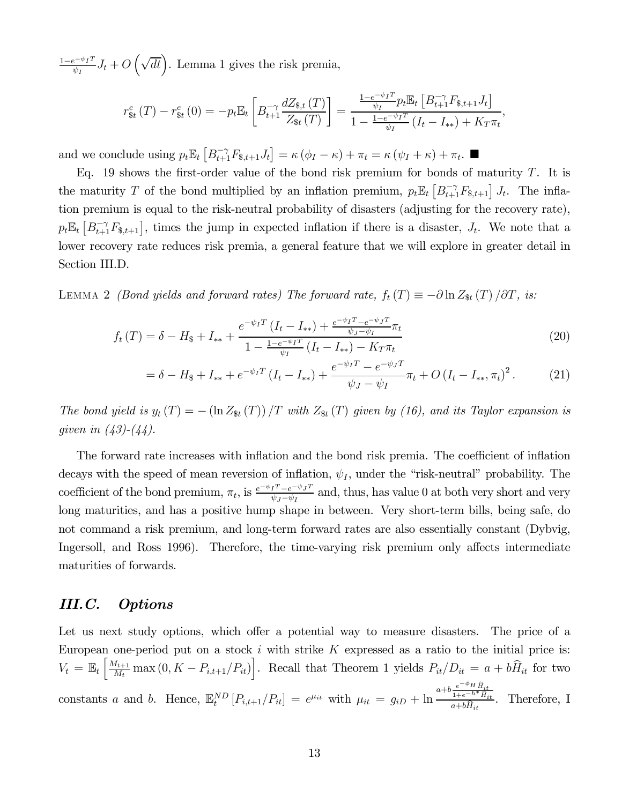$\frac{1-e^{-\psi_I T}}{\psi_I} J_t + O\left(\sqrt{dt}\right)$ . Lemma 1 gives the risk premia,

$$
r_{\$t}^{e}(T) - r_{\$t}^{e}(0) = -p_{t}\mathbb{E}_{t}\left[B_{t+1}^{-\gamma} \frac{dZ_{\$,t}(T)}{Z_{\$t}(T)}\right] = \frac{\frac{1 - e^{-\psi_{I}T}}{\psi_{I}} p_{t}\mathbb{E}_{t}\left[B_{t+1}^{-\gamma} F_{\$,t+1} J_{t}\right]}{1 - \frac{1 - e^{-\psi_{I}T}}{\psi_{I}}\left(I_{t} - I_{\ast \ast}\right) + K_{T}\pi_{t}},
$$

and we conclude using  $p_t \mathbb{E}_t \left[ B_{t+1}^{-\gamma} F_{s,t+1} J_t \right] = \kappa \left( \phi_I - \kappa \right) + \pi_t = \kappa \left( \psi_I + \kappa \right) + \pi_t. \blacksquare$ 

Eq. 19 shows the first-order value of the bond risk premium for bonds of maturity  $T$ . It is the maturity T of the bond multiplied by an inflation premium,  $p_t \mathbb{E}_t [B_{t+1}^{-\gamma} F_{s,t+1}] J_t$ . The inflation premium is equal to the risk-neutral probability of disasters (adjusting for the recovery rate),  $p_t \mathbb{E}_t\left[B_{t+1}^{-\gamma}F_{s,t+1}\right],$  times the jump in expected inflation if there is a disaster,  $J_t$ . We note that a lower recovery rate reduces risk premia, a general feature that we will explore in greater detail in Section III.D.

LEMMA 2 (Bond yields and forward rates) The forward rate,  $f_t(T) \equiv -\partial \ln Z_{\rm st}(T) / \partial T$ , is:

$$
f_t(T) = \delta - H_{\$} + I_{**} + \frac{e^{-\psi_I T} (I_t - I_{**}) + \frac{e^{-\psi_I T} - e^{-\psi_J T}}{\psi_J - \psi_I}}{1 - \frac{1 - e^{-\psi_I T}}{\psi_I} (I_t - I_{**}) - K_T \pi_t}
$$
(20)

$$
= \delta - H_{\$} + I_{**} + e^{-\psi_I T} \left( I_t - I_{**} \right) + \frac{e^{-\psi_I T} - e^{-\psi_J T}}{\psi_J - \psi_I} \pi_t + O \left( I_t - I_{**}, \pi_t \right)^2. \tag{21}
$$

The bond yield is  $y_t(T) = -(\ln Z_{\text{St}}(T)) / T$  with  $Z_{\text{St}}(T)$  given by (16), and its Taylor expansion is given in  $(43)-(44)$ .

The forward rate increases with inflation and the bond risk premia. The coefficient of inflation decays with the speed of mean reversion of inflation,  $\psi_I$ , under the "risk-neutral" probability. The coefficient of the bond premium,  $\pi_t$ , is  $\frac{e^{-\psi_I T} - e^{-\psi_J T}}{\psi_J - \psi_I}$  and, thus, has value 0 at both very short and very long maturities, and has a positive hump shape in between. Very short-term bills, being safe, do not command a risk premium, and long-term forward rates are also essentially constant (Dybvig, Ingersoll, and Ross 1996). Therefore, the time-varying risk premium only affects intermediate maturities of forwards.

# III.C. Options

Let us next study options, which offer a potential way to measure disasters. The price of a European one-period put on a stock  $i$  with strike  $K$  expressed as a ratio to the initial price is:  $V_t = \mathbb{E}_t \left[ \frac{M_{t+1}}{M_t} \max(0, K - P_{i,t+1}/P_{it}) \right]$ . Recall that Theorem 1 yields  $P_{it}/D_{it} = a + b\hat{H}_{it}$  for two constants *a* and *b*. Hence,  $\mathbb{E}_{t}^{ND}[P_{i,t+1}/P_{it}] = e^{\mu_{it}}$  with  $\mu_{it} = g_{iD} + \ln \frac{a+b\frac{e^{-\phi_H}\hat{H}_{it}}{1+e^{-h^*}\hat{H}_{it}}}{a+b\hat{H}_{it}}$  $\frac{1+e^{-h}H_{it}}{a+b\hat{H}_{it}}$ . Therefore, I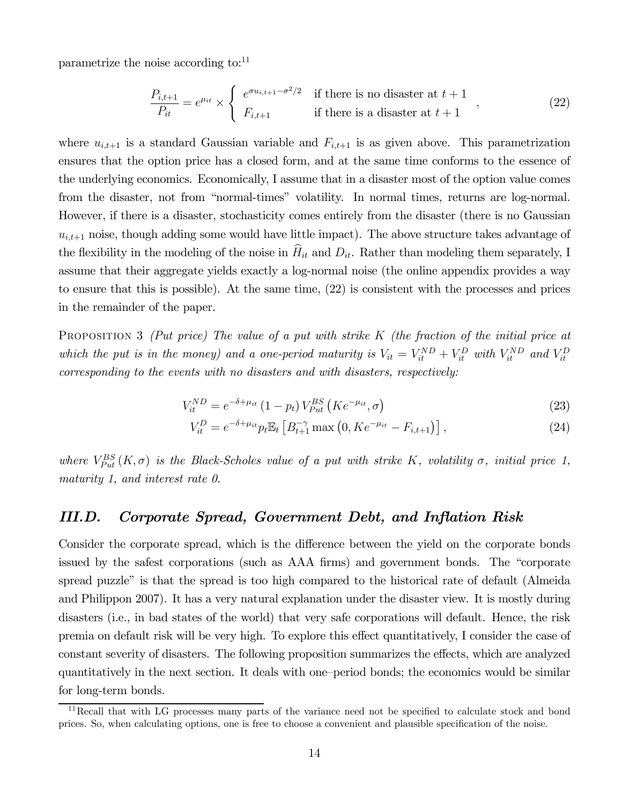parametrize the noise according to:<sup>11</sup>

$$
\frac{P_{i,t+1}}{P_{it}} = e^{\mu_{it}} \times \begin{cases} e^{\sigma u_{i,t+1} - \sigma^2/2} & \text{if there is no disaster at } t+1 \\ F_{i,t+1} & \text{if there is a disaster at } t+1 \end{cases}
$$
 (22)

where  $u_{i,t+1}$  is a standard Gaussian variable and  $F_{i,t+1}$  is as given above. This parametrization ensures that the option price has a closed form, and at the same time conforms to the essence of the underlying economics. Economically, I assume that in a disaster most of the option value comes from the disaster, not from "normal-times" volatility. In normal times, returns are log-normal. However, if there is a disaster, stochasticity comes entirely from the disaster (there is no Gaussian  $u_{i,t+1}$  noise, though adding some would have little impact). The above structure takes advantage of the flexibility in the modeling of the noise in  $\hat{H}_{it}$  and  $D_{it}$ . Rather than modeling them separately, I assume that their aggregate yields exactly a log-normal noise (the online appendix provides a way to ensure that this is possible). At the same time, (22) is consistent with the processes and prices in the remainder of the paper.

PROPOSITION 3 (Put price) The value of a put with strike  $K$  (the fraction of the initial price at which the put is in the money) and a one-period maturity is  $V_{it} = V_{it}^{ND} + V_{it}^{D}$  with  $V_{it}^{ND}$  and  $V_{it}^{D}$ corresponding to the events with no disasters and with disasters, respectively:

$$
V_{it}^{ND} = e^{-\delta + \mu_{it}} \left( 1 - p_t \right) V_{Put}^{BS} \left( K e^{-\mu_{it}}, \sigma \right)
$$
\n(23)

$$
V_{it}^{D} = e^{-\delta + \mu_{it}} p_t \mathbb{E}_t \left[ B_{t+1}^{-\gamma} \max \left( 0, K e^{-\mu_{it}} - F_{i,t+1} \right) \right], \tag{24}
$$

where  $V_{Put}^{BS}(K,\sigma)$  is the Black-Scholes value of a put with strike K, volatility  $\sigma$ , initial price 1, maturity 1, and interest rate 0.

## III.D. Corporate Spread, Government Debt, and Inflation Risk

Consider the corporate spread, which is the difference between the yield on the corporate bonds issued by the safest corporations (such as AAA firms) and government bonds. The "corporate spread puzzle" is that the spread is too high compared to the historical rate of default (Almeida and Philippon 2007). It has a very natural explanation under the disaster view. It is mostly during disasters (i.e., in bad states of the world) that very safe corporations will default. Hence, the risk premia on default risk will be very high. To explore this effect quantitatively, I consider the case of constant severity of disasters. The following proposition summarizes the effects, which are analyzed quantitatively in the next section. It deals with one—period bonds; the economics would be similar for long-term bonds.

<sup>&</sup>lt;sup>11</sup>Recall that with LG processes many parts of the variance need not be specified to calculate stock and bond prices. So, when calculating options, one is free to choose a convenient and plausible specification of the noise.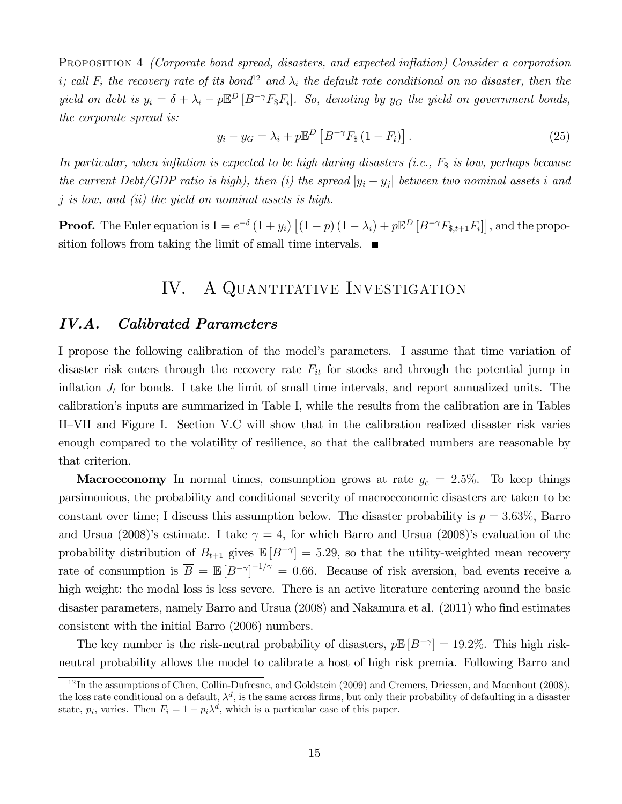Proposition 4 (Corporate bond spread, disasters, and expected inflation) Consider a corporation i; call  $F_i$  the recovery rate of its bond<sup>12</sup> and  $\lambda_i$  the default rate conditional on no disaster, then the yield on debt is  $y_i = \delta + \lambda_i - p \mathbb{E}^D[B^{-\gamma}F_{\gamma}F_i]$ . So, denoting by  $y_G$  the yield on government bonds, the corporate spread is:

$$
y_i - y_G = \lambda_i + p \mathbb{E}^D \left[ B^{-\gamma} F_{\$} \left( 1 - F_i \right) \right]. \tag{25}
$$

In particular, when inflation is expected to be high during disasters (i.e.,  $F_{\$}$  is low, perhaps because the current Debt/GDP ratio is high), then (i) the spread  $|y_i - y_j|$  between two nominal assets i and  $i$  is low, and (ii) the yield on nominal assets is high.

**Proof.** The Euler equation is  $1 = e^{-\delta} (1 + y_i) [(1 - p)(1 - \lambda_i) + p \mathbb{E}^D [B^{-\gamma} F_{\$, t+1} F_i]]$ , and the proposition follows from taking the limit of small time intervals.  $\blacksquare$ 

# IV. A QUANTITATIVE INVESTIGATION

## IV.A. Calibrated Parameters

I propose the following calibration of the model's parameters. I assume that time variation of disaster risk enters through the recovery rate  $F_{it}$  for stocks and through the potential jump in inflation  $J_t$  for bonds. I take the limit of small time intervals, and report annualized units. The calibration's inputs are summarized in Table I, while the results from the calibration are in Tables II—VII and Figure I. Section V.C will show that in the calibration realized disaster risk varies enough compared to the volatility of resilience, so that the calibrated numbers are reasonable by that criterion.

**Macroeconomy** In normal times, consumption grows at rate  $g_c = 2.5\%$ . To keep things parsimonious, the probability and conditional severity of macroeconomic disasters are taken to be constant over time; I discuss this assumption below. The disaster probability is  $p = 3.63\%$ , Barro and Ursua (2008)'s estimate. I take  $\gamma = 4$ , for which Barro and Ursua (2008)'s evaluation of the probability distribution of  $B_{t+1}$  gives  $\mathbb{E}[B^{-\gamma}] = 5.29$ , so that the utility-weighted mean recovery rate of consumption is  $\overline{B} = \mathbb{E}[B^{-\gamma}]^{-1/\gamma} = 0.66$ . Because of risk aversion, bad events receive a high weight: the modal loss is less severe. There is an active literature centering around the basic disaster parameters, namely Barro and Ursua (2008) and Nakamura et al. (2011) who find estimates consistent with the initial Barro (2006) numbers.

The key number is the risk-neutral probability of disasters,  $p\mathbb{E}[B^{-\gamma}] = 19.2\%$ . This high riskneutral probability allows the model to calibrate a host of high risk premia. Following Barro and

 $12$ In the assumptions of Chen, Collin-Dufresne, and Goldstein (2009) and Cremers, Driessen, and Maenhout (2008), the loss rate conditional on a default,  $\lambda^d$ , is the same across firms, but only their probability of defaulting in a disaster state,  $p_i$ , varies. Then  $F_i = 1 - p_i \lambda^d$ , which is a particular case of this paper.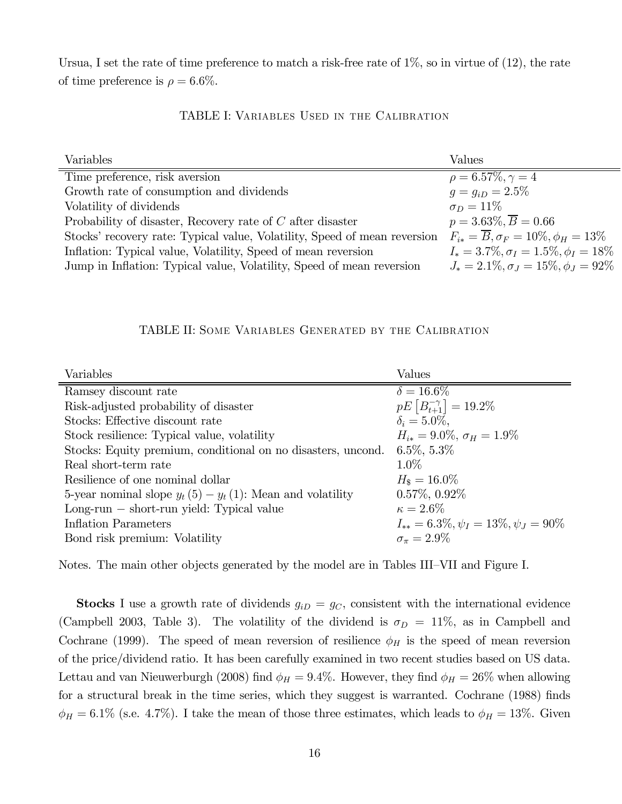Ursua, I set the rate of time preference to match a risk-free rate of 1%, so in virtue of (12), the rate of time preference is  $\rho = 6.6\%$ .

#### TABLE I: Variables Used in the Calibration

| Variables                                                                 | Values                                                  |
|---------------------------------------------------------------------------|---------------------------------------------------------|
| Time preference, risk aversion                                            | $\rho = 6.57\%, \gamma = 4$                             |
| Growth rate of consumption and dividends                                  | $q = q_{iD} = 2.5\%$                                    |
| Volatility of dividends                                                   | $\sigma_D = 11\%$                                       |
| Probability of disaster, Recovery rate of $C$ after disaster              | $p = 3.63\%, \overline{B} = 0.66$                       |
| Stocks' recovery rate: Typical value, Volatility, Speed of mean reversion | $F_{i*} = \overline{B}, \sigma_F = 10\%, \phi_H = 13\%$ |
| Inflation: Typical value, Volatility, Speed of mean reversion             | $I_* = 3.7\%, \sigma_I = 1.5\%, \phi_I = 18\%$          |
| Jump in Inflation: Typical value, Volatility, Speed of mean reversion     | $J_* = 2.1\%, \sigma_I = 15\%, \phi_I = 92\%$           |

#### TABLE II: Some Variables Generated by the Calibration

| Variables                                                    | Values                                         |
|--------------------------------------------------------------|------------------------------------------------|
| Ramsey discount rate                                         | $\delta = 16.6\%$                              |
| Risk-adjusted probability of disaster                        | $pE[B^{-\gamma}_{t+1}] = 19.2\%$               |
| Stocks: Effective discount rate                              | $\delta_i = 5.0\%.$                            |
| Stock resilience: Typical value, volatility                  | $H_{i*} = 9.0\%, \sigma_H = 1.9\%$             |
| Stocks: Equity premium, conditional on no disasters, uncond. | $6.5\%, 5.3\%$                                 |
| Real short-term rate                                         | $1.0\%$                                        |
| Resilience of one nominal dollar                             | $H_{\rm s}=16.0\%$                             |
| 5-year nominal slope $y_t(5) - y_t(1)$ : Mean and volatility | $0.57\%, 0.92\%$                               |
| $Long-run - short-run yield: Typical value$                  | $\kappa = 2.6\%$                               |
| <b>Inflation Parameters</b>                                  | $I_{**} = 6.3\%, \psi_I = 13\%, \psi_J = 90\%$ |
| Bond risk premium: Volatility                                | $\sigma_{\pi} = 2.9\%$                         |

Notes. The main other objects generated by the model are in Tables III—VII and Figure I.

**Stocks** I use a growth rate of dividends  $g_{iD} = g_C$ , consistent with the international evidence (Campbell 2003, Table 3). The volatility of the dividend is  $\sigma_D = 11\%$ , as in Campbell and Cochrane (1999). The speed of mean reversion of resilience  $\phi_H$  is the speed of mean reversion of the price/dividend ratio. It has been carefully examined in two recent studies based on US data. Lettau and van Nieuwerburgh (2008) find  $\phi_H = 9.4\%$ . However, they find  $\phi_H = 26\%$  when allowing for a structural break in the time series, which they suggest is warranted. Cochrane (1988) finds  $\phi_H = 6.1\%$  (s.e. 4.7%). I take the mean of those three estimates, which leads to  $\phi_H = 13\%$ . Given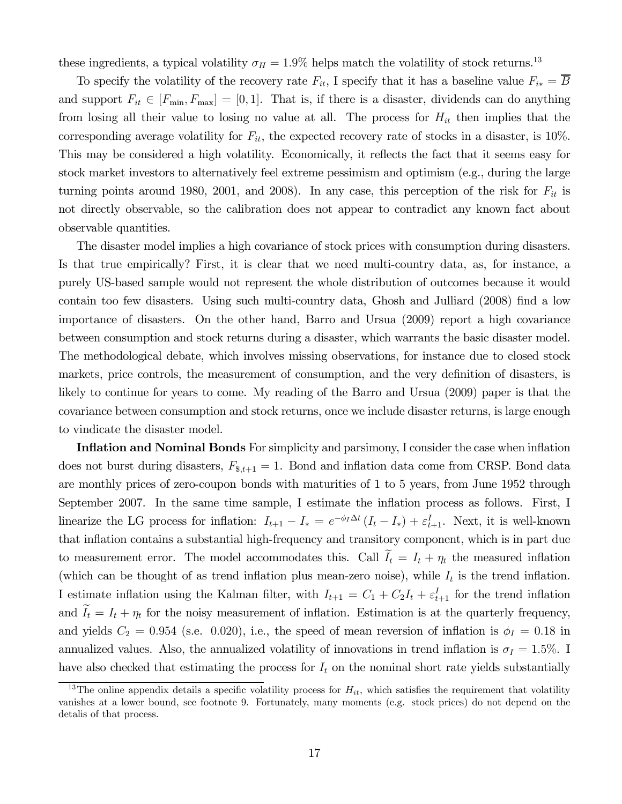these ingredients, a typical volatility  $\sigma_H = 1.9\%$  helps match the volatility of stock returns.<sup>13</sup>

To specify the volatility of the recovery rate  $F_{it}$ , I specify that it has a baseline value  $F_{i*} = \overline{B}$ and support  $F_{it} \in [F_{min}, F_{max}] = [0, 1]$ . That is, if there is a disaster, dividends can do anything from losing all their value to losing no value at all. The process for  $H_{it}$  then implies that the corresponding average volatility for  $F_{it}$ , the expected recovery rate of stocks in a disaster, is 10%. This may be considered a high volatility. Economically, it reflects the fact that it seems easy for stock market investors to alternatively feel extreme pessimism and optimism (e.g., during the large turning points around 1980, 2001, and 2008). In any case, this perception of the risk for  $F_{it}$  is not directly observable, so the calibration does not appear to contradict any known fact about observable quantities.

The disaster model implies a high covariance of stock prices with consumption during disasters. Is that true empirically? First, it is clear that we need multi-country data, as, for instance, a purely US-based sample would not represent the whole distribution of outcomes because it would contain too few disasters. Using such multi-country data, Ghosh and Julliard (2008) find a low importance of disasters. On the other hand, Barro and Ursua (2009) report a high covariance between consumption and stock returns during a disaster, which warrants the basic disaster model. The methodological debate, which involves missing observations, for instance due to closed stock markets, price controls, the measurement of consumption, and the very definition of disasters, is likely to continue for years to come. My reading of the Barro and Ursua (2009) paper is that the covariance between consumption and stock returns, once we include disaster returns, is large enough to vindicate the disaster model.

Inflation and Nominal Bonds For simplicity and parsimony, I consider the case when inflation does not burst during disasters,  $F_{\$, t+1} = 1$ . Bond and inflation data come from CRSP. Bond data are monthly prices of zero-coupon bonds with maturities of 1 to 5 years, from June 1952 through September 2007. In the same time sample, I estimate the inflation process as follows. First, I linearize the LG process for inflation:  $I_{t+1} - I_* = e^{-\phi_I \Delta t} (I_t - I_*) + \varepsilon_{t+1}^I$ . Next, it is well-known that inflation contains a substantial high-frequency and transitory component, which is in part due to measurement error. The model accommodates this. Call  $I_t = I_t + \eta_t$  the measured inflation (which can be thought of as trend inflation plus mean-zero noise), while  $I_t$  is the trend inflation. I estimate inflation using the Kalman filter, with  $I_{t+1} = C_1 + C_2 I_t + \varepsilon_{t+1}^I$  for the trend inflation and  $I_t = I_t + \eta_t$  for the noisy measurement of inflation. Estimation is at the quarterly frequency, and yields  $C_2 = 0.954$  (s.e. 0.020), i.e., the speed of mean reversion of inflation is  $\phi_I = 0.18$  in annualized values. Also, the annualized volatility of innovations in trend inflation is  $\sigma_I = 1.5\%$ . I have also checked that estimating the process for  $I_t$  on the nominal short rate yields substantially

<sup>&</sup>lt;sup>13</sup>The online appendix details a specific volatility process for  $H_{it}$ , which satisfies the requirement that volatility vanishes at a lower bound, see footnote 9. Fortunately, many moments (e.g. stock prices) do not depend on the detalis of that process.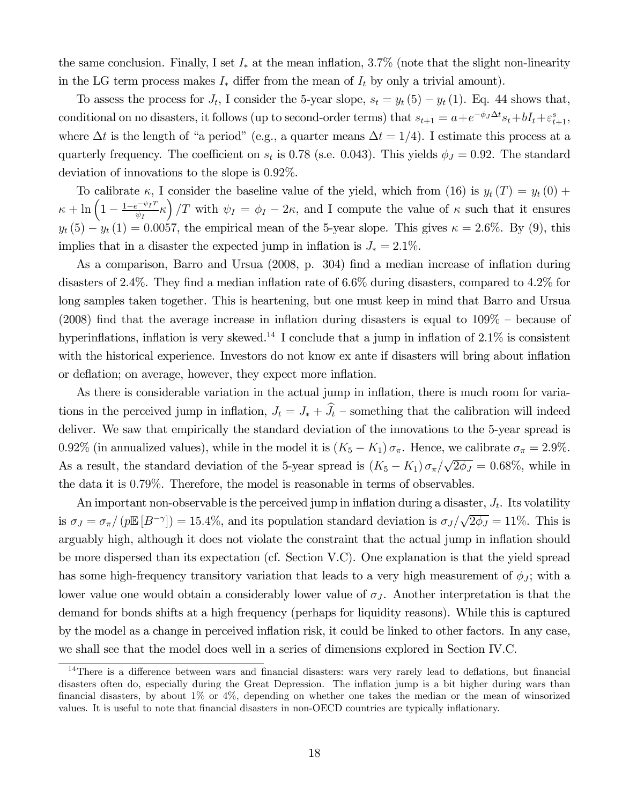the same conclusion. Finally, I set  $I_*$  at the mean inflation, 3.7% (note that the slight non-linearity in the LG term process makes  $I_*$  differ from the mean of  $I_t$  by only a trivial amount).

To assess the process for  $J_t$ , I consider the 5-year slope,  $s_t = y_t(5) - y_t(1)$ . Eq. 44 shows that, conditional on no disasters, it follows (up to second-order terms) that  $s_{t+1} = a + e^{-\phi_J \Delta t} s_t + bI_t + \varepsilon_{t+1}^s$ , where  $\Delta t$  is the length of "a period" (e.g., a quarter means  $\Delta t = 1/4$ ). I estimate this process at a quarterly frequency. The coefficient on  $s_t$  is 0.78 (s.e. 0.043). This yields  $\phi_J = 0.92$ . The standard deviation of innovations to the slope is  $0.92\%$ .

To calibrate  $\kappa$ , I consider the baseline value of the yield, which from (16) is  $y_t(T) = y_t(0) +$  $\kappa + \ln\left(1 - \frac{1-e^{-\psi_I T}}{\psi_I}\kappa\right)/T$  with  $\psi_I = \phi_I - 2\kappa$ , and I compute the value of  $\kappa$  such that it ensures  $y_t(5) - y_t(1) = 0.0057$ , the empirical mean of the 5-year slope. This gives  $\kappa = 2.6\%$ . By (9), this implies that in a disaster the expected jump in inflation is  $J_* = 2.1\%$ .

As a comparison, Barro and Ursua (2008, p. 304) find a median increase of inflation during disasters of 2.4%. They find a median inflation rate of 6.6% during disasters, compared to 4.2% for long samples taken together. This is heartening, but one must keep in mind that Barro and Ursua (2008) find that the average increase in inflation during disasters is equal to 109% — because of hyperinflations, inflation is very skewed.<sup>14</sup> I conclude that a jump in inflation of  $2.1\%$  is consistent with the historical experience. Investors do not know ex ante if disasters will bring about inflation or deflation; on average, however, they expect more inflation.

As there is considerable variation in the actual jump in inflation, there is much room for variations in the perceived jump in inflation,  $J_t = J_* + J_t$  – something that the calibration will indeed deliver. We saw that empirically the standard deviation of the innovations to the 5-year spread is 0.92% (in annualized values), while in the model it is  $(K_5 - K_1) \sigma_{\pi}$ . Hence, we calibrate  $\sigma_{\pi} = 2.9\%$ . As a result, the standard deviation of the 5-year spread is  $(K_5 - K_1) \sigma_{\pi}/\sqrt{2\phi_J} = 0.68\%$ , while in the data it is 0.79%. Therefore, the model is reasonable in terms of observables.

An important non-observable is the perceived jump in inflation during a disaster,  $J_t$ . Its volatility is  $\sigma_J = \sigma_{\pi}/(p\mathbb{E}[B^{-\gamma}]) = 15.4\%$ , and its population standard deviation is  $\sigma_J/\sqrt{2\phi_J} = 11\%$ . This is arguably high, although it does not violate the constraint that the actual jump in inflation should be more dispersed than its expectation (cf. Section V.C). One explanation is that the yield spread has some high-frequency transitory variation that leads to a very high measurement of  $\phi_J$ ; with a lower value one would obtain a considerably lower value of  $\sigma_J$ . Another interpretation is that the demand for bonds shifts at a high frequency (perhaps for liquidity reasons). While this is captured by the model as a change in perceived inflation risk, it could be linked to other factors. In any case, we shall see that the model does well in a series of dimensions explored in Section IV.C.

<sup>&</sup>lt;sup>14</sup>There is a difference between wars and financial disasters: wars very rarely lead to deflations, but financial disasters often do, especially during the Great Depression. The inflation jump is a bit higher during wars than financial disasters, by about 1% or 4%, depending on whether one takes the median or the mean of winsorized values. It is useful to note that financial disasters in non-OECD countries are typically inflationary.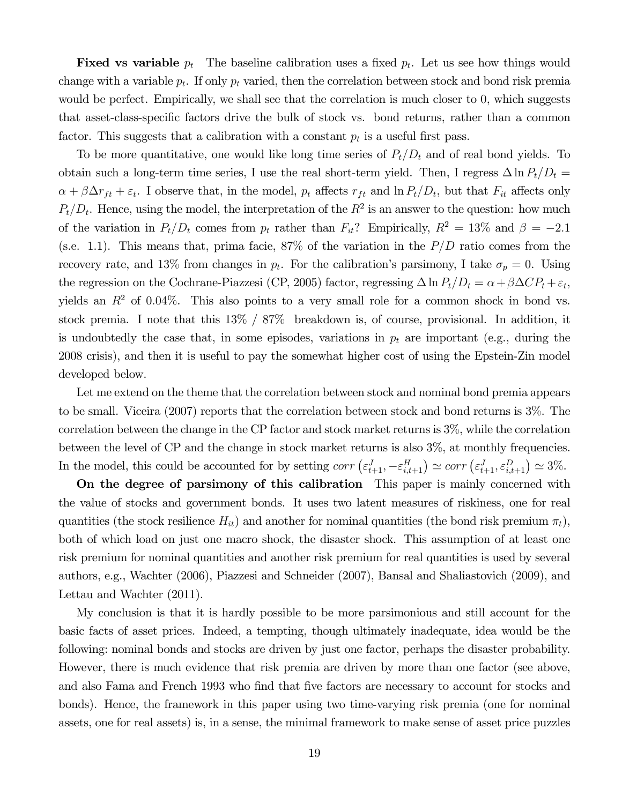**Fixed vs variable**  $p_t$  The baseline calibration uses a fixed  $p_t$ . Let us see how things would change with a variable  $p_t$ . If only  $p_t$  varied, then the correlation between stock and bond risk premia would be perfect. Empirically, we shall see that the correlation is much closer to 0, which suggests that asset-class-specific factors drive the bulk of stock vs. bond returns, rather than a common factor. This suggests that a calibration with a constant  $p_t$  is a useful first pass.

To be more quantitative, one would like long time series of  $P_t/D_t$  and of real bond yields. To obtain such a long-term time series, I use the real short-term yield. Then, I regress  $\Delta \ln P_t/D_t =$  $\alpha + \beta \Delta r_{ft} + \varepsilon_t$ . I observe that, in the model,  $p_t$  affects  $r_{ft}$  and  $\ln P_t/D_t$ , but that  $F_{it}$  affects only  $P_t/D_t$ . Hence, using the model, the interpretation of the  $R^2$  is an answer to the question: how much of the variation in  $P_t/D_t$  comes from  $p_t$  rather than  $F_{it}$ ? Empirically,  $R^2 = 13\%$  and  $\beta = -2.1$ (s.e. 1.1). This means that, prima facie,  $87\%$  of the variation in the  $P/D$  ratio comes from the recovery rate, and 13% from changes in  $p_t$ . For the calibration's parsimony, I take  $\sigma_p = 0$ . Using the regression on the Cochrane-Piazzesi (CP, 2005) factor, regressing  $\Delta \ln P_t/D_t = \alpha + \beta \Delta CP_t + \varepsilon_t$ , yields an  $R^2$  of 0.04%. This also points to a very small role for a common shock in bond vs. stock premia. I note that this 13% / 87% breakdown is, of course, provisional. In addition, it is undoubtedly the case that, in some episodes, variations in  $p_t$  are important (e.g., during the 2008 crisis), and then it is useful to pay the somewhat higher cost of using the Epstein-Zin model developed below.

Let me extend on the theme that the correlation between stock and nominal bond premia appears to be small. Viceira (2007) reports that the correlation between stock and bond returns is 3%. The correlation between the change in the CP factor and stock market returns is 3%, while the correlation between the level of CP and the change in stock market returns is also 3%, at monthly frequencies. In the model, this could be accounted for by setting  $corr\left(\varepsilon_{t+1}^{J}, -\varepsilon_{i,t+1}^{H}\right) \simeq corr\left(\varepsilon_{t+1}^{J}, \varepsilon_{i,t+1}^{D}\right) \simeq 3\%.$ 

On the degree of parsimony of this calibration This paper is mainly concerned with the value of stocks and government bonds. It uses two latent measures of riskiness, one for real quantities (the stock resilience  $H_{it}$ ) and another for nominal quantities (the bond risk premium  $\pi_t$ ), both of which load on just one macro shock, the disaster shock. This assumption of at least one risk premium for nominal quantities and another risk premium for real quantities is used by several authors, e.g., Wachter (2006), Piazzesi and Schneider (2007), Bansal and Shaliastovich (2009), and Lettau and Wachter (2011).

My conclusion is that it is hardly possible to be more parsimonious and still account for the basic facts of asset prices. Indeed, a tempting, though ultimately inadequate, idea would be the following: nominal bonds and stocks are driven by just one factor, perhaps the disaster probability. However, there is much evidence that risk premia are driven by more than one factor (see above, and also Fama and French 1993 who find that five factors are necessary to account for stocks and bonds). Hence, the framework in this paper using two time-varying risk premia (one for nominal assets, one for real assets) is, in a sense, the minimal framework to make sense of asset price puzzles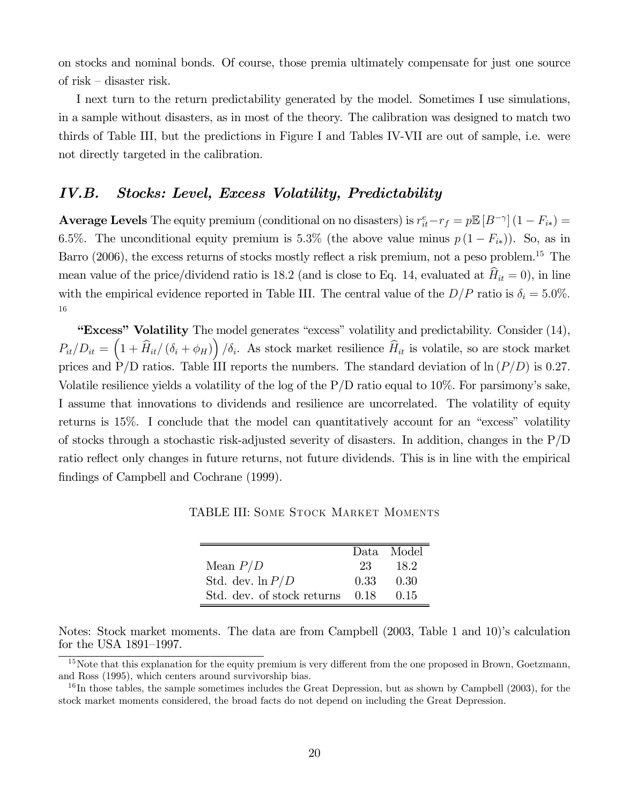on stocks and nominal bonds. Of course, those premia ultimately compensate for just one source of risk — disaster risk.

I next turn to the return predictability generated by the model. Sometimes I use simulations, in a sample without disasters, as in most of the theory. The calibration was designed to match two thirds of Table III, but the predictions in Figure I and Tables IV-VII are out of sample, i.e. were not directly targeted in the calibration.

## IV.B. Stocks: Level, Excess Volatility, Predictability

**Average Levels** The equity premium (conditional on no disasters) is  $r_{it}^e - r_f = p \mathbb{E} [B^{-\gamma}] (1 - F_{i*}) =$ 6.5%. The unconditional equity premium is 5.3% (the above value minus  $p(1 - F_{i*})$ ). So, as in Barro (2006), the excess returns of stocks mostly reflect a risk premium, not a peso problem.<sup>15</sup> The mean value of the price/dividend ratio is 18.2 (and is close to Eq. 14, evaluated at  $\hat{H}_{it} = 0$ ), in line with the empirical evidence reported in Table III. The central value of the  $D/P$  ratio is  $\delta_i = 5.0\%$ . 16

"Excess" Volatility The model generates "excess" volatility and predictability. Consider (14),  $P_{it}/D_{it} = (1 + \widehat{H}_{it}/(\delta_i + \phi_H))/\delta_i$ . As stock market resilience  $\widehat{H}_{it}$  is volatile, so are stock market prices and P/D ratios. Table III reports the numbers. The standard deviation of  $\ln (P/D)$  is 0.27. Volatile resilience yields a volatility of the log of the P/D ratio equal to 10%. For parsimony's sake, I assume that innovations to dividends and resilience are uncorrelated. The volatility of equity returns is 15%. I conclude that the model can quantitatively account for an "excess" volatility of stocks through a stochastic risk-adjusted severity of disasters. In addition, changes in the P/D ratio reflect only changes in future returns, not future dividends. This is in line with the empirical findings of Campbell and Cochrane (1999).

TABLE III: Some Stock Market Moments

|                            |      | Data Model         |
|----------------------------|------|--------------------|
| Mean $P/D$                 | 23   | - 182              |
| Std. dev. $\ln P/D$        |      | $0.33 \qquad 0.30$ |
| Std. dev. of stock returns | 0.18 | 0.15               |

Notes: Stock market moments. The data are from Campbell (2003, Table 1 and 10)'s calculation for the USA 1891—1997.

<sup>&</sup>lt;sup>15</sup>Note that this explanation for the equity premium is very different from the one proposed in Brown, Goetzmann, and Ross (1995), which centers around survivorship bias.

 $^{16}$ In those tables, the sample sometimes includes the Great Depression, but as shown by Campbell (2003), for the stock market moments considered, the broad facts do not depend on including the Great Depression.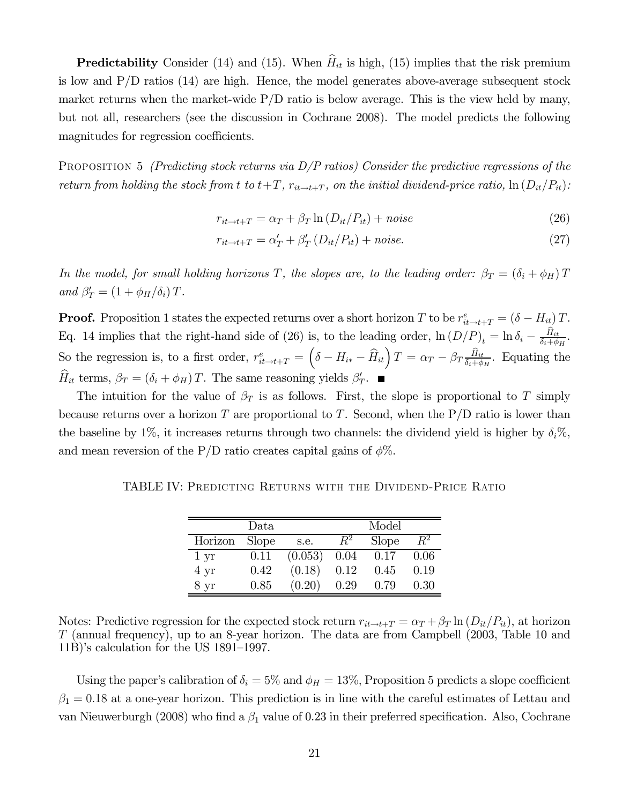**Predictability** Consider (14) and (15). When  $\hat{H}_{it}$  is high, (15) implies that the risk premium is low and P/D ratios (14) are high. Hence, the model generates above-average subsequent stock market returns when the market-wide  $P/D$  ratio is below average. This is the view held by many, but not all, researchers (see the discussion in Cochrane 2008). The model predicts the following magnitudes for regression coefficients.

PROPOSITION 5 (Predicting stock returns via  $D/P$  ratios) Consider the predictive regressions of the return from holding the stock from t to  $t+T$ ,  $r_{it\to t+T}$ , on the initial dividend-price ratio,  $\ln(D_{it}/P_{it})$ :

$$
r_{it \to t+T} = \alpha_T + \beta_T \ln \left( D_{it} / P_{it} \right) + noise \tag{26}
$$

$$
r_{it \to t+T} = \alpha'_T + \beta'_T (D_{it}/P_{it}) + noise.
$$
\n(27)

In the model, for small holding horizons T, the slopes are, to the leading order:  $\beta_T = (\delta_i + \phi_H)T$ and  $\beta'_T = (1 + \phi_H/\delta_i) T$ .

**Proof.** Proposition 1 states the expected returns over a short horizon T to be  $r_{it\to t+T}^e = (\delta - H_{it})T$ . Eq. 14 implies that the right-hand side of (26) is, to the leading order,  $\ln(D/P)_t = \ln \delta_i - \frac{H_{it}}{\delta_i + \phi_H}$ . So the regression is, to a first order,  $r_{it\to t+T}^e = \left(\delta - H_{i*} - \widehat{H}_{it}\right)T = \alpha_T - \beta_T \frac{\widehat{H}_{it}}{\delta_i + \phi_H}$ . Equating the  $H_{it}$  terms,  $\beta_T = (\delta_i + \phi_H)T$ . The same reasoning yields  $\beta'_T$ .

The intuition for the value of  $\beta_T$  is as follows. First, the slope is proportional to T simply because returns over a horizon T are proportional to T. Second, when the  $P/D$  ratio is lower than the baseline by 1%, it increases returns through two channels: the dividend yield is higher by  $\delta_i$ %, and mean reversion of the P/D ratio creates capital gains of  $\phi\%$ .

TABLE IV: Predicting Returns with the Dividend-Price Ratio

| $\mathrm{Data}$ |              |         | Model   |       |         |
|-----------------|--------------|---------|---------|-------|---------|
| Horizon         | <b>Slope</b> | s.e.    | $\,R^2$ | Slope | $\,R^2$ |
| $1 \mathrm{yr}$ | 0.11         | (0.053) | 0.04    | 0.17  | 0.06    |
| $4 \text{ yr}$  | 0.42         | (0.18)  | 0.12    | 0.45  | 0.19    |
| 8 <sub>yr</sub> | 0.85         | (0.20)  | 0.29    | 0.79  | 0.30    |

Notes: Predictive regression for the expected stock return  $r_{it\to t+T} = \alpha_T + \beta_T \ln(D_{it}/P_{it})$ , at horizon (annual frequency), up to an 8-year horizon. The data are from Campbell (2003, Table 10 and 11B)'s calculation for the US 1891—1997.

Using the paper's calibration of  $\delta_i = 5\%$  and  $\phi_H = 13\%$ , Proposition 5 predicts a slope coefficient  $\beta_1 = 0.18$  at a one-year horizon. This prediction is in line with the careful estimates of Lettau and van Nieuwerburgh (2008) who find a  $\beta_1$  value of 0.23 in their preferred specification. Also, Cochrane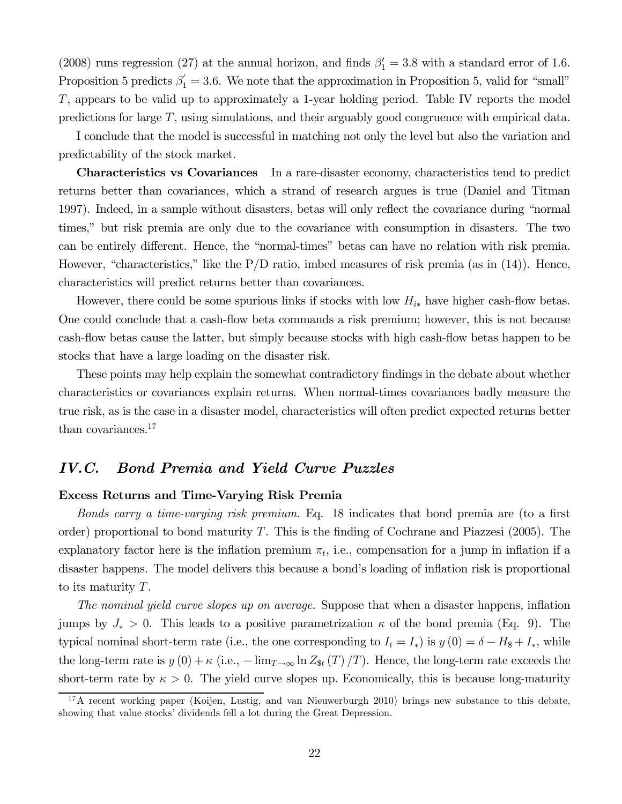(2008) runs regression (27) at the annual horizon, and finds  $\beta'_1 = 3.8$  with a standard error of 1.6. Proposition 5 predicts  $\beta'_1 = 3.6$ . We note that the approximation in Proposition 5, valid for "small" , appears to be valid up to approximately a 1-year holding period. Table IV reports the model predictions for large  $T$ , using simulations, and their arguably good congruence with empirical data.

I conclude that the model is successful in matching not only the level but also the variation and predictability of the stock market.

Characteristics vs Covariances In a rare-disaster economy, characteristics tend to predict returns better than covariances, which a strand of research argues is true (Daniel and Titman 1997). Indeed, in a sample without disasters, betas will only reflect the covariance during "normal times," but risk premia are only due to the covariance with consumption in disasters. The two can be entirely different. Hence, the "normal-times" betas can have no relation with risk premia. However, "characteristics," like the  $P/D$  ratio, imbed measures of risk premia (as in (14)). Hence, characteristics will predict returns better than covariances.

However, there could be some spurious links if stocks with low  $H_{i*}$  have higher cash-flow betas. One could conclude that a cash-flow beta commands a risk premium; however, this is not because cash-flow betas cause the latter, but simply because stocks with high cash-flow betas happen to be stocks that have a large loading on the disaster risk.

These points may help explain the somewhat contradictory findings in the debate about whether characteristics or covariances explain returns. When normal-times covariances badly measure the true risk, as is the case in a disaster model, characteristics will often predict expected returns better than covariances.<sup>17</sup>

# IV.C. Bond Premia and Yield Curve Puzzles

#### Excess Returns and Time-Varying Risk Premia

Bonds carry a time-varying risk premium. Eq. 18 indicates that bond premia are (to a first order) proportional to bond maturity T. This is the finding of Cochrane and Piazzesi (2005). The explanatory factor here is the inflation premium  $\pi_t$ , i.e., compensation for a jump in inflation if a disaster happens. The model delivers this because a bond's loading of inflation risk is proportional to its maturity  $T$ .

The nominal yield curve slopes up on average. Suppose that when a disaster happens, inflation jumps by  $J_* > 0$ . This leads to a positive parametrization  $\kappa$  of the bond premia (Eq. 9). The typical nominal short-term rate (i.e., the one corresponding to  $I_t = I_*$ ) is  $y(0) = \delta - H_s + I_*$ , while the long-term rate is  $y(0) + \kappa$  (i.e.,  $-\lim_{T\to\infty} \ln Z_{\text{st}}(T) / T$ ). Hence, the long-term rate exceeds the short-term rate by  $\kappa > 0$ . The yield curve slopes up. Economically, this is because long-maturity

<sup>&</sup>lt;sup>17</sup>A recent working paper (Koijen, Lustig, and van Nieuwerburgh 2010) brings new substance to this debate, showing that value stocks' dividends fell a lot during the Great Depression.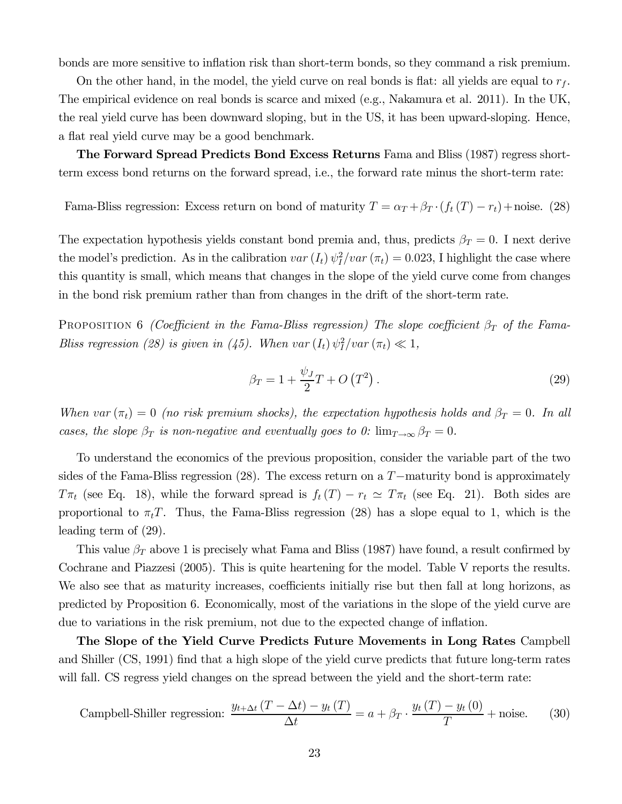bonds are more sensitive to inflation risk than short-term bonds, so they command a risk premium.

On the other hand, in the model, the yield curve on real bonds is flat: all yields are equal to  $r_f$ . The empirical evidence on real bonds is scarce and mixed (e.g., Nakamura et al. 2011). In the UK, the real yield curve has been downward sloping, but in the US, it has been upward-sloping. Hence, a flat real yield curve may be a good benchmark.

The Forward Spread Predicts Bond Excess Returns Fama and Bliss (1987) regress shortterm excess bond returns on the forward spread, i.e., the forward rate minus the short-term rate:

Fama-Bliss regression: Excess return on bond of maturity  $T = \alpha_T + \beta_T \cdot (f_t(T) - r_t) + \text{noise.}$  (28)

The expectation hypothesis yields constant bond premia and, thus, predicts  $\beta_T = 0$ . I next derive the model's prediction. As in the calibration  $var(I_t) \psi_I^2 / var(\pi_t) = 0.023$ , I highlight the case where this quantity is small, which means that changes in the slope of the yield curve come from changes in the bond risk premium rather than from changes in the drift of the short-term rate.

PROPOSITION 6 (Coefficient in the Fama-Bliss regression) The slope coefficient  $\beta_T$  of the Fama-Bliss regression (28) is given in (45). When  $var(I_t) \psi_I^2 / var(\pi_t) \ll 1$ ,

$$
\beta_T = 1 + \frac{\psi_J}{2}T + O\left(T^2\right). \tag{29}
$$

When var  $(\pi_t)=0$  (no risk premium shocks), the expectation hypothesis holds and  $\beta_T = 0$ . In all cases, the slope  $\beta_T$  is non-negative and eventually goes to 0:  $\lim_{T\to\infty} \beta_T = 0$ .

To understand the economics of the previous proposition, consider the variable part of the two sides of the Fama-Bliss regression  $(28)$ . The excess return on a  $T$ -maturity bond is approximately  $T\pi_t$  (see Eq. 18), while the forward spread is  $f_t(T) - r_t \simeq T\pi_t$  (see Eq. 21). Both sides are proportional to  $\pi_t T$ . Thus, the Fama-Bliss regression (28) has a slope equal to 1, which is the leading term of (29).

This value  $\beta_T$  above 1 is precisely what Fama and Bliss (1987) have found, a result confirmed by Cochrane and Piazzesi (2005). This is quite heartening for the model. Table V reports the results. We also see that as maturity increases, coefficients initially rise but then fall at long horizons, as predicted by Proposition 6. Economically, most of the variations in the slope of the yield curve are due to variations in the risk premium, not due to the expected change of inflation.

The Slope of the Yield Curve Predicts Future Movements in Long Rates Campbell and Shiller (CS, 1991) find that a high slope of the yield curve predicts that future long-term rates will fall. CS regress yield changes on the spread between the yield and the short-term rate:

$$
\text{ Campbell-Shiller regression: } \frac{y_{t+\Delta t}(T - \Delta t) - y_t(T)}{\Delta t} = a + \beta_T \cdot \frac{y_t(T) - y_t(0)}{T} + \text{noise.}
$$
\n
$$
(30)
$$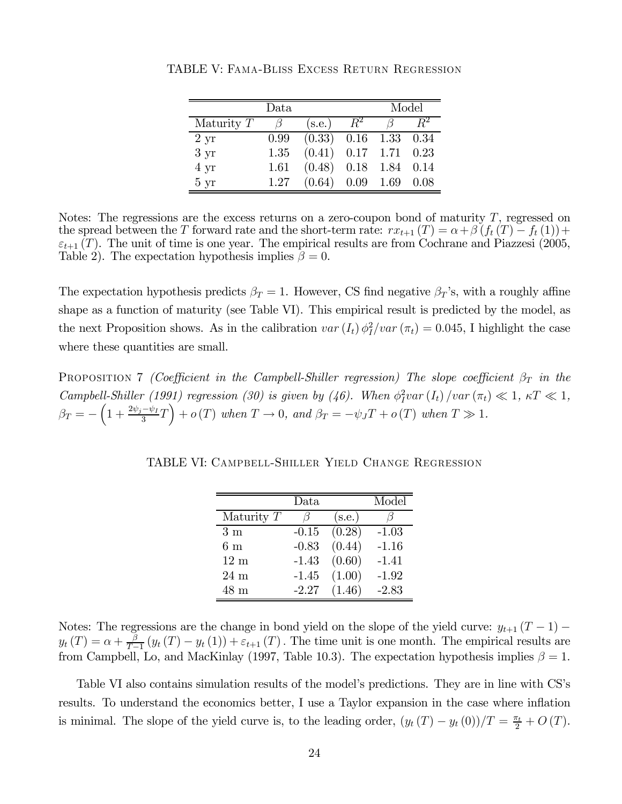| Data            |      |                    | Model       |                    |        |
|-----------------|------|--------------------|-------------|--------------------|--------|
| Maturity $T$    |      | (s.e.)             | $R^{\rm z}$ |                    |        |
| $2 \mathrm{yr}$ | 0.99 | (0.33)             |             | $0.16$ 1.33 $0.34$ |        |
| $3 \mathrm{yr}$ | 1.35 | $(0.41)$ 0.17 1.71 |             |                    | 0.23   |
| 4 yr            | 1.61 | (0.48)             | 0.18        | 1.84               | - 0.14 |
| $5 \mathrm{yr}$ | 1.27 | (0.64)             | 0.09        | 1.69               | 0.08   |

TABLE V: Fama-Bliss Excess Return Regression

Notes: The regressions are the excess returns on a zero-coupon bond of maturity  $T$ , regressed on the spread between the T forward rate and the short-term rate:  $rx_{t+1}(T) = \alpha + \beta (f_t(T) - f_t(1)) +$  $\varepsilon_{t+1}(T)$ . The unit of time is one year. The empirical results are from Cochrane and Piazzesi (2005, Table 2). The expectation hypothesis implies  $\beta = 0$ .

The expectation hypothesis predicts  $\beta_T = 1$ . However, CS find negative  $\beta_T$ 's, with a roughly affine shape as a function of maturity (see Table VI). This empirical result is predicted by the model, as the next Proposition shows. As in the calibration  $var(I_t) \phi_I^2 / var(\pi_t) = 0.045$ , I highlight the case where these quantities are small.

**PROPOSITION 7** (Coefficient in the Campbell-Shiller regression) The slope coefficient  $\beta_T$  in the Campbell-Shiller (1991) regression (30) is given by (46). When  $\phi_I^2 var(I_t) / var(\pi_t) \ll 1, \kappa T \ll 1$ ,  $\beta_T = -\left(1 + \frac{2\psi_j - \psi_I}{3}T\right) + o(T)$  when  $T \to 0$ , and  $\beta_T = -\psi_J T + o(T)$  when  $T \gg 1$ .

TABLE VI: Campbell-Shiller Yield Change Regression

|                | Data    |        | Model   |
|----------------|---------|--------|---------|
| Maturity $T$   | /7      | (s.e.) |         |
| 3m             | $-0.15$ | (0.28) | $-1.03$ |
| 6m             | $-0.83$ | (0.44) | $-1.16$ |
| $12 \text{ m}$ | $-1.43$ | (0.60) | $-1.41$ |
| $24 \text{ m}$ | $-1.45$ | (1.00) | $-1.92$ |
| 48 m           | $-2.27$ | (1.46) | $-2.83$ |

Notes: The regressions are the change in bond yield on the slope of the yield curve:  $y_{t+1} (T - 1)$  –  $y_t(T) = \alpha + \frac{\beta}{T-1} (y_t(T) - y_t(1)) + \varepsilon_{t+1}(T)$ . The time unit is one month. The empirical results are from Campbell, Lo, and MacKinlay (1997, Table 10.3). The expectation hypothesis implies  $\beta = 1$ .

Table VI also contains simulation results of the model's predictions. They are in line with CS's results. To understand the economics better, I use a Taylor expansion in the case where inflation is minimal. The slope of the yield curve is, to the leading order,  $(y_t(T) - y_t(0))/T = \frac{\pi_t}{2} + O(T)$ .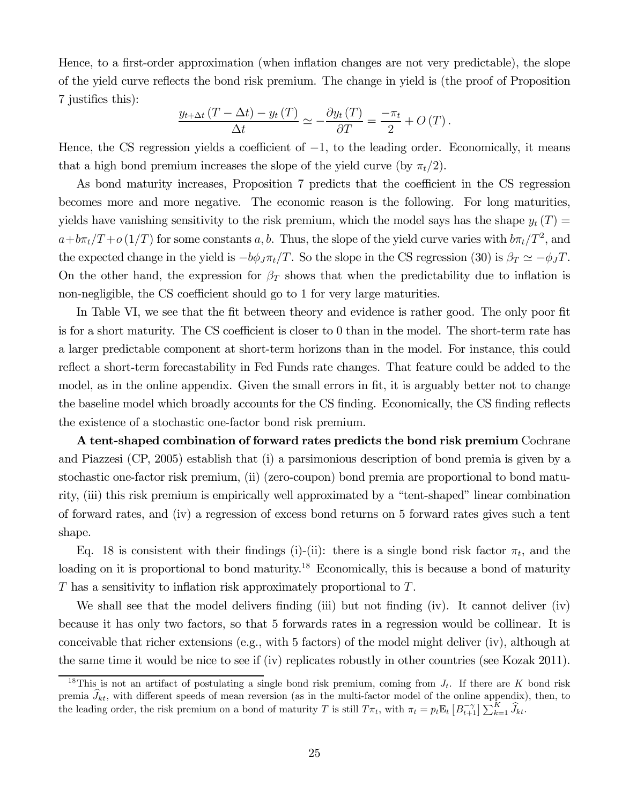Hence, to a first-order approximation (when inflation changes are not very predictable), the slope of the yield curve reflects the bond risk premium. The change in yield is (the proof of Proposition 7 justifies this):

$$
\frac{y_{t+\Delta t} (T - \Delta t) - y_t (T)}{\Delta t} \simeq -\frac{\partial y_t (T)}{\partial T} = \frac{-\pi_t}{2} + O(T).
$$

Hence, the CS regression yields a coefficient of  $-1$ , to the leading order. Economically, it means that a high bond premium increases the slope of the yield curve (by  $\pi_t/2$ ).

As bond maturity increases, Proposition 7 predicts that the coefficient in the CS regression becomes more and more negative. The economic reason is the following. For long maturities, yields have vanishing sensitivity to the risk premium, which the model says has the shape  $y_t(T) =$  $a + b\pi_t/T + o(1/T)$  for some constants a, b. Thus, the slope of the yield curve varies with  $b\pi_t/T^2$ , and the expected change in the yield is  $-b\phi_J \pi_t/T$ . So the slope in the CS regression (30) is  $\beta_T \simeq -\phi_J T$ . On the other hand, the expression for  $\beta_T$  shows that when the predictability due to inflation is non-negligible, the CS coefficient should go to 1 for very large maturities.

In Table VI, we see that the fit between theory and evidence is rather good. The only poor fit is for a short maturity. The CS coefficient is closer to 0 than in the model. The short-term rate has a larger predictable component at short-term horizons than in the model. For instance, this could reflect a short-term forecastability in Fed Funds rate changes. That feature could be added to the model, as in the online appendix. Given the small errors in fit, it is arguably better not to change the baseline model which broadly accounts for the CS finding. Economically, the CS finding reflects the existence of a stochastic one-factor bond risk premium.

A tent-shaped combination of forward rates predicts the bond risk premium Cochrane and Piazzesi (CP, 2005) establish that (i) a parsimonious description of bond premia is given by a stochastic one-factor risk premium, (ii) (zero-coupon) bond premia are proportional to bond maturity, (iii) this risk premium is empirically well approximated by a "tent-shaped" linear combination of forward rates, and (iv) a regression of excess bond returns on 5 forward rates gives such a tent shape.

Eq. 18 is consistent with their findings (i)-(ii): there is a single bond risk factor  $\pi_t$ , and the loading on it is proportional to bond maturity.<sup>18</sup> Economically, this is because a bond of maturity  $T$  has a sensitivity to inflation risk approximately proportional to  $T$ .

We shall see that the model delivers finding (iii) but not finding (iv). It cannot deliver (iv) because it has only two factors, so that 5 forwards rates in a regression would be collinear. It is conceivable that richer extensions (e.g., with 5 factors) of the model might deliver (iv), although at the same time it would be nice to see if (iv) replicates robustly in other countries (see Kozak 2011).

<sup>&</sup>lt;sup>18</sup>This is not an artifact of postulating a single bond risk premium, coming from  $J_t$ . If there are K bond risk premia  $J_{kt}$ , with different speeds of mean reversion (as in the multi-factor model of the online appendix), then, to the leading order, the risk premium on a bond of maturity T is still  $T\pi_t$ , with  $\pi_t = p_t \mathbb{E}_t [B_{t+1}^{-\gamma}] \sum_{k=1}^K \widehat{J}_{kt}$ .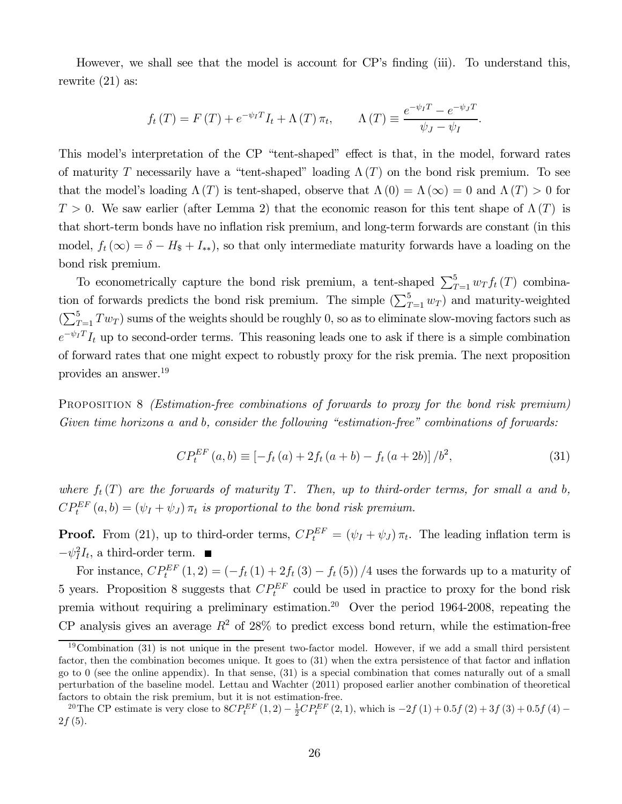However, we shall see that the model is account for CP's finding (iii). To understand this, rewrite (21) as:

$$
f_t(T) = F(T) + e^{-\psi_I T} I_t + \Lambda(T) \pi_t, \qquad \Lambda(T) \equiv \frac{e^{-\psi_I T} - e^{-\psi_J T}}{\psi_J - \psi_I}.
$$

This model's interpretation of the CP "tent-shaped" effect is that, in the model, forward rates of maturity T necessarily have a "tent-shaped" loading  $\Lambda(T)$  on the bond risk premium. To see that the model's loading  $\Lambda(T)$  is tent-shaped, observe that  $\Lambda(0) = \Lambda(\infty) = 0$  and  $\Lambda(T) > 0$  for  $T > 0$ . We saw earlier (after Lemma 2) that the economic reason for this tent shape of  $\Lambda(T)$  is that short-term bonds have no inflation risk premium, and long-term forwards are constant (in this model,  $f_t(\infty) = \delta - H_s + I_{**}$ , so that only intermediate maturity forwards have a loading on the bond risk premium.

To econometrically capture the bond risk premium, a tent-shaped  $\sum_{T=1}^{5} w_T f_t(T)$  combination of forwards predicts the bond risk premium. The simple  $(\sum_{T=1}^{5} w_T)$  and maturity-weighted  $\left(\sum_{T=1}^{5} Tw_T\right)$  sums of the weights should be roughly 0, so as to eliminate slow-moving factors such as  $e^{-\psi_I T} I_t$  up to second-order terms. This reasoning leads one to ask if there is a simple combination of forward rates that one might expect to robustly proxy for the risk premia. The next proposition provides an answer.19

PROPOSITION 8 *(Estimation-free combinations of forwards to proxy for the bond risk premium)* Given time horizons  $a$  and  $b$ , consider the following "estimation-free" combinations of forwards:

$$
CP_t^{EF}(a,b) \equiv \left[ -f_t(a) + 2f_t(a+b) - f_t(a+2b) \right] / b^2,
$$
\n(31)

where  $f_t(T)$  are the forwards of maturity T. Then, up to third-order terms, for small a and b,  $CP^{EF}_{t}(a, b) = (\psi_I + \psi_J) \pi_t$  is proportional to the bond risk premium.

**Proof.** From (21), up to third-order terms,  $CP_t^{EF} = (\psi_I + \psi_J)\pi_t$ . The leading inflation term is  $-\psi_I^2 I_t$ , a third-order term.

For instance,  $CP_t^{EF}(1,2) = (-f_t(1) + 2f_t(3) - f_t(5))/4$  uses the forwards up to a maturity of 5 years. Proposition 8 suggests that  $CP_t^{EF}$  could be used in practice to proxy for the bond risk premia without requiring a preliminary estimation.<sup>20</sup> Over the period 1964-2008, repeating the CP analysis gives an average  $R^2$  of 28% to predict excess bond return, while the estimation-free

 $19$ Combination (31) is not unique in the present two-factor model. However, if we add a small third persistent factor, then the combination becomes unique. It goes to (31) when the extra persistence of that factor and inflation go to 0 (see the online appendix). In that sense, (31) is a special combination that comes naturally out of a small perturbation of the baseline model. Lettau and Wachter (2011) proposed earlier another combination of theoretical factors to obtain the risk premium, but it is not estimation-free.

<sup>&</sup>lt;sup>20</sup>The CP estimate is very close to  $8CP^{EF}_{t}(1,2) - \frac{1}{2}CP^{EF}_{t}(2,1)$ , which is  $-2f(1) + 0.5f(2) + 3f(3) + 0.5f(4) 2f(5)$ .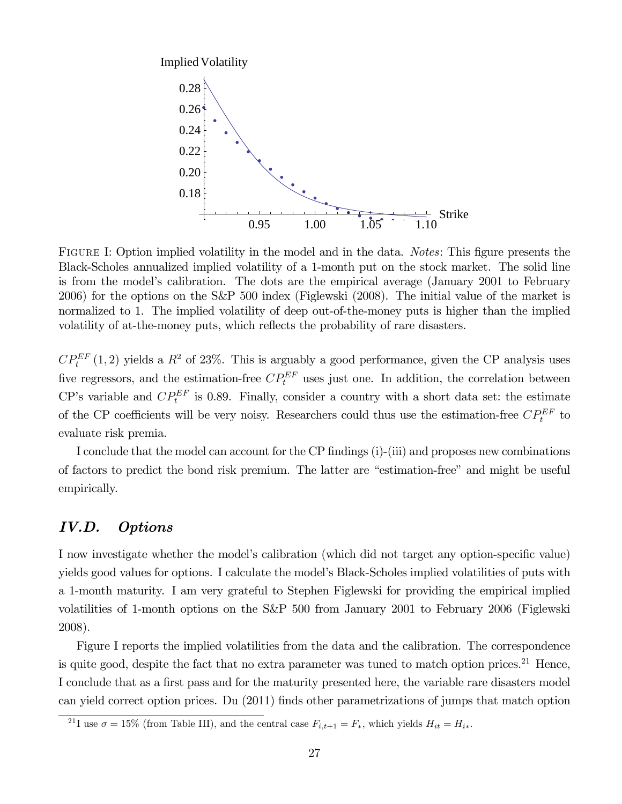

FIGURE I: Option implied volatility in the model and in the data. *Notes*: This figure presents the Black-Scholes annualized implied volatility of a 1-month put on the stock market. The solid line is from the model's calibration. The dots are the empirical average (January 2001 to February 2006) for the options on the S&P 500 index (Figlewski (2008). The initial value of the market is normalized to 1. The implied volatility of deep out-of-the-money puts is higher than the implied volatility of at-the-money puts, which reflects the probability of rare disasters.

 $CP^{EF}_{t}(1,2)$  yields a  $R^2$  of 23%. This is arguably a good performance, given the CP analysis uses five regressors, and the estimation-free  $CP_t^{EF}$  uses just one. In addition, the correlation between CP's variable and  $CP_t^{EF}$  is 0.89. Finally, consider a country with a short data set: the estimate of the CP coefficients will be very noisy. Researchers could thus use the estimation-free  $\mathbb{CP}^{EF}_t$  to evaluate risk premia.

I conclude that the model can account for the CP findings (i)-(iii) and proposes new combinations of factors to predict the bond risk premium. The latter are "estimation-free" and might be useful empirically.

# IV.D. Options

I now investigate whether the model's calibration (which did not target any option-specific value) yields good values for options. I calculate the model's Black-Scholes implied volatilities of puts with a 1-month maturity. I am very grateful to Stephen Figlewski for providing the empirical implied volatilities of 1-month options on the S&P 500 from January 2001 to February 2006 (Figlewski 2008).

Figure I reports the implied volatilities from the data and the calibration. The correspondence is quite good, despite the fact that no extra parameter was tuned to match option prices.<sup>21</sup> Hence, I conclude that as a first pass and for the maturity presented here, the variable rare disasters model can yield correct option prices. Du (2011) finds other parametrizations of jumps that match option

<sup>&</sup>lt;sup>21</sup>I use  $\sigma = 15\%$  (from Table III), and the central case  $F_{i,t+1} = F_*$ , which yields  $H_{it} = H_{i*}$ .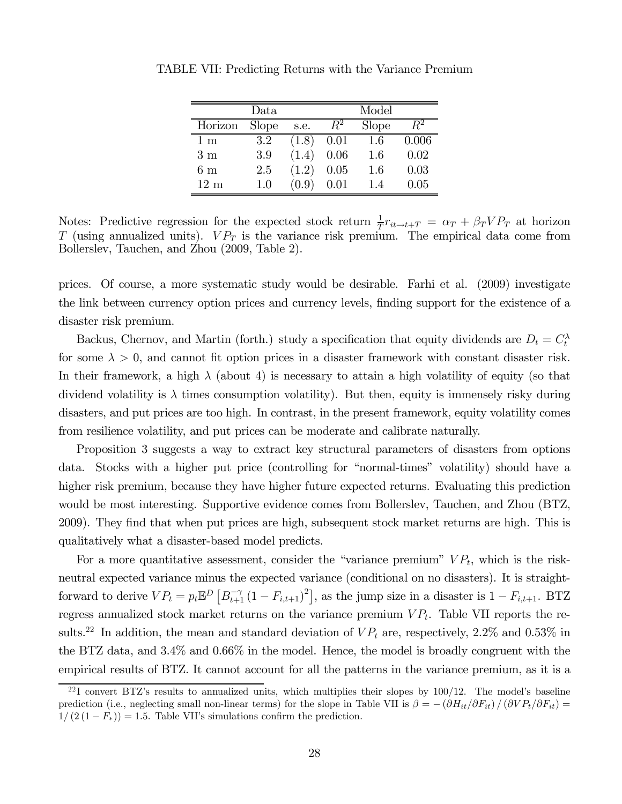|                   | $\mathrm{Data}$ |       |             | Model |         |
|-------------------|-----------------|-------|-------------|-------|---------|
| Horizon           | Slope           | s.e.  | $R^{\rm z}$ | Slope | $\,R^2$ |
| $1 \; \mathrm{m}$ | 3.2             | (1.8) | 0.01        | 1.6   | 0.006   |
| 3m                | 3.9             | (1.4) | 0.06        | 1.6   | 0.02    |
| 6m                | 2.5             | (1.2) | 0.05        | 1.6   | 0.03    |
| $12 \text{ m}$    | 1.0             | (0.9) | 0.01        | 1.4   | 0.05    |

TABLE VII: Predicting Returns with the Variance Premium

Notes: Predictive regression for the expected stock return  $\frac{1}{T}r_{it\to t+T} = \alpha_T + \beta_T VP_T$  at horizon T (using annualized units).  $VP_T$  is the variance risk premium. The empirical data come from Bollerslev, Tauchen, and Zhou (2009, Table 2).

prices. Of course, a more systematic study would be desirable. Farhi et al. (2009) investigate the link between currency option prices and currency levels, finding support for the existence of a disaster risk premium.

Backus, Chernov, and Martin (forth.) study a specification that equity dividends are  $D_t = C_t^{\lambda}$ for some  $\lambda > 0$ , and cannot fit option prices in a disaster framework with constant disaster risk. In their framework, a high  $\lambda$  (about 4) is necessary to attain a high volatility of equity (so that dividend volatility is  $\lambda$  times consumption volatility). But then, equity is immensely risky during disasters, and put prices are too high. In contrast, in the present framework, equity volatility comes from resilience volatility, and put prices can be moderate and calibrate naturally.

Proposition 3 suggests a way to extract key structural parameters of disasters from options data. Stocks with a higher put price (controlling for "normal-times" volatility) should have a higher risk premium, because they have higher future expected returns. Evaluating this prediction would be most interesting. Supportive evidence comes from Bollerslev, Tauchen, and Zhou (BTZ, 2009). They find that when put prices are high, subsequent stock market returns are high. This is qualitatively what a disaster-based model predicts.

For a more quantitative assessment, consider the "variance premium"  $VP_t$ , which is the riskneutral expected variance minus the expected variance (conditional on no disasters). It is straightforward to derive  $VP_t = p_t \mathbb{E}^D \left[ B_{t+1}^{-\gamma} (1 - F_{i,t+1})^2 \right]$ , as the jump size in a disaster is  $1 - F_{i,t+1}$ . BTZ regress annualized stock market returns on the variance premium  $VP_t$ . Table VII reports the results.<sup>22</sup> In addition, the mean and standard deviation of  $VP_t$  are, respectively, 2.2% and 0.53% in the BTZ data, and 3.4% and 0.66% in the model. Hence, the model is broadly congruent with the empirical results of BTZ. It cannot account for all the patterns in the variance premium, as it is a

 $^{22}I$  convert BTZ's results to annualized units, which multiplies their slopes by 100/12. The model's baseline prediction (i.e., neglecting small non-linear terms) for the slope in Table VII is  $\beta = -(\partial H_{it}/\partial F_{it})/(\partial V P_t/\partial F_{it})$  $1/(2(1 - F_*)) = 1.5$ . Table VII's simulations confirm the prediction.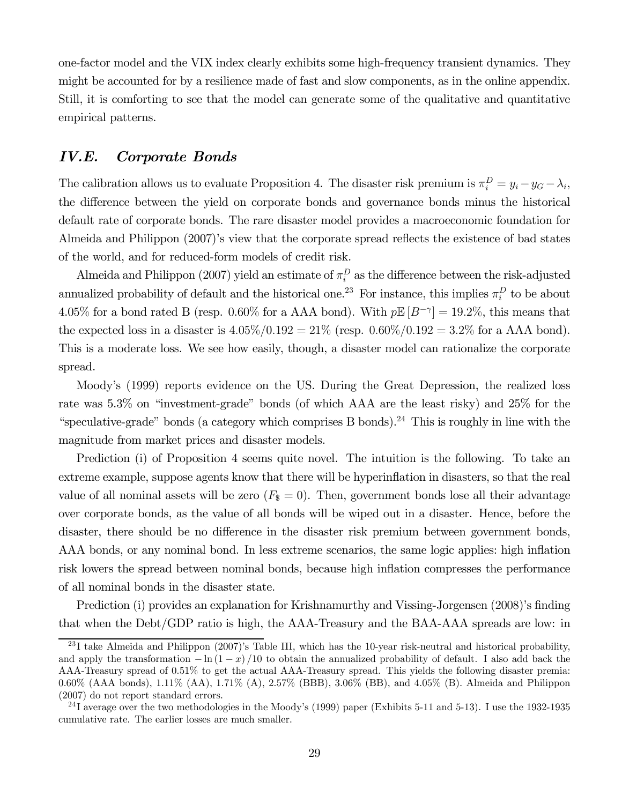one-factor model and the VIX index clearly exhibits some high-frequency transient dynamics. They might be accounted for by a resilience made of fast and slow components, as in the online appendix. Still, it is comforting to see that the model can generate some of the qualitative and quantitative empirical patterns.

## IV.E. Corporate Bonds

The calibration allows us to evaluate Proposition 4. The disaster risk premium is  $\pi_i^D = y_i - y_G - \lambda_i$ , the difference between the yield on corporate bonds and governance bonds minus the historical default rate of corporate bonds. The rare disaster model provides a macroeconomic foundation for Almeida and Philippon (2007)'s view that the corporate spread reflects the existence of bad states of the world, and for reduced-form models of credit risk.

Almeida and Philippon (2007) yield an estimate of  $\pi_i^D$  as the difference between the risk-adjusted annualized probability of default and the historical one.<sup>23</sup> For instance, this implies  $\pi_i^D$  to be about 4.05% for a bond rated B (resp. 0.60% for a AAA bond). With  $p\mathbb{E}[B^{-\gamma}] = 19.2\%$ , this means that the expected loss in a disaster is  $4.05\%/0.192 = 21\%$  (resp.  $0.60\%/0.192 = 3.2\%$  for a AAA bond). This is a moderate loss. We see how easily, though, a disaster model can rationalize the corporate spread.

Moody's (1999) reports evidence on the US. During the Great Depression, the realized loss rate was 5.3% on "investment-grade" bonds (of which AAA are the least risky) and 25% for the "speculative-grade" bonds (a category which comprises B bonds).<sup>24</sup> This is roughly in line with the magnitude from market prices and disaster models.

Prediction (i) of Proposition 4 seems quite novel. The intuition is the following. To take an extreme example, suppose agents know that there will be hyperinflation in disasters, so that the real value of all nominal assets will be zero  $(F_8 = 0)$ . Then, government bonds lose all their advantage over corporate bonds, as the value of all bonds will be wiped out in a disaster. Hence, before the disaster, there should be no difference in the disaster risk premium between government bonds, AAA bonds, or any nominal bond. In less extreme scenarios, the same logic applies: high inflation risk lowers the spread between nominal bonds, because high inflation compresses the performance of all nominal bonds in the disaster state.

Prediction (i) provides an explanation for Krishnamurthy and Vissing-Jorgensen (2008)'s finding that when the Debt/GDP ratio is high, the AAA-Treasury and the BAA-AAA spreads are low: in

 $^{23}$ I take Almeida and Philippon (2007)'s Table III, which has the 10-year risk-neutral and historical probability, and apply the transformation  $-\ln(1-x)/10$  to obtain the annualized probability of default. I also add back the AAA-Treasury spread of 0.51% to get the actual AAA-Treasury spread. This yields the following disaster premia: 0.60% (AAA bonds), 1.11% (AA), 1.71% (A), 2.57% (BBB), 3.06% (BB), and 4.05% (B). Almeida and Philippon (2007) do not report standard errors.

<sup>&</sup>lt;sup>24</sup>I average over the two methodologies in the Moody's (1999) paper (Exhibits 5-11 and 5-13). I use the 1932-1935 cumulative rate. The earlier losses are much smaller.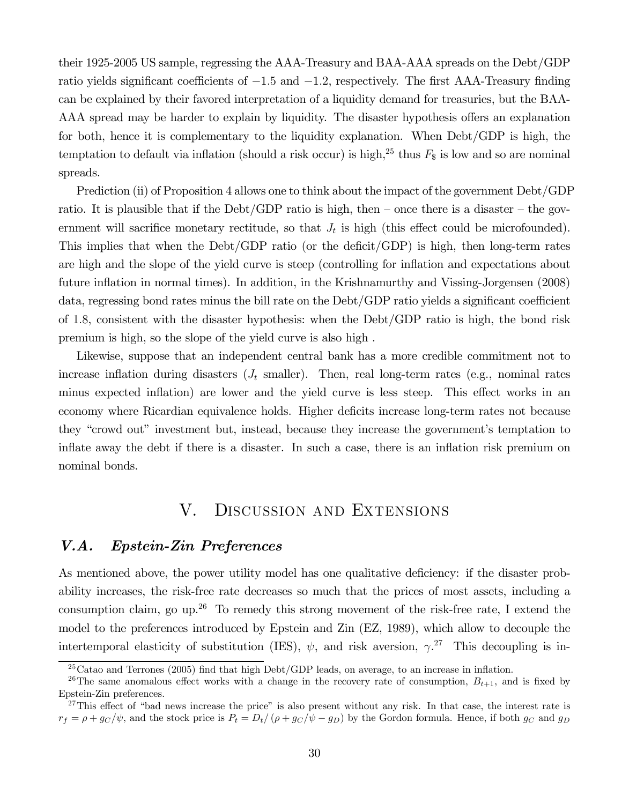their 1925-2005 US sample, regressing the AAA-Treasury and BAA-AAA spreads on the Debt/GDP ratio yields significant coefficients of  $-1.5$  and  $-1.2$ , respectively. The first AAA-Treasury finding can be explained by their favored interpretation of a liquidity demand for treasuries, but the BAA-AAA spread may be harder to explain by liquidity. The disaster hypothesis offers an explanation for both, hence it is complementary to the liquidity explanation. When Debt/GDP is high, the temptation to default via inflation (should a risk occur) is high,<sup>25</sup> thus  $F<sub>$</sub>$  is low and so are nominal spreads.

Prediction (ii) of Proposition 4 allows one to think about the impact of the government Debt/GDP ratio. It is plausible that if the Debt/GDP ratio is high, then – once there is a disaster – the government will sacrifice monetary rectitude, so that  $J_t$  is high (this effect could be microfounded). This implies that when the Debt/GDP ratio (or the deficit/GDP) is high, then long-term rates are high and the slope of the yield curve is steep (controlling for inflation and expectations about future inflation in normal times). In addition, in the Krishnamurthy and Vissing-Jorgensen (2008) data, regressing bond rates minus the bill rate on the Debt/GDP ratio yields a significant coefficient of 18, consistent with the disaster hypothesis: when the Debt/GDP ratio is high, the bond risk premium is high, so the slope of the yield curve is also high .

Likewise, suppose that an independent central bank has a more credible commitment not to increase inflation during disasters  $(J_t \text{ smaller})$ . Then, real long-term rates (e.g., nominal rates minus expected inflation) are lower and the yield curve is less steep. This effect works in an economy where Ricardian equivalence holds. Higher deficits increase long-term rates not because they "crowd out" investment but, instead, because they increase the government's temptation to inflate away the debt if there is a disaster. In such a case, there is an inflation risk premium on nominal bonds.

# V. Discussion and Extensions

# V.A. Epstein-Zin Preferences

As mentioned above, the power utility model has one qualitative deficiency: if the disaster probability increases, the risk-free rate decreases so much that the prices of most assets, including a consumption claim, go up.<sup>26</sup> To remedy this strong movement of the risk-free rate, I extend the model to the preferences introduced by Epstein and Zin (EZ, 1989), which allow to decouple the intertemporal elasticity of substitution (IES),  $\psi$ , and risk aversion,  $\gamma$ <sup>27</sup>. This decoupling is in-

 $^{25}$ Catao and Terrones (2005) find that high Debt/GDP leads, on average, to an increase in inflation.

<sup>&</sup>lt;sup>26</sup>The same anomalous effect works with a change in the recovery rate of consumption,  $B_{t+1}$ , and is fixed by Epstein-Zin preferences.

 $27$ This effect of "bad news increase the price" is also present without any risk. In that case, the interest rate is  $r_f = \rho + g_C/\psi$ , and the stock price is  $P_t = D_t/(\rho + g_C/\psi - g_D)$  by the Gordon formula. Hence, if both  $g_C$  and  $g_D$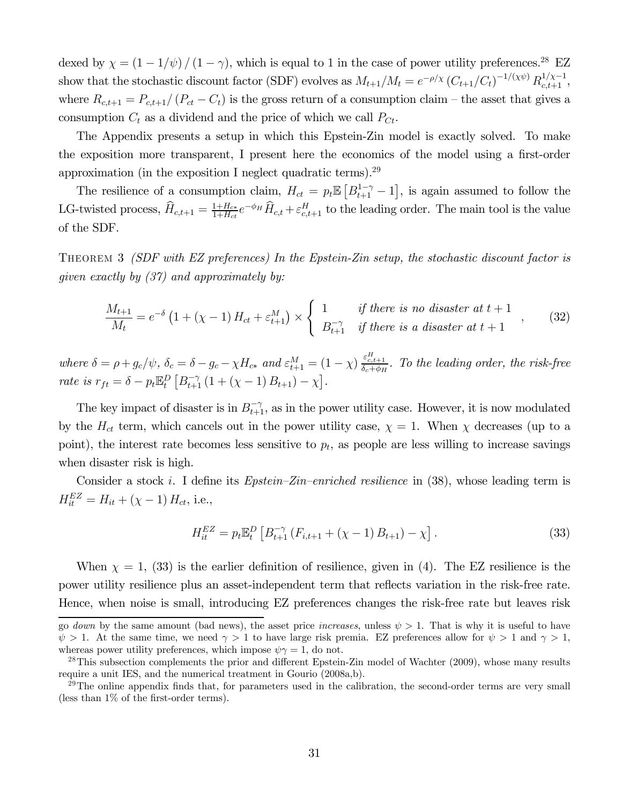dexed by  $\chi = (1 - 1/\psi) / (1 - \gamma)$ , which is equal to 1 in the case of power utility preferences.<sup>28</sup> EZ show that the stochastic discount factor (SDF) evolves as  $M_{t+1}/M_t = e^{-\rho/\chi} (C_{t+1}/C_t)^{-1/(\chi\psi)} R_{c,t+1}^{1/\chi-1}$ , where  $R_{c,t+1} = P_{c,t+1}/(P_{ct} - C_t)$  is the gross return of a consumption claim – the asset that gives a consumption  $C_t$  as a dividend and the price of which we call  $P_{C_t}$ .

The Appendix presents a setup in which this Epstein-Zin model is exactly solved. To make the exposition more transparent, I present here the economics of the model using a first-order approximation (in the exposition I neglect quadratic terms). $^{29}$ 

The resilience of a consumption claim,  $H_{ct} = p_t \mathbb{E}\left[B_{t+1}^{1-\gamma} - 1\right]$ , is again assumed to follow the LG-twisted process,  $\hat{H}_{c,t+1} = \frac{1+H_{c*}}{1+H_{ct}} e^{-\phi_H} \hat{H}_{c,t} + \varepsilon_{c,t+1}^H$  to the leading order. The main tool is the value of the SDF.

Theorem 3 (SDF with EZ preferences) In the Epstein-Zin setup, the stochastic discount factor is given exactly by (37) and approximately by:

$$
\frac{M_{t+1}}{M_t} = e^{-\delta} \left( 1 + (\chi - 1) H_{ct} + \varepsilon_{t+1}^M \right) \times \begin{cases} 1 & \text{if there is no disaster at } t+1 \\ B_{t+1}^{-\gamma} & \text{if there is a disaster at } t+1 \end{cases}
$$
 (32)

where  $\delta = \rho + g_c/\psi$ ,  $\delta_c = \delta - g_c - \chi H_{c*}$  and  $\varepsilon_{t+1}^M = (1 - \chi) \frac{\varepsilon_{c,t+1}^H}{\delta_c + \phi_H}$ . To the leading order, the risk-free rate is  $r_{ft} = \delta - p_t \mathbb{E}_t^D \left[ B_{t+1}^{-\gamma} (1 + (\chi - 1) B_{t+1}) - \chi \right]$ .

The key impact of disaster is in  $B_{t+1}^{-\gamma}$ , as in the power utility case. However, it is now modulated by the  $H_{ct}$  term, which cancels out in the power utility case,  $\chi = 1$ . When  $\chi$  decreases (up to a point), the interest rate becomes less sensitive to  $p_t$ , as people are less willing to increase savings when disaster risk is high.

Consider a stock i. I define its  $E$ *pstein–Zin–enriched resilience* in (38), whose leading term is  $H_{it}^{EZ} = H_{it} + (\chi - 1) H_{ct},$  i.e.,

$$
H_{it}^{EZ} = p_t \mathbb{E}_t^D \left[ B_{t+1}^{-\gamma} \left( F_{i,t+1} + (\chi - 1) B_{t+1} \right) - \chi \right]. \tag{33}
$$

When  $\chi = 1$ , (33) is the earlier definition of resilience, given in (4). The EZ resilience is the power utility resilience plus an asset-independent term that reflects variation in the risk-free rate. Hence, when noise is small, introducing EZ preferences changes the risk-free rate but leaves risk

go down by the same amount (bad news), the asset price increases, unless  $\psi > 1$ . That is why it is useful to have  $\psi > 1$ . At the same time, we need  $\gamma > 1$  to have large risk premia. EZ preferences allow for  $\psi > 1$  and  $\gamma > 1$ , whereas power utility preferences, which impose  $\psi \gamma = 1$ , do not.

<sup>&</sup>lt;sup>28</sup>This subsection complements the prior and different Epstein-Zin model of Wachter (2009), whose many results require a unit IES, and the numerical treatment in Gourio (2008a,b).

 $^{29}$ The online appendix finds that, for parameters used in the calibration, the second-order terms are very small (less than 1% of the first-order terms).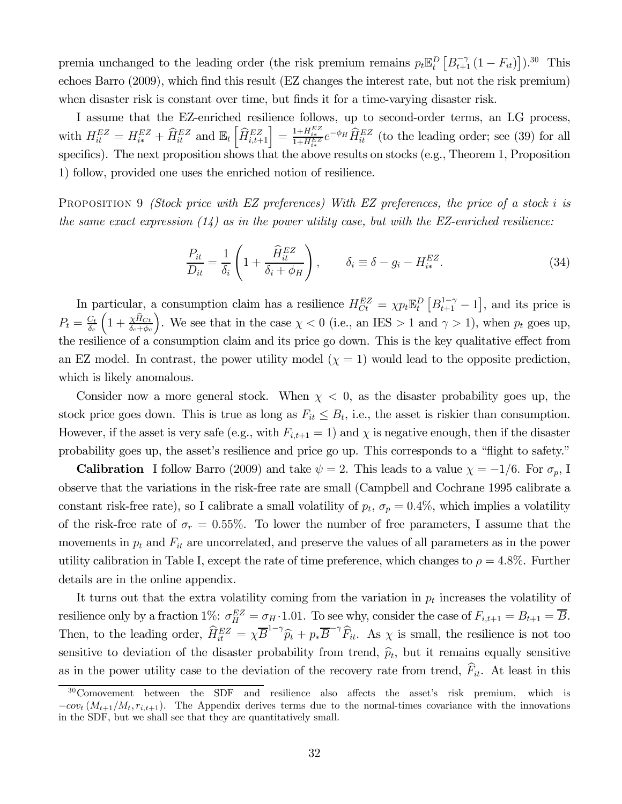premia unchanged to the leading order (the risk premium remains  $p_t \mathbb{E}_t^D \left[ B_{t+1}^{-\gamma} (1 - F_{it}) \right]$ ).<sup>30</sup> This echoes Barro (2009), which find this result (EZ changes the interest rate, but not the risk premium) when disaster risk is constant over time, but finds it for a time-varying disaster risk.

I assume that the EZ-enriched resilience follows, up to second-order terms, an LG process, with  $H_{it}^{EZ} = H_{i*}^{EZ} + \widehat{H}_{it}^{EZ}$  and  $\mathbb{E}_{t} \left[ \widehat{H}_{i,t+1}^{EZ} \right] = \frac{1 + H_{i*}^{EZ}}{1 + H_{i*}^{EZ}} e^{-\phi_H} \widehat{H}_{it}^{EZ}$  (to the leading order; see (39) for all specifics). The next proposition shows that the above results on stocks (e.g., Theorem 1, Proposition 1) follow, provided one uses the enriched notion of resilience.

PROPOSITION 9 *(Stock price with EZ preferences) With EZ preferences, the price of a stock i is* the same exact expression  $(14)$  as in the power utility case, but with the EZ-enriched resilience:

$$
\frac{P_{it}}{D_{it}} = \frac{1}{\delta_i} \left( 1 + \frac{\widehat{H}_{it}^{EZ}}{\delta_i + \phi_H} \right), \qquad \delta_i \equiv \delta - g_i - H_{i*}^{EZ}.
$$
\n(34)

In particular, a consumption claim has a resilience  $H_{C_t}^{EZ} = \chi p_t \mathbb{E}_t^D \left[ B_{t+1}^{1-\gamma} - 1 \right]$ , and its price is  $P_t=\frac{C_t}{\delta_c}$  $\left(1+\frac{\chi \hat{H}_{C t}}{\delta_c+\phi_c}\right)$ ). We see that in the case  $\chi < 0$  (i.e., an IES > 1 and  $\gamma > 1$ ), when  $p_t$  goes up, the resilience of a consumption claim and its price go down. This is the key qualitative effect from an EZ model. In contrast, the power utility model  $(\chi = 1)$  would lead to the opposite prediction, which is likely anomalous.

Consider now a more general stock. When  $\chi$  < 0, as the disaster probability goes up, the stock price goes down. This is true as long as  $F_{it} \leq B_t$ , i.e., the asset is riskier than consumption. However, if the asset is very safe (e.g., with  $F_{i,t+1} = 1$ ) and  $\chi$  is negative enough, then if the disaster probability goes up, the asset's resilience and price go up. This corresponds to a "flight to safety."

**Calibration** I follow Barro (2009) and take  $\psi = 2$ . This leads to a value  $\chi = -1/6$ . For  $\sigma_p$ , I observe that the variations in the risk-free rate are small (Campbell and Cochrane 1995 calibrate a constant risk-free rate), so I calibrate a small volatility of  $p_t$ ,  $\sigma_p = 0.4\%$ , which implies a volatility of the risk-free rate of  $\sigma_r = 0.55\%$ . To lower the number of free parameters, I assume that the movements in  $p_t$  and  $F_{it}$  are uncorrelated, and preserve the values of all parameters as in the power utility calibration in Table I, except the rate of time preference, which changes to  $\rho = 4.8\%$ . Further details are in the online appendix.

It turns out that the extra volatility coming from the variation in  $p_t$  increases the volatility of resilience only by a fraction 1%:  $\sigma_H^{EZ} = \sigma_H \cdot 1.01$ . To see why, consider the case of  $F_{i,t+1} = B_{t+1} = \overline{B}$ . Then, to the leading order,  $\widehat{H}_{it}^{EZ} = \chi \overline{B}^{1-\gamma} \widehat{p}_t + p_* \overline{B}^{-\gamma} \widehat{F}_{it}$ . As  $\chi$  is small, the resilience is not too sensitive to deviation of the disaster probability from trend,  $\hat{p}_t$ , but it remains equally sensitive as in the power utility case to the deviation of the recovery rate from trend,  $\widehat{F}_{it}$ . At least in this

<sup>&</sup>lt;sup>30</sup>Comovement between the SDF and resilience also affects the asset's risk premium, which is  $-cov_t(M_{t+1}/M_t, r_{i,t+1})$ . The Appendix derives terms due to the normal-times covariance with the innovations in the SDF, but we shall see that they are quantitatively small.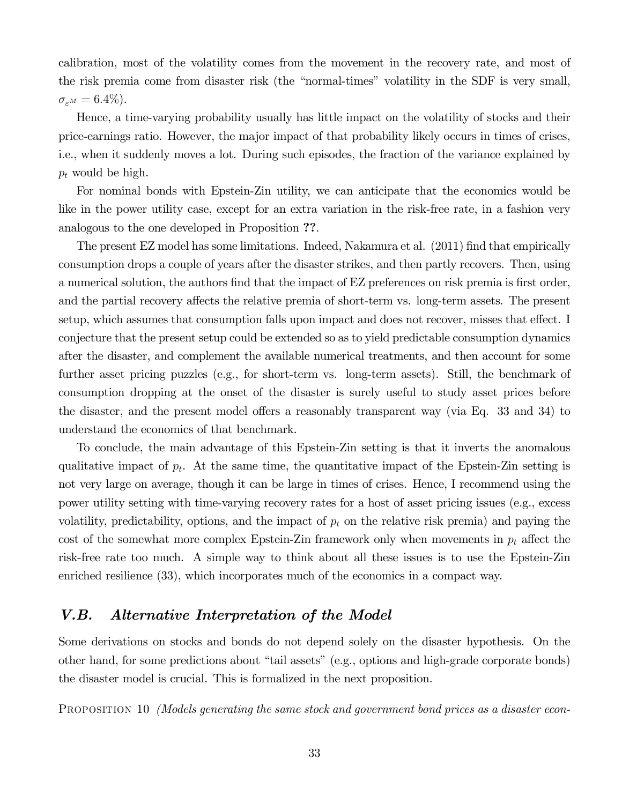calibration, most of the volatility comes from the movement in the recovery rate, and most of the risk premia come from disaster risk (the "normal-times" volatility in the SDF is very small,  $\sigma_{\varepsilon^M} = 6.4\%).$ 

Hence, a time-varying probability usually has little impact on the volatility of stocks and their price-earnings ratio. However, the major impact of that probability likely occurs in times of crises, i.e., when it suddenly moves a lot. During such episodes, the fraction of the variance explained by  $p_t$  would be high.

For nominal bonds with Epstein-Zin utility, we can anticipate that the economics would be like in the power utility case, except for an extra variation in the risk-free rate, in a fashion very analogous to the one developed in Proposition ??.

The present EZ model has some limitations. Indeed, Nakamura et al. (2011) find that empirically consumption drops a couple of years after the disaster strikes, and then partly recovers. Then, using a numerical solution, the authors find that the impact of EZ preferences on risk premia is first order, and the partial recovery affects the relative premia of short-term vs. long-term assets. The present setup, which assumes that consumption falls upon impact and does not recover, misses that effect. I conjecture that the present setup could be extended so as to yield predictable consumption dynamics after the disaster, and complement the available numerical treatments, and then account for some further asset pricing puzzles (e.g., for short-term vs. long-term assets). Still, the benchmark of consumption dropping at the onset of the disaster is surely useful to study asset prices before the disaster, and the present model offers a reasonably transparent way (via Eq. 33 and 34) to understand the economics of that benchmark.

To conclude, the main advantage of this Epstein-Zin setting is that it inverts the anomalous qualitative impact of  $p_t$ . At the same time, the quantitative impact of the Epstein-Zin setting is not very large on average, though it can be large in times of crises. Hence, I recommend using the power utility setting with time-varying recovery rates for a host of asset pricing issues (e.g., excess volatility, predictability, options, and the impact of  $p_t$  on the relative risk premia) and paying the cost of the somewhat more complex Epstein-Zin framework only when movements in  $p_t$  affect the risk-free rate too much. A simple way to think about all these issues is to use the Epstein-Zin enriched resilience (33), which incorporates much of the economics in a compact way.

# V.B. Alternative Interpretation of the Model

Some derivations on stocks and bonds do not depend solely on the disaster hypothesis. On the other hand, for some predictions about "tail assets" (e.g., options and high-grade corporate bonds) the disaster model is crucial. This is formalized in the next proposition.

PROPOSITION 10 *(Models generating the same stock and government bond prices as a disaster econ-*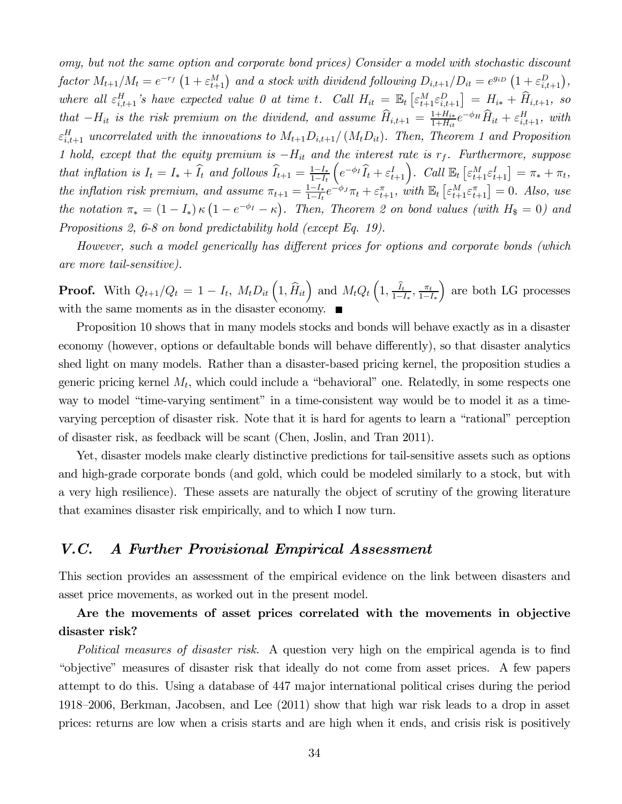omy, but not the same option and corporate bond prices) Consider a model with stochastic discount factor  $M_{t+1}/M_t = e^{-r_f} \left(1 + \varepsilon_{t+1}^M\right)$  and a stock with dividend following  $D_{i,t+1}/D_{it} = e^{g_{iD}} \left(1 + \varepsilon_{i,t+1}^D\right)$ , where all  $\varepsilon_{i,t+1}^H$ 's have expected value 0 at time t. Call  $H_{it} = \mathbb{E}_t \left[ \varepsilon_{t+1}^M \varepsilon_{i,t+1}^D \right] = H_{i*} + \widehat{H}_{i,t+1}$ , so that  $-H_{it}$  is the risk premium on the dividend, and assume  $\widehat{H}_{i,t+1} = \frac{1+H_{i*}}{1+H_{it}} e^{-\phi_H} \widehat{H}_{it} + \varepsilon_{i,t+1}^H$ , with  $\varepsilon_{i,t+1}^H$  uncorrelated with the innovations to  $M_{t+1} D_{i,t+1}/(M_t D_{it})$ . Then, Theorem 1 and Proposition 1 hold, except that the equity premium is  $-H_{it}$  and the interest rate is  $r_f$ . Furthermore, suppose that inflation is  $I_t = I_* + \hat{I}_t$  and follows  $\hat{I}_{t+1} = \frac{1 - I_*}{1 - I_t}$  $\left(e^{-\phi_I} \widehat{I}_t + \varepsilon_{t+1}^I\right)$ . Call  $\mathbb{E}_t \left[\varepsilon_{t+1}^M \varepsilon_{t+1}^I\right] = \pi_* + \pi_t$ , the inflation risk premium, and assume  $\pi_{t+1} = \frac{1-I_*}{1-I_t} e^{-\phi_J} \pi_t + \varepsilon_{t+1}^{\pi}$ , with  $\mathbb{E}_t \left[ \varepsilon_{t+1}^M \varepsilon_{t+1}^{\pi} \right] = 0$ . Also, use the notation  $\pi_* = (1 - I_*) \kappa (1 - e^{-\phi_I} - \kappa)$ . Then, Theorem 2 on bond values (with  $H_8 = 0$ ) and Propositions 2, 6-8 on bond predictability hold (except Eq. 19).

However, such a model generically has different prices for options and corporate bonds (which are more tail-sensitive).

**Proof.** With  $Q_{t+1}/Q_t = 1 - I_t$ ,  $M_t D_{it} \left(1, \hat{H}_{it}\right)$  and  $M_t Q_t \left(1, \frac{\hat{I}_t}{1 - I_*}, \frac{\pi_t}{1 - I_*}\right)$ ) are both LG processes with the same moments as in the disaster economy.

Proposition 10 shows that in many models stocks and bonds will behave exactly as in a disaster economy (however, options or defaultable bonds will behave differently), so that disaster analytics shed light on many models. Rather than a disaster-based pricing kernel, the proposition studies a generic pricing kernel  $M_t$ , which could include a "behavioral" one. Relatedly, in some respects one way to model "time-varying sentiment" in a time-consistent way would be to model it as a timevarying perception of disaster risk. Note that it is hard for agents to learn a "rational" perception of disaster risk, as feedback will be scant (Chen, Joslin, and Tran 2011).

Yet, disaster models make clearly distinctive predictions for tail-sensitive assets such as options and high-grade corporate bonds (and gold, which could be modeled similarly to a stock, but with a very high resilience). These assets are naturally the object of scrutiny of the growing literature that examines disaster risk empirically, and to which I now turn.

# V.C. A Further Provisional Empirical Assessment

This section provides an assessment of the empirical evidence on the link between disasters and asset price movements, as worked out in the present model.

# Are the movements of asset prices correlated with the movements in objective disaster risk?

Political measures of disaster risk. A question very high on the empirical agenda is to find "objective" measures of disaster risk that ideally do not come from asset prices. A few papers attempt to do this. Using a database of 447 major international political crises during the period 1918—2006, Berkman, Jacobsen, and Lee (2011) show that high war risk leads to a drop in asset prices: returns are low when a crisis starts and are high when it ends, and crisis risk is positively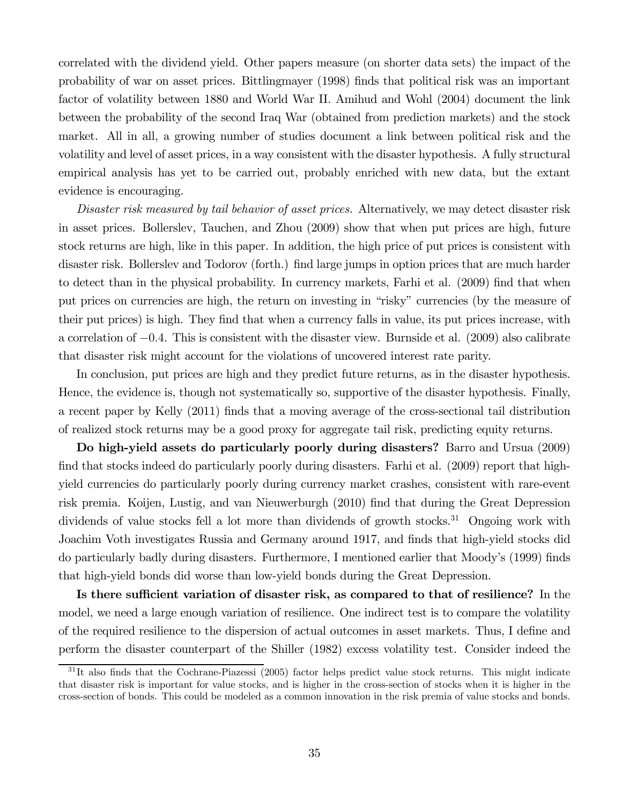correlated with the dividend yield. Other papers measure (on shorter data sets) the impact of the probability of war on asset prices. Bittlingmayer (1998) finds that political risk was an important factor of volatility between 1880 and World War II. Amihud and Wohl (2004) document the link between the probability of the second Iraq War (obtained from prediction markets) and the stock market. All in all, a growing number of studies document a link between political risk and the volatility and level of asset prices, in a way consistent with the disaster hypothesis. A fully structural empirical analysis has yet to be carried out, probably enriched with new data, but the extant evidence is encouraging.

Disaster risk measured by tail behavior of asset prices. Alternatively, we may detect disaster risk in asset prices. Bollerslev, Tauchen, and Zhou (2009) show that when put prices are high, future stock returns are high, like in this paper. In addition, the high price of put prices is consistent with disaster risk. Bollerslev and Todorov (forth.) find large jumps in option prices that are much harder to detect than in the physical probability. In currency markets, Farhi et al. (2009) find that when put prices on currencies are high, the return on investing in "risky" currencies (by the measure of their put prices) is high. They find that when a currency falls in value, its put prices increase, with a correlation of −04. This is consistent with the disaster view. Burnside et al. (2009) also calibrate that disaster risk might account for the violations of uncovered interest rate parity.

In conclusion, put prices are high and they predict future returns, as in the disaster hypothesis. Hence, the evidence is, though not systematically so, supportive of the disaster hypothesis. Finally, a recent paper by Kelly (2011) finds that a moving average of the cross-sectional tail distribution of realized stock returns may be a good proxy for aggregate tail risk, predicting equity returns.

Do high-yield assets do particularly poorly during disasters? Barro and Ursua (2009) find that stocks indeed do particularly poorly during disasters. Farhi et al. (2009) report that highyield currencies do particularly poorly during currency market crashes, consistent with rare-event risk premia. Koijen, Lustig, and van Nieuwerburgh (2010) find that during the Great Depression dividends of value stocks fell a lot more than dividends of growth stocks.<sup>31</sup> Ongoing work with Joachim Voth investigates Russia and Germany around 1917, and finds that high-yield stocks did do particularly badly during disasters. Furthermore, I mentioned earlier that Moody's (1999) finds that high-yield bonds did worse than low-yield bonds during the Great Depression.

Is there sufficient variation of disaster risk, as compared to that of resilience? In the model, we need a large enough variation of resilience. One indirect test is to compare the volatility of the required resilience to the dispersion of actual outcomes in asset markets. Thus, I define and perform the disaster counterpart of the Shiller (1982) excess volatility test. Consider indeed the

 $31$ It also finds that the Cochrane-Piazessi (2005) factor helps predict value stock returns. This might indicate that disaster risk is important for value stocks, and is higher in the cross-section of stocks when it is higher in the cross-section of bonds. This could be modeled as a common innovation in the risk premia of value stocks and bonds.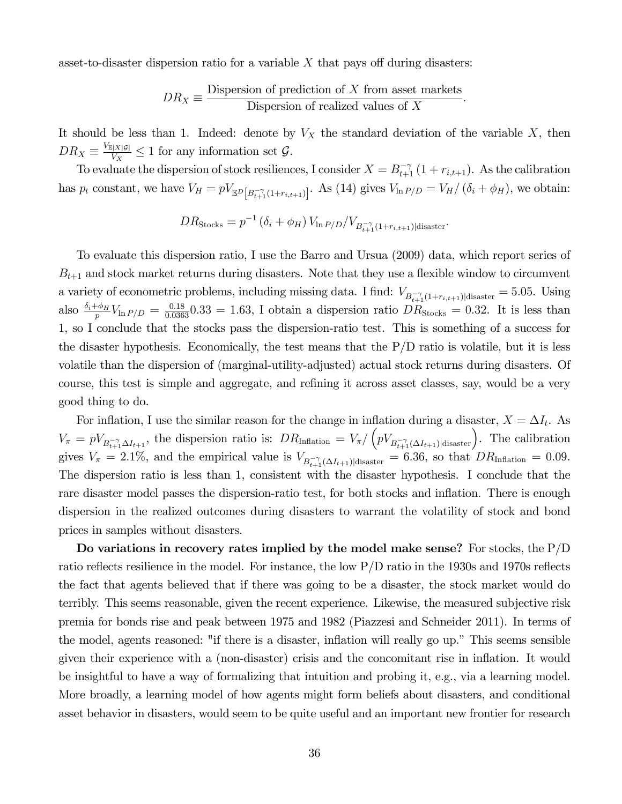asset-to-disaster dispersion ratio for a variable  $X$  that pays off during disasters:

$$
DR_X \equiv \frac{\text{Disperson of prediction of } X \text{ from asset markets}}{\text{Disperson of realized values of } X}.
$$

It should be less than 1. Indeed: denote by  $V_X$  the standard deviation of the variable X, then  $DR_X \equiv \frac{V_{\mathbb{E}[X|\mathcal{G}]} }{V_X} \leq 1$  for any information set  $\mathcal{G}$ .

To evaluate the dispersion of stock resiliences, I consider  $X = B_{t+1}^{-\gamma} (1 + r_{i,t+1})$ . As the calibration has  $p_t$  constant, we have  $V_H = pV_{\mathbb{E}^D[B_{t+1}^{-\gamma}(1+r_{i,t+1})]}$ . As (14) gives  $V_{\ln P/D} = V_H/(\delta_i + \phi_H)$ , we obtain:

$$
DR_{\text{Stocks}} = p^{-1} (\delta_i + \phi_H) V_{\ln P/D} / V_{B_{t+1}^{-\gamma}(1+r_{i,t+1})|\text{disaster}}.
$$

To evaluate this dispersion ratio, I use the Barro and Ursua (2009) data, which report series of  $B_{t+1}$  and stock market returns during disasters. Note that they use a flexible window to circumvent a variety of econometric problems, including missing data. I find:  $V_{B_{t+1}(1+r_{i,t+1})|\text{disaster}} = 5.05$ . Using also  $\frac{\delta_i + \phi_H}{p}V_{\ln P/D} = \frac{0.18}{0.0363}0.33 = 1.63$ , I obtain a dispersion ratio  $DR_{\text{Stocks}} = 0.32$ . It is less than 1, so I conclude that the stocks pass the dispersion-ratio test. This is something of a success for the disaster hypothesis. Economically, the test means that the  $P/D$  ratio is volatile, but it is less volatile than the dispersion of (marginal-utility-adjusted) actual stock returns during disasters. Of course, this test is simple and aggregate, and refining it across asset classes, say, would be a very good thing to do.

For inflation, I use the similar reason for the change in inflation during a disaster,  $X = \Delta I_t$ . As  $V_{\pi} = pV_{B_{t+1}\Delta I_{t+1}}$ , the dispersion ratio is:  $DR_{\text{Inflation}} = V_{\pi}/(pV_{B_{t+1}\Delta I_{t+1})|\text{disaster}}$ . The calibration gives  $V_{\pi} = 2.1\%$ , and the empirical value is  $V_{B_{t+1}^{-\gamma}(\Delta I_{t+1})|\text{disaster}} = 6.36$ , so that  $DR_{\text{Inflation}} = 0.09$ . The dispersion ratio is less than 1, consistent with the disaster hypothesis. I conclude that the rare disaster model passes the dispersion-ratio test, for both stocks and inflation. There is enough dispersion in the realized outcomes during disasters to warrant the volatility of stock and bond prices in samples without disasters.

Do variations in recovery rates implied by the model make sense? For stocks, the  $P/D$ ratio reflects resilience in the model. For instance, the low P/D ratio in the 1930s and 1970s reflects the fact that agents believed that if there was going to be a disaster, the stock market would do terribly. This seems reasonable, given the recent experience. Likewise, the measured subjective risk premia for bonds rise and peak between 1975 and 1982 (Piazzesi and Schneider 2011). In terms of the model, agents reasoned: "if there is a disaster, inflation will really go up." This seems sensible given their experience with a (non-disaster) crisis and the concomitant rise in inflation. It would be insightful to have a way of formalizing that intuition and probing it, e.g., via a learning model. More broadly, a learning model of how agents might form beliefs about disasters, and conditional asset behavior in disasters, would seem to be quite useful and an important new frontier for research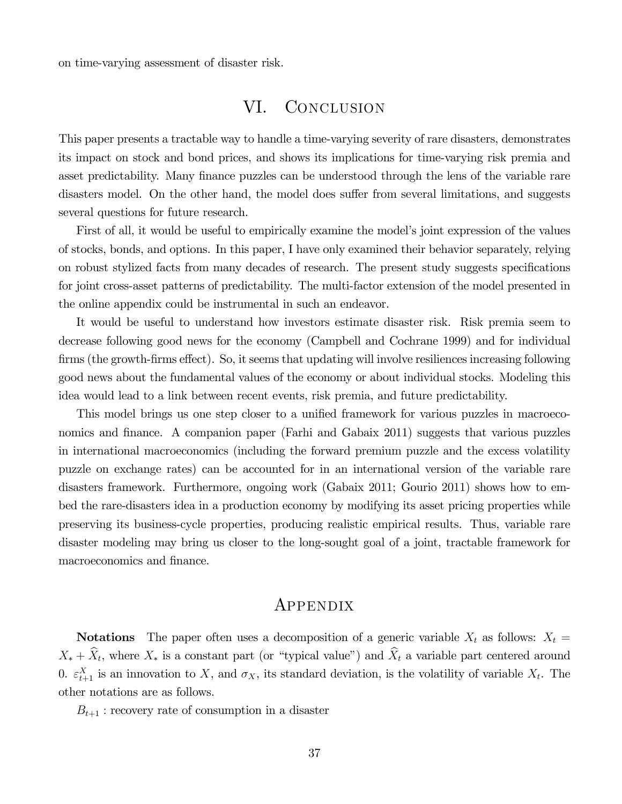on time-varying assessment of disaster risk.

# VI. CONCLUSION

This paper presents a tractable way to handle a time-varying severity of rare disasters, demonstrates its impact on stock and bond prices, and shows its implications for time-varying risk premia and asset predictability. Many finance puzzles can be understood through the lens of the variable rare disasters model. On the other hand, the model does suffer from several limitations, and suggests several questions for future research.

First of all, it would be useful to empirically examine the model's joint expression of the values of stocks, bonds, and options. In this paper, I have only examined their behavior separately, relying on robust stylized facts from many decades of research. The present study suggests specifications for joint cross-asset patterns of predictability. The multi-factor extension of the model presented in the online appendix could be instrumental in such an endeavor.

It would be useful to understand how investors estimate disaster risk. Risk premia seem to decrease following good news for the economy (Campbell and Cochrane 1999) and for individual firms (the growth-firms effect). So, it seems that updating will involve resiliences increasing following good news about the fundamental values of the economy or about individual stocks. Modeling this idea would lead to a link between recent events, risk premia, and future predictability.

This model brings us one step closer to a unified framework for various puzzles in macroeconomics and finance. A companion paper (Farhi and Gabaix 2011) suggests that various puzzles in international macroeconomics (including the forward premium puzzle and the excess volatility puzzle on exchange rates) can be accounted for in an international version of the variable rare disasters framework. Furthermore, ongoing work (Gabaix 2011; Gourio 2011) shows how to embed the rare-disasters idea in a production economy by modifying its asset pricing properties while preserving its business-cycle properties, producing realistic empirical results. Thus, variable rare disaster modeling may bring us closer to the long-sought goal of a joint, tractable framework for macroeconomics and finance.

# **APPENDIX**

**Notations** The paper often uses a decomposition of a generic variable  $X_t$  as follows:  $X_t =$  $X_* + \hat{X}_t$ , where  $X_*$  is a constant part (or "typical value") and  $\hat{X}_t$  a variable part centered around 0.  $\varepsilon_{t+1}^{X}$  is an innovation to X, and  $\sigma_X$ , its standard deviation, is the volatility of variable  $X_t$ . The other notations are as follows.

 $B_{t+1}$ : recovery rate of consumption in a disaster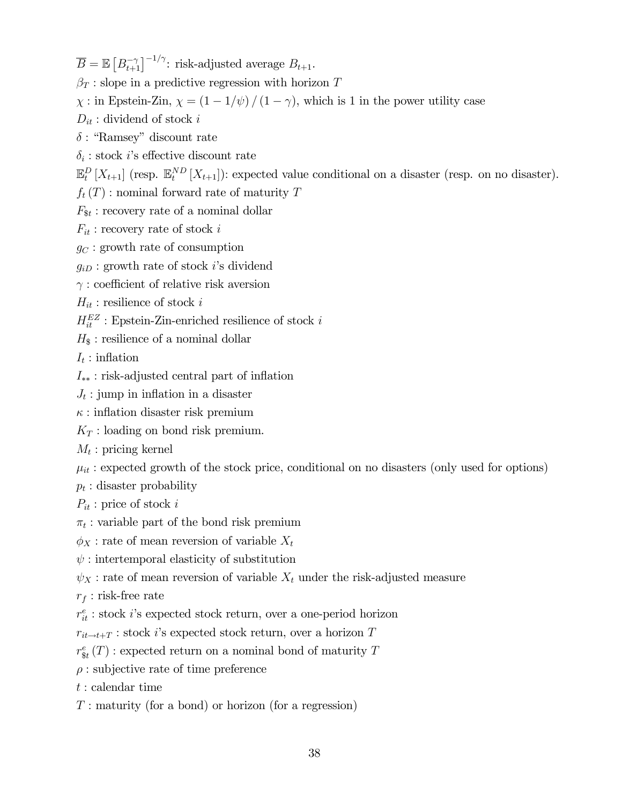$\overline{B} = \mathbb{E}\left[B_{t+1}^{-\gamma}\right]^{-1/\gamma}$ : risk-adjusted average  $B_{t+1}$ .

 $\beta_T$ : slope in a predictive regression with horizon T

 $\chi$ : in Epstein-Zin,  $\chi = (1 - 1/\psi) / (1 - \gamma)$ , which is 1 in the power utility case

 $D_{it}$ : dividend of stock i

 $\delta$ : "Ramsey" discount rate

 $\delta_i$ : stock *i*'s effective discount rate

 $\mathbb{E}_{t}^{D}[X_{t+1}]$  (resp.  $\mathbb{E}_{t}^{ND}[X_{t+1}]$ ): expected value conditional on a disaster (resp. on no disaster).

 $f_t(T)$ : nominal forward rate of maturity T

 $F_{\$t}$ : recovery rate of a nominal dollar

 $F_{it}$ : recovery rate of stock i

 $g_C$ : growth rate of consumption

 $g_{iD}$ : growth rate of stock *i*'s dividend

 $\gamma$ : coefficient of relative risk aversion

 $H_{it}$ : resilience of stock i

 $H_{it}^{EZ}$ : Epstein-Zin-enriched resilience of stock $i$ 

 $H_{\$}$ : resilience of a nominal dollar

 $I_t:$  inflation

 $I_{**}$ : risk-adjusted central part of inflation

 $J_t$ : jump in inflation in a disaster

 $\kappa$ : inflation disaster risk premium

 $K_T$ : loading on bond risk premium.

 $M_t$ : pricing kernel

 $\mu_{it}$ : expected growth of the stock price, conditional on no disasters (only used for options)

 $p_t$ : disaster probability

 $P_{it}$ : price of stock i

 $\pi_t$  : variable part of the bond risk premium

 $\phi_X$ : rate of mean reversion of variable  $X_t$ 

 $\psi$ : intertemporal elasticity of substitution

 $\psi_X$ : rate of mean reversion of variable  $X_t$  under the risk-adjusted measure

 $r_f$ : risk-free rate

 $r_{it}^e$  : stock  $i$  's expected stock return, over a one-period horizon

 $r_{it \to t+T}$ : stock *i*'s expected stock return, over a horizon T

 $r^e_{\text{st}}(T)$ : expected return on a nominal bond of maturity T

 $\rho$ : subjective rate of time preference

: calendar time

 $T:$  maturity (for a bond) or horizon (for a regression)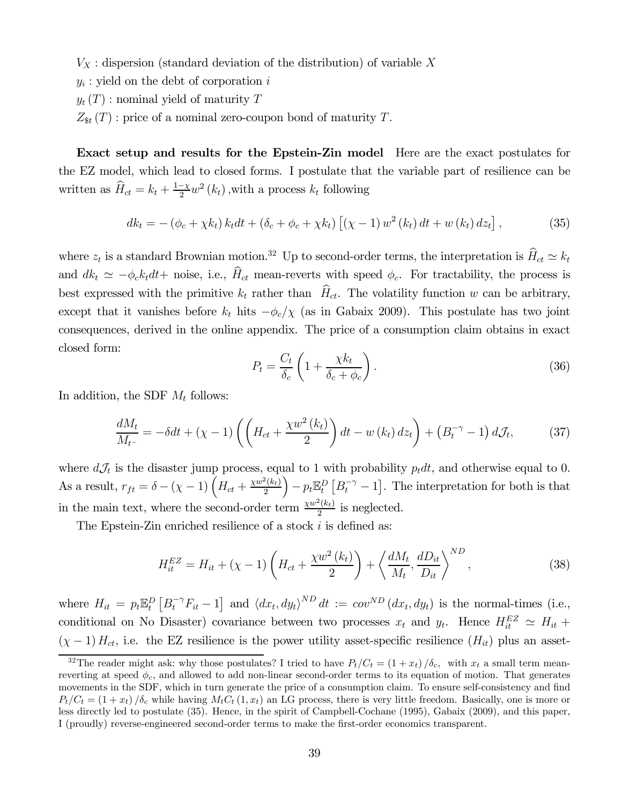$V_X$ : dispersion (standard deviation of the distribution) of variable X

 $y_i$ : yield on the debt of corporation i

 $y_t(T)$ : nominal yield of maturity T

 $Z_{\text{St}}(T)$ : price of a nominal zero-coupon bond of maturity T.

Exact setup and results for the Epstein-Zin model Here are the exact postulates for the EZ model, which lead to closed forms. I postulate that the variable part of resilience can be written as  $\widehat{H}_{ct} = k_t + \frac{1-\chi}{2} w^2 (k_t)$ , with a process  $k_t$  following

$$
dk_{t} = -(\phi_{c} + \chi k_{t}) k_{t} dt + (\delta_{c} + \phi_{c} + \chi k_{t}) [(\chi - 1) w^{2} (k_{t}) dt + w (k_{t}) dz_{t}], \qquad (35)
$$

where  $z_t$  is a standard Brownian motion.<sup>32</sup> Up to second-order terms, the interpretation is  $\widehat{H}_{ct} \simeq k_t$ and  $dk_t \simeq -\phi_c k_t dt +$  noise, i.e.,  $\widehat{H}_{ct}$  mean-reverts with speed  $\phi_c$ . For tractability, the process is best expressed with the primitive  $k_t$  rather than  $\hat{H}_{ct}$ . The volatility function w can be arbitrary, except that it vanishes before  $k_t$  hits  $-\phi_c/\chi$  (as in Gabaix 2009). This postulate has two joint consequences, derived in the online appendix. The price of a consumption claim obtains in exact closed form:

$$
P_t = \frac{C_t}{\delta_c} \left( 1 + \frac{\chi k_t}{\delta_c + \phi_c} \right). \tag{36}
$$

In addition, the SDF  $M_t$  follows:

$$
\frac{dM_t}{M_{t-}} = -\delta dt + (\chi - 1) \left( \left( H_{ct} + \frac{\chi w^2 \left( k_t \right)}{2} \right) dt - w \left( k_t \right) dz_t \right) + \left( B_t^{-\gamma} - 1 \right) dJ_t, \tag{37}
$$

where  $dJ_t$  is the disaster jump process, equal to 1 with probability  $p_t dt$ , and otherwise equal to 0. As a result,  $r_{ft} = \delta - (\chi - 1) \left( H_{ct} + \frac{\chi w^2 (k_t)}{2} \right)$  $\left(-p_t\mathbb{E}_t^D\left[B_t^{-\gamma}-1\right].\right.$  The interpretation for both is that in the main text, where the second-order term  $\frac{\chi w^2(k_t)}{2}$  is neglected.

The Epstein-Zin enriched resilience of a stock  $i$  is defined as:

$$
H_{it}^{EZ} = H_{it} + (\chi - 1) \left( H_{ct} + \frac{\chi w^2 (k_t)}{2} \right) + \left\langle \frac{dM_t}{M_t}, \frac{dD_{it}}{D_{it}} \right\rangle^{ND},
$$
\n(38)

where  $H_{it} = p_t \mathbb{E}_t^D \left[ B_t^{-\gamma} F_{it} - 1 \right]$  and  $\langle dx_t, dy_t \rangle^{ND} dt := cov^{ND} (dx_t, dy_t)$  is the normal-times (i.e., conditional on No Disaster) covariance between two processes  $x_t$  and  $y_t$ . Hence  $H_{it}^{EZ} \simeq H_{it} +$  $(\chi - 1) H_{ct}$ , i.e. the EZ resilience is the power utility asset-specific resilience  $(H_{it})$  plus an asset-

<sup>&</sup>lt;sup>32</sup>The reader might ask: why those postulates? I tried to have  $P_t/C_t = (1 + x_t)/\delta_c$ , with  $x_t$  a small term meanreverting at speed  $\phi_c$ , and allowed to add non-linear second-order terms to its equation of motion. That generates movements in the SDF, which in turn generate the price of a consumption claim. To ensure self-consistency and find  $P_t/C_t = (1 + x_t) / \delta_c$  while having  $M_t C_t (1, x_t)$  an LG process, there is very little freedom. Basically, one is more or less directly led to postulate (35). Hence, in the spirit of Campbell-Cochane (1995), Gabaix (2009), and this paper, I (proudly) reverse-engineered second-order terms to make the first-order economics transparent.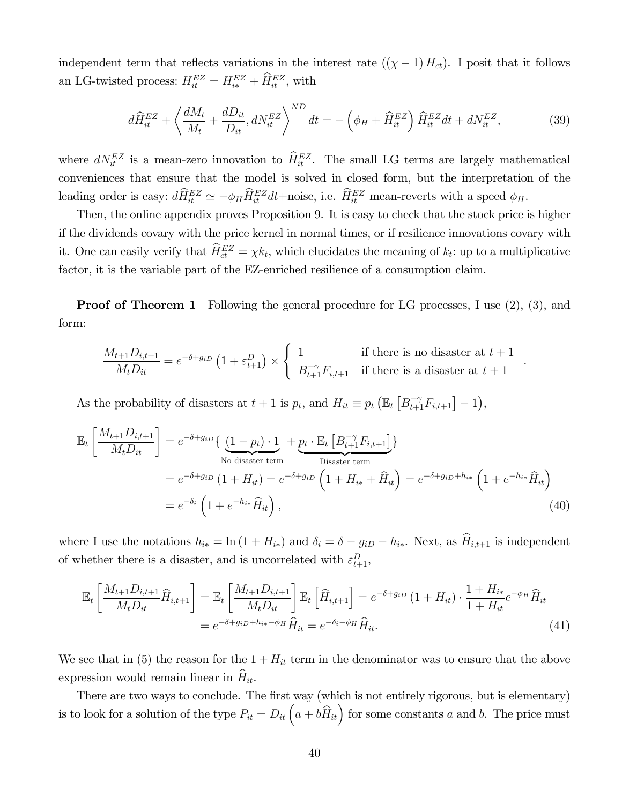independent term that reflects variations in the interest rate  $((\chi - 1) H_{ct})$ . I posit that it follows an LG-twisted process:  $H_{it}^{EZ} = H_{i*}^{EZ} + \hat{H}_{it}^{EZ}$ , with

$$
d\widehat{H}_{it}^{EZ} + \left\langle \frac{dM_t}{M_t} + \frac{dD_{it}}{D_{it}}, dN_{it}^{EZ} \right\rangle^{ND} dt = -\left(\phi_H + \widehat{H}_{it}^{EZ}\right) \widehat{H}_{it}^{EZ} dt + dN_{it}^{EZ},\tag{39}
$$

where  $dN_{it}^{EZ}$  is a mean-zero innovation to  $\hat{H}_{it}^{EZ}$ . The small LG terms are largely mathematical conveniences that ensure that the model is solved in closed form, but the interpretation of the leading order is easy:  $d\hat{H}_{it}^{EZ} \simeq -\phi_H \hat{H}_{it}^{EZ} dt + \text{noise}$ , i.e.  $\hat{H}_{it}^{EZ}$  mean-reverts with a speed  $\phi_H$ .

Then, the online appendix proves Proposition 9. It is easy to check that the stock price is higher if the dividends covary with the price kernel in normal times, or if resilience innovations covary with it. One can easily verify that  $\hat{H}_{ct}^{EZ} = \chi k_t$ , which elucidates the meaning of  $k_t$ : up to a multiplicative factor, it is the variable part of the EZ-enriched resilience of a consumption claim.

**Proof of Theorem 1** Following the general procedure for LG processes, I use (2), (3), and form:

$$
\frac{M_{t+1}D_{i,t+1}}{M_t D_{it}} = e^{-\delta + g_{iD}} \left(1 + \varepsilon_{t+1}^D\right) \times \begin{cases} 1 & \text{if there is no disaster at } t+1 \\ B_{t+1}^{-\gamma} F_{i,t+1} & \text{if there is a disaster at } t+1 \end{cases}.
$$

As the probability of disasters at  $t + 1$  is  $p_t$ , and  $H_{it} \equiv p_t \left( \mathbb{E}_t \left[ B_{t+1}^{-\gamma} F_{i,t+1} \right] - 1 \right)$ ,

$$
\mathbb{E}_{t}\left[\frac{M_{t+1}D_{i,t+1}}{M_{t}D_{it}}\right] = e^{-\delta+g_{iD}}\left\{\underbrace{(1-p_{t})\cdot 1}_{\text{No disaster term}} + \underbrace{p_{t}\cdot \mathbb{E}_{t}\left[B_{t+1}^{-\gamma}F_{i,t+1}\right]}_{\text{Disaster term}}\right\}
$$
\n
$$
= e^{-\delta+g_{iD}}\left(1 + H_{it}\right) = e^{-\delta+g_{iD}}\left(1 + H_{i*} + \widehat{H}_{it}\right) = e^{-\delta+g_{iD}+h_{i*}}\left(1 + e^{-h_{i*}}\widehat{H}_{it}\right)
$$
\n
$$
= e^{-\delta_{i}}\left(1 + e^{-h_{i*}}\widehat{H}_{it}\right),\tag{40}
$$

where I use the notations  $h_{i*} = \ln(1 + H_{i*})$  and  $\delta_i = \delta - g_{iD} - h_{i*}$ . Next, as  $\hat{H}_{i,t+1}$  is independent of whether there is a disaster, and is uncorrelated with  $\varepsilon_{t+1}^D$ ,

$$
\mathbb{E}_{t}\left[\frac{M_{t+1}D_{i,t+1}}{M_{t}D_{it}}\hat{H}_{i,t+1}\right] = \mathbb{E}_{t}\left[\frac{M_{t+1}D_{i,t+1}}{M_{t}D_{it}}\right]\mathbb{E}_{t}\left[\hat{H}_{i,t+1}\right] = e^{-\delta + g_{iD}}\left(1 + H_{it}\right) \cdot \frac{1 + H_{i*}}{1 + H_{it}}e^{-\phi_{H}}\hat{H}_{it}
$$
\n
$$
= e^{-\delta + g_{iD} + h_{i*} - \phi_{H}}\hat{H}_{it} = e^{-\delta_{i} - \phi_{H}}\hat{H}_{it}.
$$
\n(41)

We see that in (5) the reason for the  $1 + H_{it}$  term in the denominator was to ensure that the above expression would remain linear in  $\hat{H}_{it}$ .

There are two ways to conclude. The first way (which is not entirely rigorous, but is elementary) is to look for a solution of the type  $P_{it} = D_{it} \left( a + b \hat{H}_{it} \right)$  for some constants a and b. The price must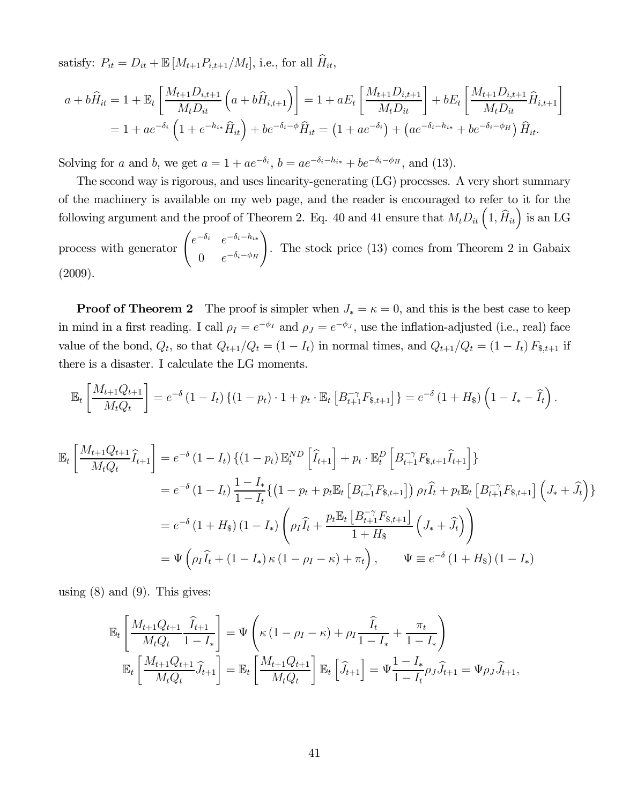satisfy:  $P_{it} = D_{it} + \mathbb{E}[M_{t+1}P_{i,t+1}/M_t]$ , i.e., for all  $\widehat{H}_{it}$ ,

$$
a + b\widehat{H}_{it} = 1 + \mathbb{E}_t \left[ \frac{M_{t+1} D_{i,t+1}}{M_t D_{it}} \left( a + b\widehat{H}_{i,t+1} \right) \right] = 1 + aE_t \left[ \frac{M_{t+1} D_{i,t+1}}{M_t D_{it}} \right] + bE_t \left[ \frac{M_{t+1} D_{i,t+1}}{M_t D_{it}} \widehat{H}_{i,t+1} \right]
$$
  
= 1 + ae<sup>-\delta\_i</sup> \left( 1 + e<sup>-h<sub>i\*</sub></sup> \widehat{H}\_{it} \right) + be<sup>-\delta\_i - \phi</sup> \widehat{H}\_{it} = \left( 1 + ae^{-\delta\_i} \right) + \left( ae^{-\delta\_i - h\_{i\*}} + be^{-\delta\_i - \phi\_H} \right) \widehat{H}\_{it}.

Solving for *a* and *b*, we get  $a = 1 + ae^{-\delta_i}$ ,  $b = ae^{-\delta_i - h_{i*}} + be^{-\delta_i - \phi_H}$ , and (13).

The second way is rigorous, and uses linearity-generating (LG) processes. A very short summary of the machinery is available on my web page, and the reader is encouraged to refer to it for the following argument and the proof of Theorem 2. Eq. 40 and 41 ensure that  $M_t D_{it} \left(1, \hat{H}_{it}\right)$  is an LG process with generator  $\begin{pmatrix} e^{-\delta_i} & e^{-\delta_i - h_{i*}} \end{pmatrix}$ 0  $e^{-\delta_i-\phi_H}$  $\setminus$ . The stock price (13) comes from Theorem 2 in Gabaix (2009).

**Proof of Theorem 2** The proof is simpler when  $J_* = \kappa = 0$ , and this is the best case to keep in mind in a first reading. I call  $\rho_I = e^{-\phi_I}$  and  $\rho_J = e^{-\phi_J}$ , use the inflation-adjusted (i.e., real) face value of the bond,  $Q_t$ , so that  $Q_{t+1}/Q_t = (1 - I_t)$  in normal times, and  $Q_{t+1}/Q_t = (1 - I_t) F_{s,t+1}$  if there is a disaster. I calculate the LG moments.

$$
\mathbb{E}_t\left[\frac{M_{t+1}Q_{t+1}}{M_tQ_t}\right] = e^{-\delta} (1 - I_t) \left\{ (1 - p_t) \cdot 1 + p_t \cdot \mathbb{E}_t\left[B_{t+1}^{-\gamma} F_{s,t+1}\right] \right\} = e^{-\delta} (1 + H_s) \left(1 - I_s - \widehat{I}_t\right).
$$

$$
\mathbb{E}_{t}\left[\frac{M_{t+1}Q_{t+1}}{M_{t}Q_{t}}\widehat{I}_{t+1}\right] = e^{-\delta} (1 - I_{t}) \left\{ (1 - p_{t}) \mathbb{E}_{t}^{ND} \left[\widehat{I}_{t+1}\right] + p_{t} \cdot \mathbb{E}_{t}^{D} \left[B_{t+1}^{-\gamma} F_{\$,t+1} \widehat{I}_{t+1}\right] \right\}
$$
\n
$$
= e^{-\delta} (1 - I_{t}) \frac{1 - I_{*}}{1 - I_{t}} \left\{ \left(1 - p_{t} + p_{t} \mathbb{E}_{t} \left[B_{t+1}^{-\gamma} F_{\$,t+1}\right] \right) \rho_{I} \widehat{I}_{t} + p_{t} \mathbb{E}_{t} \left[B_{t+1}^{-\gamma} F_{\$,t+1}\right] \left(J_{*} + \widehat{J}_{t}\right) \right\}
$$
\n
$$
= e^{-\delta} (1 + H_{\$}) (1 - I_{*}) \left(\rho_{I} \widehat{I}_{t} + \frac{p_{t} \mathbb{E}_{t} \left[B_{t+1}^{-\gamma} F_{\$,t+1}\right]}{1 + H_{\$}} \left(J_{*} + \widehat{J}_{t}\right)\right)
$$
\n
$$
= \Psi \left(\rho_{I} \widehat{I}_{t} + (1 - I_{*}) \kappa (1 - \rho_{I} - \kappa) + \pi_{t}\right), \qquad \Psi \equiv e^{-\delta} (1 + H_{\$}) (1 - I_{*})
$$

using  $(8)$  and  $(9)$ . This gives:

$$
\mathbb{E}_{t}\left[\frac{M_{t+1}Q_{t+1}}{M_{t}Q_{t}}\frac{\widehat{I}_{t+1}}{1-I_{*}}\right] = \Psi\left(\kappa\left(1-\rho_{I}-\kappa\right)+\rho_{I}\frac{\widehat{I}_{t}}{1-I_{*}}+\frac{\pi_{t}}{1-I_{*}}\right) \n\mathbb{E}_{t}\left[\frac{M_{t+1}Q_{t+1}}{M_{t}Q_{t}}\widehat{J}_{t+1}\right] = \mathbb{E}_{t}\left[\frac{M_{t+1}Q_{t+1}}{M_{t}Q_{t}}\right]\mathbb{E}_{t}\left[\widehat{J}_{t+1}\right] = \Psi\frac{1-I_{*}}{1-I_{t}}\rho_{J}\widehat{J}_{t+1} = \Psi\rho_{J}\widehat{J}_{t+1},
$$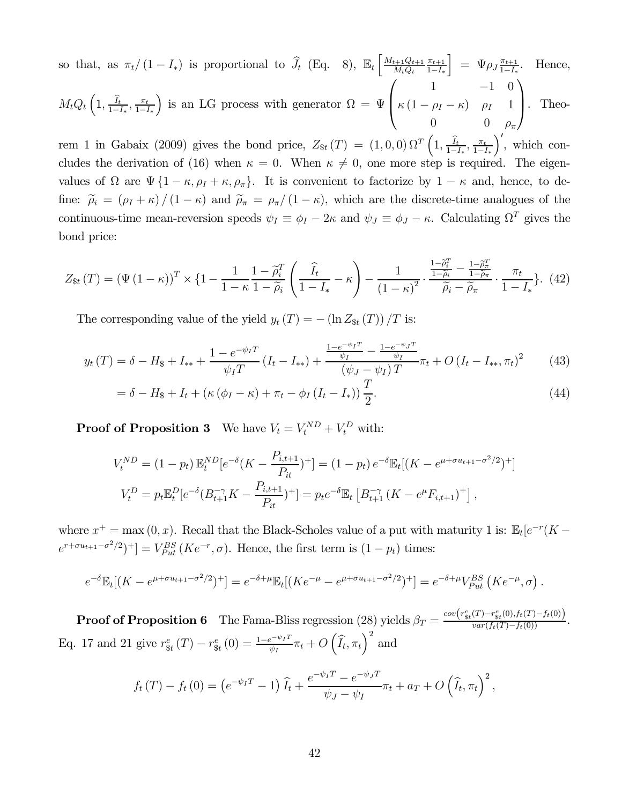so that, as  $\pi_t/(1 - I_*)$  is proportional to  $\widehat{J}_t$  (Eq. 8),  $\mathbb{E}_t \left[ \frac{M_{t+1}Q_{t+1}}{M_tQ_t} \right]$  $M_t Q_t$  $\pi_{t+1}$  $1-I_*$  $\left] = \Psi \rho_J \frac{\pi_{t+1}}{1 - I_*}. \quad \text{Hence,}$  $M_t Q_t\left(1, \frac{\hat{I}_t}{1-I_*}, \frac{\pi_t}{1-I_*}\right)$ ) is an LG process with generator  $\Omega = \Psi$  $\sqrt{ }$  $\parallel$  $1 \t -1 \t 0$  $\kappa(1-\rho_I-\kappa)$   $\rho_I$  1 0 0  $\rho_{\pi}$  $\mathcal{L}$ ⎟⎠ . Theorem 1 in Gabaix (2009) gives the bond price,  $Z_{\$t}(T) = (1,0,0) \Omega^T \left(1, \frac{\hat{I}_t}{1-I_*}, \frac{\pi_t}{1-I_*}, \frac{\pi_t}{1-I_*}\right)$  $\int'$ , which con-

cludes the derivation of (16) when  $\kappa = 0$ . When  $\kappa \neq 0$ , one more step is required. The eigenvalues of  $\Omega$  are  $\Psi$  {1 –  $\kappa$ ,  $\rho_I + \kappa$ ,  $\rho_{\pi}$ }. It is convenient to factorize by 1 –  $\kappa$  and, hence, to define:  $\tilde{\rho}_i = (\rho_I + \kappa) / (1 - \kappa)$  and  $\tilde{\rho}_{\pi} = \rho_{\pi} / (1 - \kappa)$ , which are the discrete-time analogues of the continuous-time mean-reversion speeds  $\psi_I \equiv \phi_I - 2\kappa$  and  $\psi_J \equiv \phi_J - \kappa$ . Calculating  $\Omega^T$  gives the bond price:

$$
Z_{\$t}(T) = \left(\Psi\left(1-\kappa\right)\right)^{T} \times \left\{1 - \frac{1}{1-\kappa} \frac{1-\tilde{\rho}_{i}^{T}}{1-\tilde{\rho}_{i}} \left(\frac{\widehat{I}_{t}}{1-I_{*}} - \kappa\right) - \frac{1}{\left(1-\kappa\right)^{2}} \cdot \frac{\frac{1-\tilde{\rho}_{i}^{T}}{1-\tilde{\rho}_{i}} - \frac{1-\tilde{\rho}_{i}^{T}}{1-\tilde{\rho}_{i}}}{\tilde{\rho}_{i} - \tilde{\rho}_{\pi}} \cdot \frac{\pi_{t}}{1-I_{*}}\right\}.\tag{42}
$$

The corresponding value of the yield  $y_t(T) = -(\ln Z_{\text{St}}(T))/T$  is:

$$
y_t(T) = \delta - H_{\$} + I_{**} + \frac{1 - e^{-\psi_I T}}{\psi_I T} (I_t - I_{**}) + \frac{\frac{1 - e^{-\psi_I T}}{\psi_I} - \frac{1 - e^{-\psi_I T}}{\psi_I}}{(\psi_J - \psi_I) T} \pi_t + O(I_t - I_{**}, \pi_t)^2
$$
(43)

$$
= \delta - H_{\$} + I_t + \left(\kappa \left(\phi_I - \kappa\right) + \pi_t - \phi_I \left(I_t - I_*\right)\right) \frac{T}{2}.
$$
\n
$$
\tag{44}
$$

**Proof of Proposition 3** We have  $V_t = V_t^{ND} + V_t^D$  with:

$$
V_t^{ND} = (1 - p_t) \mathbb{E}_t^{ND} [e^{-\delta} (K - \frac{P_{i,t+1}}{P_{it}})^+] = (1 - p_t) e^{-\delta} \mathbb{E}_t [(K - e^{\mu + \sigma u_{t+1} - \sigma^2/2})^+]
$$
  

$$
V_t^D = p_t \mathbb{E}_t^D [e^{-\delta} (B_{t+1}^{-\gamma} K - \frac{P_{i,t+1}}{P_{it}})^+] = p_t e^{-\delta} \mathbb{E}_t [B_{t+1}^{-\gamma} (K - e^{\mu} F_{i,t+1})^+],
$$

where  $x^+ = \max(0, x)$ . Recall that the Black-Scholes value of a put with maturity 1 is:  $\mathbb{E}_t[e^{-r}(K$  $e^{r+\sigma u_{t+1}-\sigma^2/2})^+]=V_{Put}^{BS}(Ke^{-r},\sigma)$ . Hence, the first term is  $(1-p_t)$  times:

$$
e^{-\delta} \mathbb{E}_t[(K - e^{\mu + \sigma u_{t+1} - \sigma^2/2})^+] = e^{-\delta + \mu} \mathbb{E}_t[(K e^{-\mu} - e^{\mu + \sigma u_{t+1} - \sigma^2/2})^+] = e^{-\delta + \mu} V_{Put}^{BS}(K e^{-\mu}, \sigma).
$$

**Proof of Proposition 6** The Fama-Bliss regression (28) yields  $\beta_T = \frac{cov(r_{\$t}^e(T) - r_{\$t}^e(0), f_t(T) - f_t(0))}{var(f_t(T) - f_t(0))}$ . Eq. 17 and 21 give  $r_{\text{st}}^{e}(T) - r_{\text{st}}^{e}(0) = \frac{1 - e^{-\psi_{I}T}}{\psi_{I}} \pi_{t} + O\left(\widehat{I}_{t}, \pi_{t}\right)^{2}$  and

$$
f_t(T) - f_t(0) = \left(e^{-\psi_I T} - 1\right) \widehat{I}_t + \frac{e^{-\psi_I T} - e^{-\psi_J T}}{\psi_J - \psi_I} \pi_t + a_T + O\left(\widehat{I}_t, \pi_t\right)^2,
$$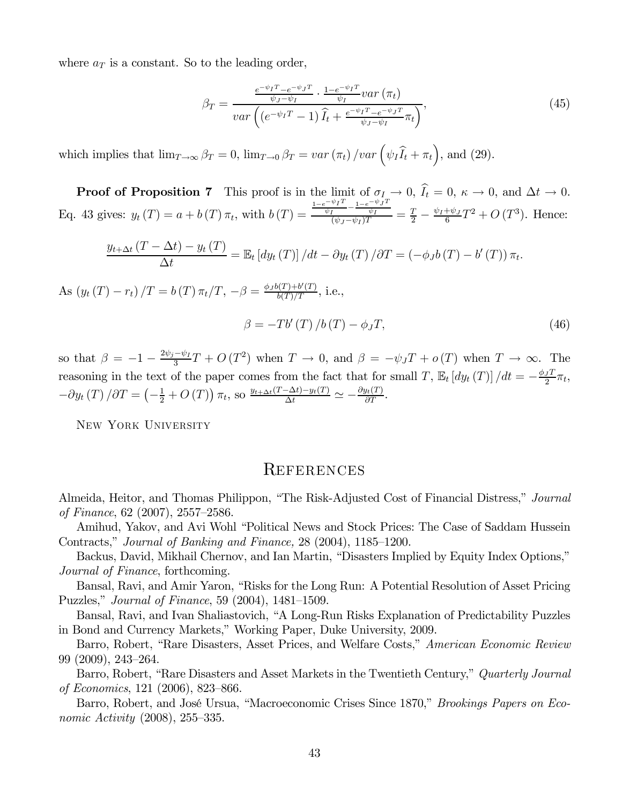where  $a_T$  is a constant. So to the leading order,

$$
\beta_T = \frac{\frac{e^{-\psi_I T} - e^{-\psi_J T}}{\psi_J - \psi_I} \cdot \frac{1 - e^{-\psi_I T}}{\psi_I} \text{var}\left(\pi_t\right)}{\text{var}\left(\left(e^{-\psi_I T} - 1\right)\widehat{I}_t + \frac{e^{-\psi_I T} - e^{-\psi_J T}}{\psi_J - \psi_I}\pi_t\right)},\tag{45}
$$

which implies that  $\lim_{T\to\infty} \beta_T = 0$ ,  $\lim_{T\to 0} \beta_T = var(\pi_t) / var(\psi_I \widehat{I}_t + \pi_t)$ , and (29).

**Proof of Proposition 7** This proof is in the limit of  $\sigma_I \to 0$ ,  $I_t = 0$ ,  $\kappa \to 0$ , and  $\Delta t \to 0$ . Eq. 43 gives:  $y_t(T) = a + b(T) \pi_t$ , with  $b(T) =$  $\frac{\frac{1-e^{-\psi_I T}}{\psi_I} - \frac{1-e^{-\psi_J T}}{\psi_I}}{(\psi_J - \psi_I)T} = \frac{T}{2} - \frac{\psi_I + \psi_J}{6}T^2 + O(T^3)$ . Hence:

$$
\frac{y_{t+\Delta t}(T-\Delta t)-y_t(T)}{\Delta t}=\mathbb{E}_t\left[dy_t(T)\right]/dt-\partial y_t(T)/\partial T=(-\phi_Jb(T)-b'(T))\,\pi_t.
$$

As  $(y_t(T) - r_t)/T = b(T) \pi_t/T, -\beta = \frac{\phi_J b(T) + b'(T)}{b(T)/T}, \text{ i.e.,}$ 

$$
\beta = -Tb'(T)/b(T) - \phi_J T,\tag{46}
$$

so that  $\beta = -1 - \frac{2\psi_j - \psi_I}{3}T + O(T^2)$  when  $T \to 0$ , and  $\beta = -\psi_J T + o(T)$  when  $T \to \infty$ . The reasoning in the text of the paper comes from the fact that for small T,  $\mathbb{E}_t [dy_t(T)] / dt = -\frac{\phi_J T}{2} \pi_t$ ,  $-\partial y_t(T)/\partial T = \left(-\frac{1}{2} + O(T)\right)\pi_t$ , so  $\frac{y_{t+\Delta t}(T-\Delta t) - y_t(T)}{\Delta t} \simeq -\frac{\partial y_t(T)}{\partial T}$ .

New York University

# **REFERENCES**

Almeida, Heitor, and Thomas Philippon, "The Risk-Adjusted Cost of Financial Distress," Journal of Finance, 62 (2007), 2557—2586.

Amihud, Yakov, and Avi Wohl "Political News and Stock Prices: The Case of Saddam Hussein Contracts," Journal of Banking and Finance, 28 (2004), 1185—1200.

Backus, David, Mikhail Chernov, and Ian Martin, "Disasters Implied by Equity Index Options," Journal of Finance, forthcoming.

Bansal, Ravi, and Amir Yaron, "Risks for the Long Run: A Potential Resolution of Asset Pricing Puzzles," Journal of Finance, 59 (2004), 1481—1509.

Bansal, Ravi, and Ivan Shaliastovich, "A Long-Run Risks Explanation of Predictability Puzzles in Bond and Currency Markets," Working Paper, Duke University, 2009.

Barro, Robert, "Rare Disasters, Asset Prices, and Welfare Costs," American Economic Review 99 (2009), 243—264.

Barro, Robert, "Rare Disasters and Asset Markets in the Twentieth Century," Quarterly Journal of Economics, 121 (2006), 823—866.

Barro, Robert, and José Ursua, "Macroeconomic Crises Since 1870," Brookings Papers on Economic Activity (2008), 255—335.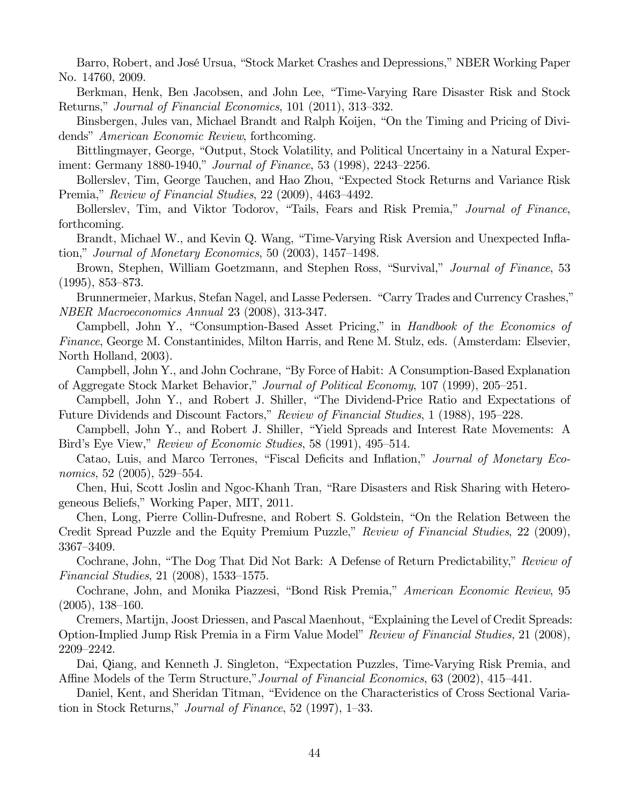Barro, Robert, and José Ursua, "Stock Market Crashes and Depressions," NBER Working Paper No. 14760, 2009.

Berkman, Henk, Ben Jacobsen, and John Lee, "Time-Varying Rare Disaster Risk and Stock Returns," Journal of Financial Economics, 101 (2011), 313—332.

Binsbergen, Jules van, Michael Brandt and Ralph Koijen, "On the Timing and Pricing of Dividends" American Economic Review, forthcoming.

Bittlingmayer, George, "Output, Stock Volatility, and Political Uncertainy in a Natural Experiment: Germany 1880-1940," Journal of Finance, 53 (1998), 2243—2256.

Bollerslev, Tim, George Tauchen, and Hao Zhou, "Expected Stock Returns and Variance Risk Premia," Review of Financial Studies, 22 (2009), 4463—4492.

Bollerslev, Tim, and Viktor Todorov, "Tails, Fears and Risk Premia," Journal of Finance, forthcoming.

Brandt, Michael W., and Kevin Q. Wang, "Time-Varying Risk Aversion and Unexpected Inflation," Journal of Monetary Economics, 50 (2003), 1457—1498.

Brown, Stephen, William Goetzmann, and Stephen Ross, "Survival," *Journal of Finance*, 53 (1995), 853—873.

Brunnermeier, Markus, Stefan Nagel, and Lasse Pedersen. "Carry Trades and Currency Crashes," NBER Macroeconomics Annual 23 (2008), 313-347.

Campbell, John Y., "Consumption-Based Asset Pricing," in Handbook of the Economics of Finance, George M. Constantinides, Milton Harris, and Rene M. Stulz, eds. (Amsterdam: Elsevier, North Holland, 2003).

Campbell, John Y., and John Cochrane, "By Force of Habit: A Consumption-Based Explanation of Aggregate Stock Market Behavior," Journal of Political Economy, 107 (1999), 205—251.

Campbell, John Y., and Robert J. Shiller, "The Dividend-Price Ratio and Expectations of Future Dividends and Discount Factors," Review of Financial Studies, 1 (1988), 195—228.

Campbell, John Y., and Robert J. Shiller, "Yield Spreads and Interest Rate Movements: A Bird's Eye View," Review of Economic Studies, 58 (1991), 495—514.

Catao, Luis, and Marco Terrones, "Fiscal Deficits and Inflation," Journal of Monetary Economics, 52 (2005), 529—554.

Chen, Hui, Scott Joslin and Ngoc-Khanh Tran, "Rare Disasters and Risk Sharing with Heterogeneous Beliefs," Working Paper, MIT, 2011.

Chen, Long, Pierre Collin-Dufresne, and Robert S. Goldstein, "On the Relation Between the Credit Spread Puzzle and the Equity Premium Puzzle," Review of Financial Studies, 22 (2009), 3367—3409.

Cochrane, John, "The Dog That Did Not Bark: A Defense of Return Predictability," Review of Financial Studies, 21 (2008), 1533—1575.

Cochrane, John, and Monika Piazzesi, "Bond Risk Premia," American Economic Review, 95 (2005), 138—160.

Cremers, Martijn, Joost Driessen, and Pascal Maenhout, "Explaining the Level of Credit Spreads: Option-Implied Jump Risk Premia in a Firm Value Model" Review of Financial Studies, 21 (2008), 2209—2242.

Dai, Qiang, and Kenneth J. Singleton, "Expectation Puzzles, Time-Varying Risk Premia, and Affine Models of the Term Structure," Journal of Financial Economics, 63 (2002), 415–441.

Daniel, Kent, and Sheridan Titman, "Evidence on the Characteristics of Cross Sectional Variation in Stock Returns," Journal of Finance, 52 (1997), 1—33.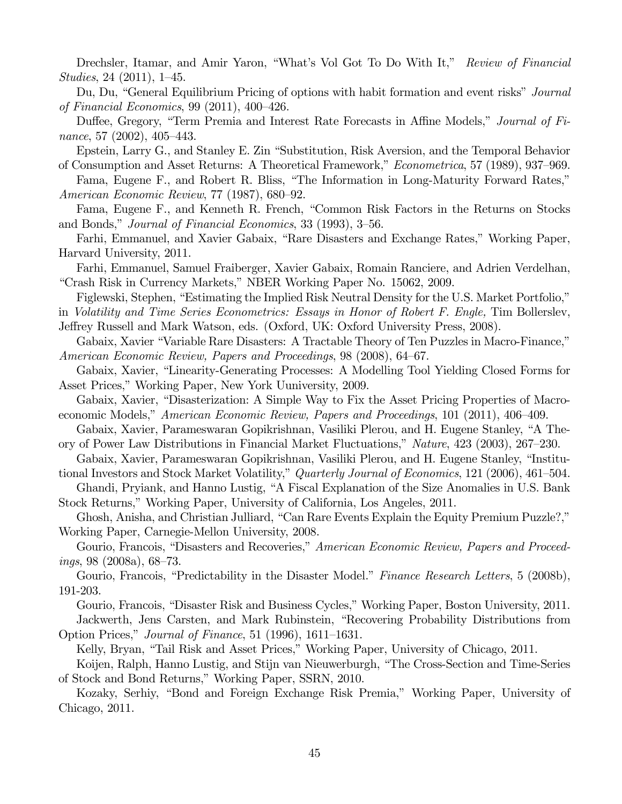Drechsler, Itamar, and Amir Yaron, "What's Vol Got To Do With It," Review of Financial Studies, 24 (2011), 1—45.

Du, Du, "General Equilibrium Pricing of options with habit formation and event risks" *Journal* of Financial Economics, 99 (2011), 400—426.

Duffee, Gregory, "Term Premia and Interest Rate Forecasts in Affine Models," Journal of Finance, 57 (2002), 405—443.

Epstein, Larry G., and Stanley E. Zin "Substitution, Risk Aversion, and the Temporal Behavior of Consumption and Asset Returns: A Theoretical Framework," Econometrica, 57 (1989), 937—969.

Fama, Eugene F., and Robert R. Bliss, "The Information in Long-Maturity Forward Rates," American Economic Review, 77 (1987), 680—92.

Fama, Eugene F., and Kenneth R. French, "Common Risk Factors in the Returns on Stocks and Bonds," Journal of Financial Economics, 33 (1993), 3—56.

Farhi, Emmanuel, and Xavier Gabaix, "Rare Disasters and Exchange Rates," Working Paper, Harvard University, 2011.

Farhi, Emmanuel, Samuel Fraiberger, Xavier Gabaix, Romain Ranciere, and Adrien Verdelhan, "Crash Risk in Currency Markets," NBER Working Paper No. 15062, 2009.

Figlewski, Stephen, "Estimating the Implied Risk Neutral Density for the U.S. Market Portfolio,"

in Volatility and Time Series Econometrics: Essays in Honor of Robert F. Engle, Tim Bollerslev, Jeffrey Russell and Mark Watson, eds. (Oxford, UK: Oxford University Press, 2008).

Gabaix, Xavier "Variable Rare Disasters: A Tractable Theory of Ten Puzzles in Macro-Finance," American Economic Review, Papers and Proceedings, 98 (2008), 64—67.

Gabaix, Xavier, "Linearity-Generating Processes: A Modelling Tool Yielding Closed Forms for Asset Prices," Working Paper, New York Uuniversity, 2009.

Gabaix, Xavier, "Disasterization: A Simple Way to Fix the Asset Pricing Properties of Macroeconomic Models," American Economic Review, Papers and Proceedings, 101 (2011), 406—409.

Gabaix, Xavier, Parameswaran Gopikrishnan, Vasiliki Plerou, and H. Eugene Stanley, "A Theory of Power Law Distributions in Financial Market Fluctuations," Nature, 423 (2003), 267—230.

Gabaix, Xavier, Parameswaran Gopikrishnan, Vasiliki Plerou, and H. Eugene Stanley, "Institutional Investors and Stock Market Volatility," Quarterly Journal of Economics, 121 (2006), 461—504.

Ghandi, Pryiank, and Hanno Lustig, "A Fiscal Explanation of the Size Anomalies in U.S. Bank Stock Returns," Working Paper, University of California, Los Angeles, 2011.

Ghosh, Anisha, and Christian Julliard, "Can Rare Events Explain the Equity Premium Puzzle?," Working Paper, Carnegie-Mellon University, 2008.

Gourio, Francois, "Disasters and Recoveries," American Economic Review, Papers and Proceed $ings, 98 (2008a), 68-73.$ 

Gourio, Francois, "Predictability in the Disaster Model." Finance Research Letters, 5 (2008b), 191-203.

Gourio, Francois, "Disaster Risk and Business Cycles," Working Paper, Boston University, 2011. Jackwerth, Jens Carsten, and Mark Rubinstein, "Recovering Probability Distributions from

Option Prices," Journal of Finance, 51 (1996), 1611—1631. Kelly, Bryan, "Tail Risk and Asset Prices," Working Paper, University of Chicago, 2011.

Koijen, Ralph, Hanno Lustig, and Stijn van Nieuwerburgh, "The Cross-Section and Time-Series of Stock and Bond Returns," Working Paper, SSRN, 2010.

Kozaky, Serhiy, "Bond and Foreign Exchange Risk Premia," Working Paper, University of Chicago, 2011.